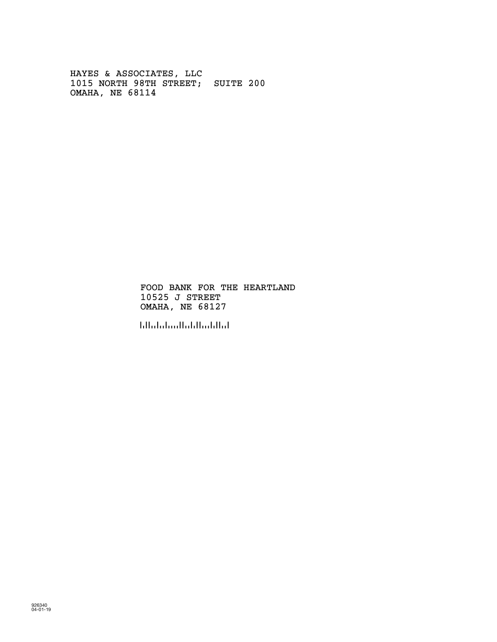HAYES & ASSOCIATES, LLC 1015 NORTH 98TH STREET; SUITE 200 OMAHA, NE 68114

> FOOD BANK FOR THE HEARTLAND 10525 J STREET OMAHA, NE 68127

!681276!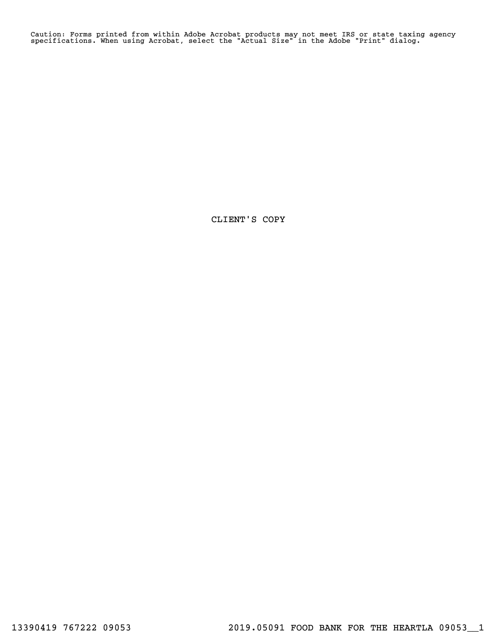Caution: Forms printed from within Adobe Acrobat products may not meet IRS or state taxing agency specifications. When using Acrobat, select the "Actual Size" in the Adobe "Print" dialog.

CLIENT'S COPY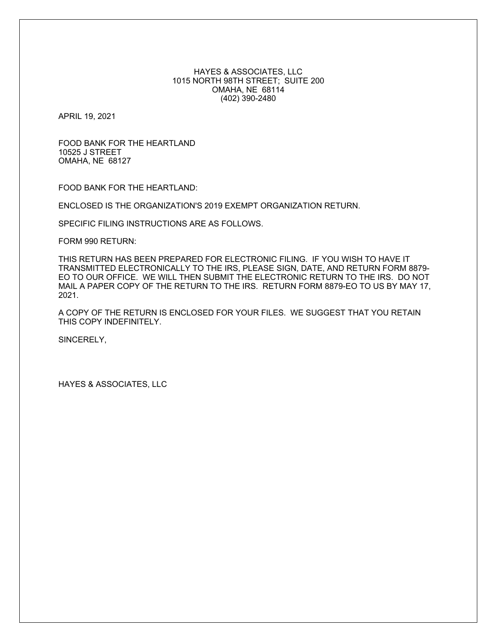# HAYES & ASSOCIATES, LLC 1015 NORTH 98TH STREET; SUITE 200 OMAHA, NE 68114 (402) 390-2480

APRIL 19, 2021

FOOD BANK FOR THE HEARTLAND 10525 J STREET OMAHA, NE 68127

FOOD BANK FOR THE HEARTLAND:

ENCLOSED IS THE ORGANIZATION'S 2019 EXEMPT ORGANIZATION RETURN.

SPECIFIC FILING INSTRUCTIONS ARE AS FOLLOWS.

FORM 990 RETURN:

THIS RETURN HAS BEEN PREPARED FOR ELECTRONIC FILING. IF YOU WISH TO HAVE IT TRANSMITTED ELECTRONICALLY TO THE IRS, PLEASE SIGN, DATE, AND RETURN FORM 8879- EO TO OUR OFFICE. WE WILL THEN SUBMIT THE ELECTRONIC RETURN TO THE IRS. DO NOT MAIL A PAPER COPY OF THE RETURN TO THE IRS. RETURN FORM 8879-EO TO US BY MAY 17, 2021.

A COPY OF THE RETURN IS ENCLOSED FOR YOUR FILES. WE SUGGEST THAT YOU RETAIN THIS COPY INDEFINITELY.

SINCERELY,

HAYES & ASSOCIATES, LLC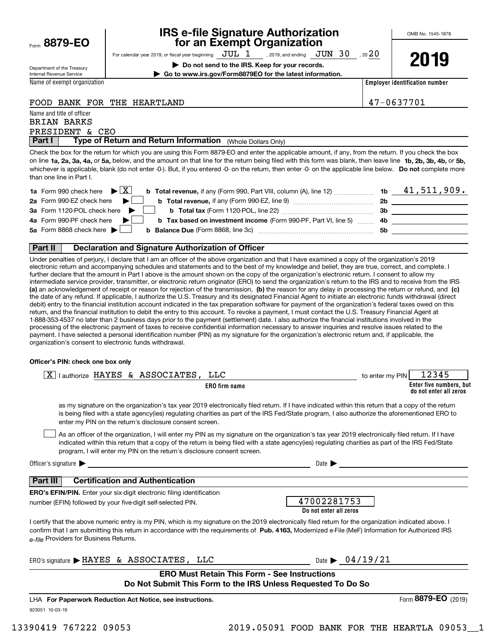Form**8879-EO**

# **IRS e-file Signature Authorization for an Exempt Organization**

For calendar year 2019, or fiscal year beginning  $\rm\,JUL~$   $1$   $\rm\,$  , 2019, and ending  $\rm\,JUN~$   $30$   $\rm\,$  , 20  $20$ 

**| Do not send to the IRS. Keep for your records. | Go to www.irs.gov/Form8879EO for the latest information.** **2019**

Department of the Treasury Internal Revenue Service

Name of exempt organization

**Employer identification number**

# FOOD BANK FOR THE HEARTLAND 47-0637701

Name and title of officer PRESIDENT & CEO BRIAN BARKS

**Part I** | Type of Return and Return Information (Whole Dollars Only)

on line **1a, 2a, 3a, 4a,** or **5a,** below, and the amount on that line for the return being filed with this form was blank, then leave line **1b, 2b, 3b, 4b,** or **5b,** whichever is applicable, blank (do not enter -0-). But, if you entered -0- on the return, then enter -0- on the applicable line below. **Do not** complete more Check the box for the return for which you are using this Form 8879-EO and enter the applicable amount, if any, from the return. If you check the box than one line in Part I.

| <b>1a</b> Form 990 check here $\triangleright \boxed{X}$                                                                     |     | 41,511,909. |
|------------------------------------------------------------------------------------------------------------------------------|-----|-------------|
| 2a Form 990-EZ check here $\blacktriangleright$<br><b>b</b> Total revenue, if any (Form 990-EZ, line 9)                      | -2b |             |
| 3a Form 1120-POL check here                                                                                                  | -3b |             |
| 4a Form 990-PF check here $\blacktriangleright$<br><b>b</b> Tax based on investment income (Form 990-PF, Part VI, line 5) 4b |     |             |
| 5a Form 8868 check here $\blacktriangleright$                                                                                | .5b |             |
|                                                                                                                              |     |             |

# **Part II Declaration and Signature Authorization of Officer**

**(a)** an acknowledgement of receipt or reason for rejection of the transmission, (b) the reason for any delay in processing the return or refund, and (c) Under penalties of perjury, I declare that I am an officer of the above organization and that I have examined a copy of the organization's 2019 electronic return and accompanying schedules and statements and to the best of my knowledge and belief, they are true, correct, and complete. I further declare that the amount in Part I above is the amount shown on the copy of the organization's electronic return. I consent to allow my intermediate service provider, transmitter, or electronic return originator (ERO) to send the organization's return to the IRS and to receive from the IRS the date of any refund. If applicable, I authorize the U.S. Treasury and its designated Financial Agent to initiate an electronic funds withdrawal (direct debit) entry to the financial institution account indicated in the tax preparation software for payment of the organization's federal taxes owed on this return, and the financial institution to debit the entry to this account. To revoke a payment, I must contact the U.S. Treasury Financial Agent at 1-888-353-4537 no later than 2 business days prior to the payment (settlement) date. I also authorize the financial institutions involved in the processing of the electronic payment of taxes to receive confidential information necessary to answer inquiries and resolve issues related to the payment. I have selected a personal identification number (PIN) as my signature for the organization's electronic return and, if applicable, the organization's consent to electronic funds withdrawal.

## **Officer's PIN: check one box only**

| lauthorize HAYES & ASSOCIATES,<br>LLC<br>X                                                                                                                                                                                                                                                                                                             | 12345<br>to enter my PIN                                                                                                                                                                                                                                                                              |
|--------------------------------------------------------------------------------------------------------------------------------------------------------------------------------------------------------------------------------------------------------------------------------------------------------------------------------------------------------|-------------------------------------------------------------------------------------------------------------------------------------------------------------------------------------------------------------------------------------------------------------------------------------------------------|
| ERO firm name                                                                                                                                                                                                                                                                                                                                          | Enter five numbers, but<br>do not enter all zeros                                                                                                                                                                                                                                                     |
| enter my PIN on the return's disclosure consent screen.                                                                                                                                                                                                                                                                                                | as my signature on the organization's tax year 2019 electronically filed return. If I have indicated within this return that a copy of the return<br>is being filed with a state agency(ies) regulating charities as part of the IRS Fed/State program, I also authorize the aforementioned ERO to    |
| program, I will enter my PIN on the return's disclosure consent screen.                                                                                                                                                                                                                                                                                | As an officer of the organization, I will enter my PIN as my signature on the organization's tax year 2019 electronically filed return. If I have<br>indicated within this return that a copy of the return is being filed with a state agency(ies) regulating charities as part of the IRS Fed/State |
| Officer's signature $\blacktriangleright$                                                                                                                                                                                                                                                                                                              | Date $\blacktriangleright$                                                                                                                                                                                                                                                                            |
| Part III<br><b>Certification and Authentication</b>                                                                                                                                                                                                                                                                                                    |                                                                                                                                                                                                                                                                                                       |
| <b>ERO's EFIN/PIN.</b> Enter your six-digit electronic filing identification                                                                                                                                                                                                                                                                           |                                                                                                                                                                                                                                                                                                       |
| number (EFIN) followed by your five-digit self-selected PIN.                                                                                                                                                                                                                                                                                           | 47002281753<br>Do not enter all zeros                                                                                                                                                                                                                                                                 |
| I certify that the above numeric entry is my PIN, which is my signature on the 2019 electronically filed return for the organization indicated above. I<br>confirm that I am submitting this return in accordance with the requirements of Pub. 4163, Modernized e-File (MeF) Information for Authorized IRS<br>e-file Providers for Business Returns. |                                                                                                                                                                                                                                                                                                       |
| ERO's signature > HAYES & ASSOCIATES, LLC                                                                                                                                                                                                                                                                                                              | Date $\triangleright$ 04/19/21                                                                                                                                                                                                                                                                        |
| <b>ERO Must Retain This Form - See Instructions</b>                                                                                                                                                                                                                                                                                                    |                                                                                                                                                                                                                                                                                                       |
| Do Not Submit This Form to the IRS Unless Requested To Do So                                                                                                                                                                                                                                                                                           |                                                                                                                                                                                                                                                                                                       |
| LHA For Paperwork Reduction Act Notice, see instructions.                                                                                                                                                                                                                                                                                              | Form 8879-EO (2019)                                                                                                                                                                                                                                                                                   |
| 923051 10-03-19                                                                                                                                                                                                                                                                                                                                        |                                                                                                                                                                                                                                                                                                       |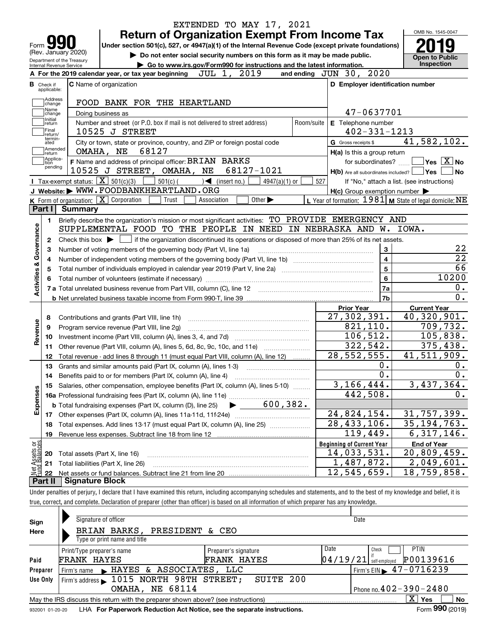| Form <b>Y</b><br>Under section 501(c), 527, or 4947(a)(1) of the Internal Revenue Code (except private foundations)                                                        | <b>Return of Organization Exempt From Income Tax</b>      | OMB No. 1545-0047                                                                                                                 |
|----------------------------------------------------------------------------------------------------------------------------------------------------------------------------|-----------------------------------------------------------|-----------------------------------------------------------------------------------------------------------------------------------|
| (Rev. January 2020)                                                                                                                                                        |                                                           |                                                                                                                                   |
| Do not enter social security numbers on this form as it may be made public.<br>Department of the Treasury                                                                  |                                                           | <b>Open to Public</b>                                                                                                             |
| Go to www.irs.gov/Form990 for instructions and the latest information.<br>Internal Revenue Service<br>2019<br>JUL 1,                                                       | and ending JUN 30, 2020                                   | <b>Inspection</b>                                                                                                                 |
| A For the 2019 calendar year, or tax year beginning                                                                                                                        |                                                           |                                                                                                                                   |
| <b>C</b> Name of organization<br><b>B</b> Check if<br>applicable:                                                                                                          | D Employer identification number                          |                                                                                                                                   |
| Address<br>FOOD BANK FOR THE HEARTLAND<br>change<br>Name                                                                                                                   |                                                           |                                                                                                                                   |
| Doing business as<br>change                                                                                                                                                | 47-0637701                                                |                                                                                                                                   |
| Initial<br>Number and street (or P.O. box if mail is not delivered to street address)<br>Room/suite<br>return<br> Final<br>10525 J STREET<br>return/                       | E Telephone number<br>$402 - 331 - 1213$                  |                                                                                                                                   |
| termin-<br>City or town, state or province, country, and ZIP or foreign postal code<br>ated                                                                                | G Gross receipts \$                                       | 41,582,102.                                                                                                                       |
| Amended<br>OMAHA, NE<br>68127<br>return]                                                                                                                                   | H(a) Is this a group return                               |                                                                                                                                   |
| Applica-<br>F Name and address of principal officer: BRIAN BARKS<br>tion                                                                                                   | for subordinates?                                         | $\sqrt{}$ Yes $\sqrt{X}$ No                                                                                                       |
| pending<br>10525 J STREET, OMAHA, NE<br>68127-1021                                                                                                                         | $H(b)$ Are all subordinates included? $\Box$ Yes          | l No                                                                                                                              |
| Tax-exempt status: $\boxed{\mathbf{X}}$ 501(c)(3)<br>$501(c)$ (<br>$\sqrt{\frac{1}{1}}$ (insert no.)<br>$4947(a)(1)$ or                                                    | 527                                                       | If "No," attach a list. (see instructions)                                                                                        |
| J Website: WWW.FOODBANKHEARTLAND.ORG                                                                                                                                       | $H(c)$ Group exemption number $\blacktriangleright$       |                                                                                                                                   |
| K Form of organization: $\boxed{\mathbf{X}}$ Corporation<br>Other $\blacktriangleright$<br>Trust<br>Association                                                            | L Year of formation: $1981$ M State of legal domicile: NE |                                                                                                                                   |
| Part I<br>Summary                                                                                                                                                          |                                                           |                                                                                                                                   |
| Briefly describe the organization's mission or most significant activities: TO PROVIDE EMERGENCY AND<br>1.                                                                 |                                                           |                                                                                                                                   |
| Governance<br>SUPPLEMENTAL FOOD TO THE PEOPLE IN NEED IN NEBRASKA AND W. IOWA.                                                                                             |                                                           |                                                                                                                                   |
| Check this box $\blacktriangleright$ $\Box$ if the organization discontinued its operations or disposed of more than 25% of its net assets.<br>2                           |                                                           |                                                                                                                                   |
| Number of voting members of the governing body (Part VI, line 1a)<br>З                                                                                                     |                                                           |                                                                                                                                   |
|                                                                                                                                                                            | 3<br>$\overline{4}$                                       | 22<br>$\overline{22}$                                                                                                             |
| 4                                                                                                                                                                          | $5\phantom{a}$                                            |                                                                                                                                   |
| <b>Activities &amp;</b><br>5                                                                                                                                               |                                                           | 66                                                                                                                                |
|                                                                                                                                                                            | 6                                                         | 10200                                                                                                                             |
|                                                                                                                                                                            | 7a                                                        | 0.                                                                                                                                |
|                                                                                                                                                                            | 7b                                                        |                                                                                                                                   |
|                                                                                                                                                                            | <b>Prior Year</b>                                         |                                                                                                                                   |
| Contributions and grants (Part VIII, line 1h)<br>8                                                                                                                         |                                                           | <b>Current Year</b>                                                                                                               |
|                                                                                                                                                                            | 27,302,391.                                               |                                                                                                                                   |
| Program service revenue (Part VIII, line 2g)<br>9                                                                                                                          | 821, 110.                                                 |                                                                                                                                   |
| 10                                                                                                                                                                         | 106, 512.                                                 |                                                                                                                                   |
| Other revenue (Part VIII, column (A), lines 5, 6d, 8c, 9c, 10c, and 11e)<br>11                                                                                             | 322,542.                                                  |                                                                                                                                   |
| 12                                                                                                                                                                         | 28, 552, 555.                                             |                                                                                                                                   |
| Total revenue - add lines 8 through 11 (must equal Part VIII, column (A), line 12)<br>13                                                                                   | 0.                                                        |                                                                                                                                   |
| Grants and similar amounts paid (Part IX, column (A), lines 1-3)<br>14                                                                                                     | 0.                                                        |                                                                                                                                   |
|                                                                                                                                                                            |                                                           |                                                                                                                                   |
| 15 Salaries, other compensation, employee benefits (Part IX, column (A), lines 5-10)                                                                                       | 3, 166, 444.                                              |                                                                                                                                   |
|                                                                                                                                                                            | 442,508.                                                  |                                                                                                                                   |
| 600, 382.<br><b>b</b> Total fundraising expenses (Part IX, column (D), line 25)                                                                                            |                                                           |                                                                                                                                   |
| 17                                                                                                                                                                         | 24,824,154.                                               | $\overline{0}$ .<br>40,320,901.<br>709,732.<br>105,838.<br>375,438.<br>41,511,909.<br>0.<br>0.<br>3,437,364.<br>0.<br>31,757,399. |
| Total expenses. Add lines 13-17 (must equal Part IX, column (A), line 25)<br>18                                                                                            | $\overline{28,433,106}$ .                                 |                                                                                                                                   |
| Revenue less expenses. Subtract line 18 from line 12<br>19                                                                                                                 | 119,449.                                                  |                                                                                                                                   |
|                                                                                                                                                                            | <b>Beginning of Current Year</b>                          | <b>End of Year</b>                                                                                                                |
| Revenue<br>Expenses<br>Total assets (Part X, line 16)<br>20                                                                                                                | 14,033,531.                                               | 35, 194, 763.<br>6,317,146.<br>20,809,459.                                                                                        |
| Total liabilities (Part X, line 26)<br>21                                                                                                                                  | $\overline{1,}$ 487, 872.                                 | 2,049,601.                                                                                                                        |
| 22                                                                                                                                                                         | 12,545,659.                                               | 18,759,858.                                                                                                                       |
| t Assets or<br>d Balances<br>鲳<br>Part II<br><b>Signature Block</b>                                                                                                        |                                                           |                                                                                                                                   |
| Under penalties of perjury, I declare that I have examined this return, including accompanying schedules and statements, and to the best of my knowledge and belief, it is |                                                           |                                                                                                                                   |

| Sign<br>Here | Signature of officer<br>BRIAN BARKS, PRESIDENT & CEO                              | Date                 |                                              |
|--------------|-----------------------------------------------------------------------------------|----------------------|----------------------------------------------|
|              | Type or print name and title                                                      |                      |                                              |
|              | Print/Type preparer's name                                                        | Preparer's signature | Date<br><b>PTIN</b><br>Check                 |
| Paid         | <b>FRANK HAYES</b>                                                                | <b>FRANK HAYES</b>   | P00139616<br>$04/19/21$ self-employed        |
| Preparer     | Firm's name FIAYES & ASSOCIATES, LLC                                              |                      | $\frac{1}{2}$ Firm's EIN $\geq 47 - 0716239$ |
| Use Only     | Firm's address $\blacktriangleright$ 1015 NORTH 98TH STREET;                      | SUITE 200            |                                              |
|              | <b>OMAHA, NE 68114</b>                                                            |                      | Phone no. $402 - 390 - 2480$                 |
|              | May the IRS discuss this return with the preparer shown above? (see instructions) |                      | X l<br><b>No</b><br><b>Yes</b>               |
|              |                                                                                   |                      | $\mathbf{a}$                                 |

932001 01-20-20 LHA **For Paperwork Reduction Act Notice, see the separate instructions. Form 990 (2019)** 

**990**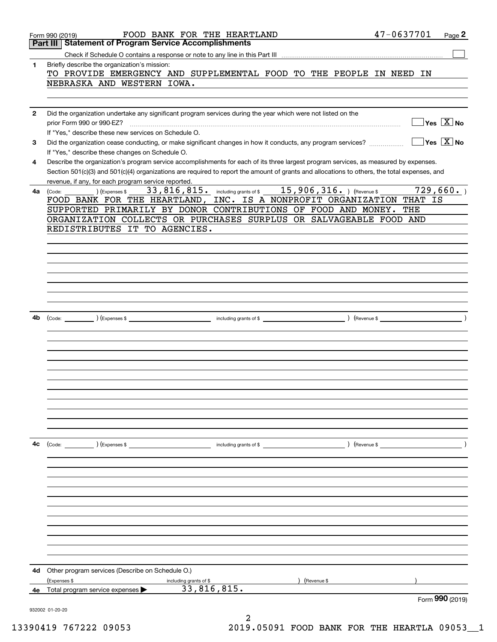|              | FOOD BANK FOR THE HEARTLAND<br>Form 990 (2019)                                                                                               | 47-0637701<br>Page 2                                                                                |
|--------------|----------------------------------------------------------------------------------------------------------------------------------------------|-----------------------------------------------------------------------------------------------------|
|              | <b>Statement of Program Service Accomplishments</b><br>Part III                                                                              |                                                                                                     |
|              |                                                                                                                                              |                                                                                                     |
| 1            | Briefly describe the organization's mission:<br>TO PROVIDE EMERGENCY AND SUPPLEMENTAL FOOD TO THE PEOPLE IN NEED IN                          |                                                                                                     |
|              | NEBRASKA AND WESTERN IOWA.                                                                                                                   |                                                                                                     |
|              |                                                                                                                                              |                                                                                                     |
|              |                                                                                                                                              |                                                                                                     |
| $\mathbf{2}$ | Did the organization undertake any significant program services during the year which were not listed on the                                 |                                                                                                     |
|              | prior Form 990 or 990-EZ?                                                                                                                    | $\Box$ Yes $[\overline{\mathrm{X}}]$ No                                                             |
|              | If "Yes," describe these new services on Schedule O.                                                                                         |                                                                                                     |
| 3            | Did the organization cease conducting, or make significant changes in how it conducts, any program services?                                 | $\sqrt{}$ Yes $\sqrt{}$ X $\sqrt{}$ No                                                              |
|              | If "Yes," describe these changes on Schedule O.                                                                                              |                                                                                                     |
| 4            | Describe the organization's program service accomplishments for each of its three largest program services, as measured by expenses.         |                                                                                                     |
|              | Section 501(c)(3) and 501(c)(4) organizations are required to report the amount of grants and allocations to others, the total expenses, and |                                                                                                     |
|              | revenue, if any, for each program service reported.                                                                                          |                                                                                                     |
| 4a           | 33, 816, 815. including grants of \$15, 906, 316. ) (Revenue \$<br>) (Expenses \$<br>(Code:                                                  | 729,660.                                                                                            |
|              | FOOD BANK FOR THE HEARTLAND, INC. IS A NONPROFIT ORGANIZATION THAT IS                                                                        |                                                                                                     |
|              | SUPPORTED PRIMARILY BY DONOR CONTRIBUTIONS OF FOOD AND MONEY.                                                                                | THE                                                                                                 |
|              | ORGANIZATION COLLECTS OR PURCHASES SURPLUS OR SALVAGEABLE FOOD AND                                                                           |                                                                                                     |
|              | REDISTRIBUTES IT TO AGENCIES.                                                                                                                |                                                                                                     |
|              |                                                                                                                                              |                                                                                                     |
|              |                                                                                                                                              |                                                                                                     |
|              |                                                                                                                                              |                                                                                                     |
|              |                                                                                                                                              |                                                                                                     |
|              |                                                                                                                                              |                                                                                                     |
|              |                                                                                                                                              |                                                                                                     |
|              |                                                                                                                                              |                                                                                                     |
| 4b           |                                                                                                                                              | $\overline{\phantom{a}}$ $\overline{\phantom{a}}$ $\overline{\phantom{a}}$ $\overline{\phantom{a}}$ |
|              |                                                                                                                                              |                                                                                                     |
|              |                                                                                                                                              |                                                                                                     |
|              |                                                                                                                                              |                                                                                                     |
|              |                                                                                                                                              |                                                                                                     |
|              |                                                                                                                                              |                                                                                                     |
|              |                                                                                                                                              |                                                                                                     |
|              |                                                                                                                                              |                                                                                                     |
|              |                                                                                                                                              |                                                                                                     |
|              |                                                                                                                                              |                                                                                                     |
|              |                                                                                                                                              |                                                                                                     |
|              |                                                                                                                                              |                                                                                                     |
|              |                                                                                                                                              |                                                                                                     |
| 4с           | (Code: ) (Expenses \$<br>including grants of \$                                                                                              | $($ Revenue \$                                                                                      |
|              |                                                                                                                                              |                                                                                                     |
|              |                                                                                                                                              |                                                                                                     |
|              |                                                                                                                                              |                                                                                                     |
|              |                                                                                                                                              |                                                                                                     |
|              |                                                                                                                                              |                                                                                                     |
|              |                                                                                                                                              |                                                                                                     |
|              |                                                                                                                                              |                                                                                                     |
|              |                                                                                                                                              |                                                                                                     |
|              |                                                                                                                                              |                                                                                                     |
|              |                                                                                                                                              |                                                                                                     |
|              |                                                                                                                                              |                                                                                                     |
|              |                                                                                                                                              |                                                                                                     |
| 4d           | Other program services (Describe on Schedule O.)<br>(Revenue \$                                                                              |                                                                                                     |
| 4е           | (Expenses \$<br>including grants of \$<br>33,816,815.<br>Total program service expenses                                                      |                                                                                                     |
|              |                                                                                                                                              | Form 990 (2019)                                                                                     |
|              | 932002 01-20-20                                                                                                                              |                                                                                                     |
|              | 2                                                                                                                                            |                                                                                                     |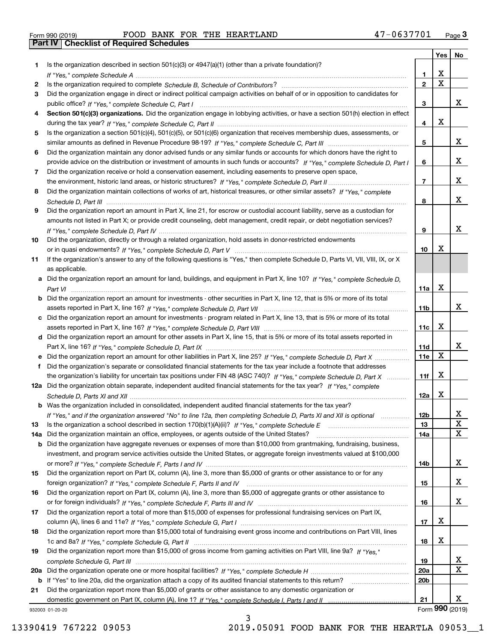| Form 990 (2019) |                                                  |  | FOOD BANK FOR THE HEARTLAND | 47-0637701 | Page $3$ |
|-----------------|--------------------------------------------------|--|-----------------------------|------------|----------|
|                 | <b>Part IV   Checklist of Required Schedules</b> |  |                             |            |          |

|     |                                                                                                                                                 |                 | Yes $ $     | No              |
|-----|-------------------------------------------------------------------------------------------------------------------------------------------------|-----------------|-------------|-----------------|
| 1   | Is the organization described in section $501(c)(3)$ or $4947(a)(1)$ (other than a private foundation)?                                         |                 |             |                 |
|     |                                                                                                                                                 | 1.              | x           |                 |
| 2   |                                                                                                                                                 | $\mathbf{2}$    | $\mathbf X$ |                 |
| 3   | Did the organization engage in direct or indirect political campaign activities on behalf of or in opposition to candidates for                 |                 |             |                 |
|     |                                                                                                                                                 | 3               |             | x               |
| 4   | Section 501(c)(3) organizations. Did the organization engage in lobbying activities, or have a section 501(h) election in effect                |                 |             |                 |
|     |                                                                                                                                                 | 4               | X           |                 |
| 5   | Is the organization a section 501(c)(4), 501(c)(5), or 501(c)(6) organization that receives membership dues, assessments, or                    |                 |             |                 |
|     |                                                                                                                                                 | 5               |             | x               |
| 6   | Did the organization maintain any donor advised funds or any similar funds or accounts for which donors have the right to                       |                 |             |                 |
|     | provide advice on the distribution or investment of amounts in such funds or accounts? If "Yes," complete Schedule D, Part I                    | 6               |             | x               |
| 7   | Did the organization receive or hold a conservation easement, including easements to preserve open space,                                       |                 |             |                 |
|     |                                                                                                                                                 | $\overline{7}$  |             | x               |
| 8   | Did the organization maintain collections of works of art, historical treasures, or other similar assets? If "Yes," complete                    |                 |             |                 |
|     |                                                                                                                                                 | 8               |             | x               |
| 9   | Did the organization report an amount in Part X, line 21, for escrow or custodial account liability, serve as a custodian for                   |                 |             |                 |
|     | amounts not listed in Part X; or provide credit counseling, debt management, credit repair, or debt negotiation services?                       |                 |             | x               |
|     |                                                                                                                                                 | 9               |             |                 |
| 10  | Did the organization, directly or through a related organization, hold assets in donor-restricted endowments                                    |                 | X           |                 |
|     |                                                                                                                                                 | 10              |             |                 |
| 11  | If the organization's answer to any of the following questions is "Yes," then complete Schedule D, Parts VI, VII, VIII, IX, or X                |                 |             |                 |
|     | as applicable.<br>a Did the organization report an amount for land, buildings, and equipment in Part X, line 10? If "Yes." complete Schedule D. |                 |             |                 |
|     |                                                                                                                                                 | 11a             | X           |                 |
|     | <b>b</b> Did the organization report an amount for investments - other securities in Part X, line 12, that is 5% or more of its total           |                 |             |                 |
|     |                                                                                                                                                 | 11 <sub>b</sub> |             | x               |
|     | c Did the organization report an amount for investments - program related in Part X, line 13, that is 5% or more of its total                   |                 |             |                 |
|     |                                                                                                                                                 | 11c             | х           |                 |
|     | d Did the organization report an amount for other assets in Part X, line 15, that is 5% or more of its total assets reported in                 |                 |             |                 |
|     |                                                                                                                                                 | 11d             |             | x               |
|     |                                                                                                                                                 | 11e             | X           |                 |
| f   | Did the organization's separate or consolidated financial statements for the tax year include a footnote that addresses                         |                 |             |                 |
|     | the organization's liability for uncertain tax positions under FIN 48 (ASC 740)? If "Yes," complete Schedule D, Part X                          | 11f             | X           |                 |
|     | 12a Did the organization obtain separate, independent audited financial statements for the tax year? If "Yes," complete                         |                 |             |                 |
|     |                                                                                                                                                 | 12a             | X           |                 |
|     | <b>b</b> Was the organization included in consolidated, independent audited financial statements for the tax year?                              |                 |             |                 |
|     | If "Yes," and if the organization answered "No" to line 12a, then completing Schedule D, Parts XI and XII is optional                           | 12 <sub>b</sub> |             | 47              |
| 13  | Is the organization a school described in section 170(b)(1)(A)(ii)? If "Yes," complete Schedule E                                               | 13              |             | X               |
| 14a | Did the organization maintain an office, employees, or agents outside of the United States?                                                     | 14a             |             | X               |
| b   | Did the organization have aggregate revenues or expenses of more than \$10,000 from grantmaking, fundraising, business,                         |                 |             |                 |
|     | investment, and program service activities outside the United States, or aggregate foreign investments valued at \$100,000                      |                 |             |                 |
|     |                                                                                                                                                 | 14b             |             | x               |
| 15  | Did the organization report on Part IX, column (A), line 3, more than \$5,000 of grants or other assistance to or for any                       |                 |             |                 |
|     |                                                                                                                                                 | 15              |             | x               |
| 16  | Did the organization report on Part IX, column (A), line 3, more than \$5,000 of aggregate grants or other assistance to                        |                 |             |                 |
|     |                                                                                                                                                 | 16              |             | x               |
| 17  | Did the organization report a total of more than \$15,000 of expenses for professional fundraising services on Part IX,                         |                 |             |                 |
|     |                                                                                                                                                 | 17              | х           |                 |
| 18  | Did the organization report more than \$15,000 total of fundraising event gross income and contributions on Part VIII, lines                    |                 |             |                 |
|     |                                                                                                                                                 | 18              | x           |                 |
| 19  | Did the organization report more than \$15,000 of gross income from gaming activities on Part VIII, line 9a? If "Yes."                          |                 |             |                 |
|     |                                                                                                                                                 | 19              |             | x               |
|     |                                                                                                                                                 | <b>20a</b>      |             | X               |
|     | b If "Yes" to line 20a, did the organization attach a copy of its audited financial statements to this return?                                  | 20 <sub>b</sub> |             |                 |
| 21  | Did the organization report more than \$5,000 of grants or other assistance to any domestic organization or                                     |                 |             |                 |
|     |                                                                                                                                                 | 21              |             | x               |
|     | 932003 01-20-20                                                                                                                                 |                 |             | Form 990 (2019) |

932003 01-20-20

3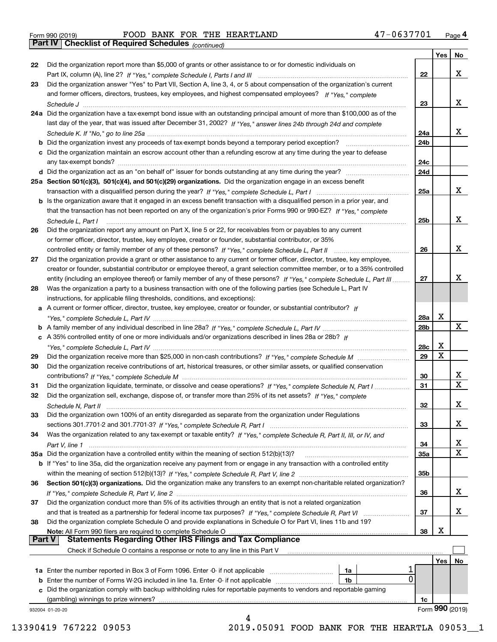Form 990 (2019) Page **4Part IV Checklist of Required Schedules** FOOD BANK FOR THE HEARTLAND 47-0637701

*(continued)*

|               |                                                                                                                                       |     | Yes | No              |
|---------------|---------------------------------------------------------------------------------------------------------------------------------------|-----|-----|-----------------|
| 22            | Did the organization report more than \$5,000 of grants or other assistance to or for domestic individuals on                         |     |     |                 |
|               |                                                                                                                                       | 22  |     | x               |
| 23            | Did the organization answer "Yes" to Part VII, Section A, line 3, 4, or 5 about compensation of the organization's current            |     |     |                 |
|               | and former officers, directors, trustees, key employees, and highest compensated employees? If "Yes," complete                        |     |     |                 |
|               |                                                                                                                                       | 23  |     | x               |
|               | 24a Did the organization have a tax-exempt bond issue with an outstanding principal amount of more than \$100,000 as of the           |     |     |                 |
|               | last day of the year, that was issued after December 31, 2002? If "Yes," answer lines 24b through 24d and complete                    |     |     |                 |
|               |                                                                                                                                       | 24a |     | x               |
|               | <b>b</b> Did the organization invest any proceeds of tax-exempt bonds beyond a temporary period exception?                            | 24b |     |                 |
|               | c Did the organization maintain an escrow account other than a refunding escrow at any time during the year to defease                |     |     |                 |
|               | any tax-exempt bonds?                                                                                                                 | 24c |     |                 |
|               | d Did the organization act as an "on behalf of" issuer for bonds outstanding at any time during the year?                             | 24d |     |                 |
|               | 25a Section 501(c)(3), 501(c)(4), and 501(c)(29) organizations. Did the organization engage in an excess benefit                      |     |     |                 |
|               |                                                                                                                                       | 25a |     | x               |
|               | b Is the organization aware that it engaged in an excess benefit transaction with a disqualified person in a prior year, and          |     |     |                 |
|               | that the transaction has not been reported on any of the organization's prior Forms 990 or 990-EZ? If "Yes," complete                 |     |     |                 |
|               |                                                                                                                                       | 25b |     | x               |
| 26            | Schedule L, Part I<br>Did the organization report any amount on Part X, line 5 or 22, for receivables from or payables to any current |     |     |                 |
|               |                                                                                                                                       |     |     |                 |
|               | or former officer, director, trustee, key employee, creator or founder, substantial contributor, or 35%                               |     |     | х               |
|               |                                                                                                                                       | 26  |     |                 |
| 27            | Did the organization provide a grant or other assistance to any current or former officer, director, trustee, key employee,           |     |     |                 |
|               | creator or founder, substantial contributor or employee thereof, a grant selection committee member, or to a 35% controlled           |     |     | х               |
|               | entity (including an employee thereof) or family member of any of these persons? If "Yes," complete Schedule L, Part III              | 27  |     |                 |
| 28            | Was the organization a party to a business transaction with one of the following parties (see Schedule L, Part IV                     |     |     |                 |
|               | instructions, for applicable filing thresholds, conditions, and exceptions):                                                          |     |     |                 |
|               | a A current or former officer, director, trustee, key employee, creator or founder, or substantial contributor? If                    |     |     |                 |
|               |                                                                                                                                       | 28a | X   | X               |
|               |                                                                                                                                       | 28b |     |                 |
|               | c A 35% controlled entity of one or more individuals and/or organizations described in lines 28a or 28b? If                           |     |     |                 |
|               |                                                                                                                                       | 28c | х   |                 |
| 29            |                                                                                                                                       | 29  | X   |                 |
| 30            | Did the organization receive contributions of art, historical treasures, or other similar assets, or qualified conservation           |     |     |                 |
|               |                                                                                                                                       | 30  |     | x               |
| 31            | Did the organization liquidate, terminate, or dissolve and cease operations? If "Yes," complete Schedule N, Part I                    | 31  |     | $\mathbf x$     |
| 32            | Did the organization sell, exchange, dispose of, or transfer more than 25% of its net assets? If "Yes," complete                      |     |     |                 |
|               | Schedule N, Part II                                                                                                                   | 32  |     | х               |
| 33            | Did the organization own 100% of an entity disregarded as separate from the organization under Regulations                            |     |     |                 |
|               |                                                                                                                                       | 33  |     | х               |
| 34            | Was the organization related to any tax-exempt or taxable entity? If "Yes," complete Schedule R, Part II, III, or IV, and             |     |     |                 |
|               |                                                                                                                                       | 34  |     | X               |
|               | 35a Did the organization have a controlled entity within the meaning of section 512(b)(13)?                                           | 35a |     | X               |
|               | b If "Yes" to line 35a, did the organization receive any payment from or engage in any transaction with a controlled entity           |     |     |                 |
|               |                                                                                                                                       | 35b |     |                 |
| 36            | Section 501(c)(3) organizations. Did the organization make any transfers to an exempt non-charitable related organization?            |     |     |                 |
|               |                                                                                                                                       | 36  |     | x               |
| 37            | Did the organization conduct more than 5% of its activities through an entity that is not a related organization                      |     |     |                 |
|               | and that is treated as a partnership for federal income tax purposes? If "Yes," complete Schedule R, Part VI                          | 37  |     | x               |
| 38            | Did the organization complete Schedule O and provide explanations in Schedule O for Part VI, lines 11b and 19?                        |     |     |                 |
|               | Note: All Form 990 filers are required to complete Schedule O                                                                         | 38  | х   |                 |
| <b>Part V</b> | <b>Statements Regarding Other IRS Filings and Tax Compliance</b>                                                                      |     |     |                 |
|               | Check if Schedule O contains a response or note to any line in this Part V                                                            |     |     |                 |
|               |                                                                                                                                       |     | Yes | No              |
|               | <b>1a</b> Enter the number reported in Box 3 of Form 1096. Enter -0- if not applicable <i>manumumumum</i><br>1a                       |     |     |                 |
|               | $\mathbf{0}$<br><b>b</b> Enter the number of Forms W-2G included in line 1a. Enter -0- if not applicable <i>manumumumum</i><br>1b     |     |     |                 |
|               | c Did the organization comply with backup withholding rules for reportable payments to vendors and reportable gaming                  |     |     |                 |
|               | (gambling) winnings to prize winners?                                                                                                 | 1c  |     |                 |
|               | 932004 01-20-20                                                                                                                       |     |     | Form 990 (2019) |
|               | 4                                                                                                                                     |     |     |                 |

13390419 767222 09053 2019.05091 FOOD BANK FOR THE HEARTLA 09053\_\_1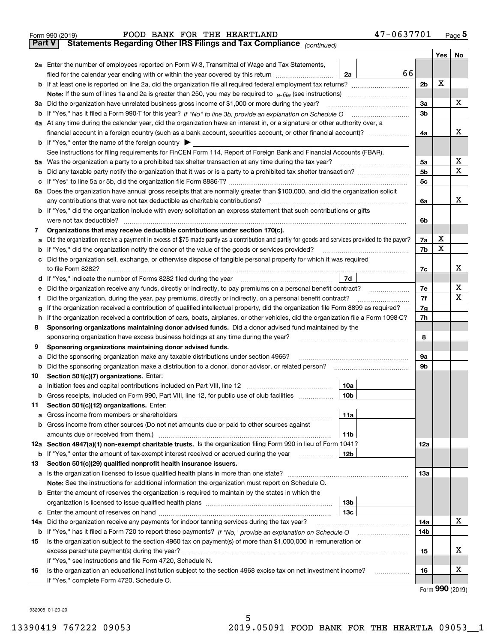|               | 47-0637701<br>FOOD BANK FOR THE HEARTLAND<br>Form 990 (2019)                                                                                                                                                                         |                |     | $_{\text{Page}}$ 5 |  |  |  |  |  |
|---------------|--------------------------------------------------------------------------------------------------------------------------------------------------------------------------------------------------------------------------------------|----------------|-----|--------------------|--|--|--|--|--|
| <b>Part V</b> | Statements Regarding Other IRS Filings and Tax Compliance (continued)                                                                                                                                                                |                |     |                    |  |  |  |  |  |
|               |                                                                                                                                                                                                                                      |                | Yes | No                 |  |  |  |  |  |
|               | 2a Enter the number of employees reported on Form W-3, Transmittal of Wage and Tax Statements,                                                                                                                                       |                |     |                    |  |  |  |  |  |
|               | 66<br>filed for the calendar year ending with or within the year covered by this return<br>2a                                                                                                                                        |                |     |                    |  |  |  |  |  |
|               |                                                                                                                                                                                                                                      | 2b             | х   |                    |  |  |  |  |  |
|               |                                                                                                                                                                                                                                      |                |     |                    |  |  |  |  |  |
| За            | Did the organization have unrelated business gross income of \$1,000 or more during the year?                                                                                                                                        | 3a             |     | х                  |  |  |  |  |  |
|               |                                                                                                                                                                                                                                      | 3 <sub>b</sub> |     |                    |  |  |  |  |  |
|               | 4a At any time during the calendar year, did the organization have an interest in, or a signature or other authority over, a                                                                                                         |                |     |                    |  |  |  |  |  |
|               |                                                                                                                                                                                                                                      | 4a             |     | х                  |  |  |  |  |  |
|               | <b>b</b> If "Yes," enter the name of the foreign country $\blacktriangleright$                                                                                                                                                       |                |     |                    |  |  |  |  |  |
|               | See instructions for filing requirements for FinCEN Form 114, Report of Foreign Bank and Financial Accounts (FBAR).                                                                                                                  |                |     |                    |  |  |  |  |  |
| 5a            | Was the organization a party to a prohibited tax shelter transaction at any time during the tax year?                                                                                                                                | 5а             |     | х                  |  |  |  |  |  |
| b             |                                                                                                                                                                                                                                      |                |     |                    |  |  |  |  |  |
| с             |                                                                                                                                                                                                                                      | 5c             |     |                    |  |  |  |  |  |
|               | 6a Does the organization have annual gross receipts that are normally greater than \$100,000, and did the organization solicit                                                                                                       |                |     |                    |  |  |  |  |  |
|               | any contributions that were not tax deductible as charitable contributions?                                                                                                                                                          | 6a             |     | x                  |  |  |  |  |  |
|               | <b>b</b> If "Yes," did the organization include with every solicitation an express statement that such contributions or gifts                                                                                                        |                |     |                    |  |  |  |  |  |
|               | were not tax deductible?                                                                                                                                                                                                             | 6b             |     |                    |  |  |  |  |  |
| 7             | Organizations that may receive deductible contributions under section 170(c).                                                                                                                                                        |                |     |                    |  |  |  |  |  |
| а             | Did the organization receive a payment in excess of \$75 made partly as a contribution and partly for goods and services provided to the payor?                                                                                      | 7a             | х   |                    |  |  |  |  |  |
| b             | If "Yes," did the organization notify the donor of the value of the goods or services provided?                                                                                                                                      | 7b             | X   |                    |  |  |  |  |  |
| с             | Did the organization sell, exchange, or otherwise dispose of tangible personal property for which it was required                                                                                                                    |                |     |                    |  |  |  |  |  |
|               |                                                                                                                                                                                                                                      | 7c             |     | х                  |  |  |  |  |  |
|               | 7d<br>d If "Yes," indicate the number of Forms 8282 filed during the year [11] [11] The System manuscription of Forms 8282 filed during the year [11] [12] The System manuscription of the Wales of the Wales of the Wales of the Wa |                |     |                    |  |  |  |  |  |
| е             |                                                                                                                                                                                                                                      | 7e             |     | х                  |  |  |  |  |  |
| f             | Did the organization, during the year, pay premiums, directly or indirectly, on a personal benefit contract?                                                                                                                         | 7f             |     | х                  |  |  |  |  |  |
| g             | If the organization received a contribution of qualified intellectual property, did the organization file Form 8899 as required?                                                                                                     | 7g             |     |                    |  |  |  |  |  |
| h             | If the organization received a contribution of cars, boats, airplanes, or other vehicles, did the organization file a Form 1098-C?                                                                                                   | 7h             |     |                    |  |  |  |  |  |
| 8             | Sponsoring organizations maintaining donor advised funds. Did a donor advised fund maintained by the                                                                                                                                 |                |     |                    |  |  |  |  |  |
|               | sponsoring organization have excess business holdings at any time during the year?                                                                                                                                                   | 8              |     |                    |  |  |  |  |  |
| 9             | Sponsoring organizations maintaining donor advised funds.                                                                                                                                                                            |                |     |                    |  |  |  |  |  |
| а             | Did the sponsoring organization make any taxable distributions under section 4966?                                                                                                                                                   | 9а             |     |                    |  |  |  |  |  |
| b             | Did the sponsoring organization make a distribution to a donor, donor advisor, or related person?                                                                                                                                    | 9b             |     |                    |  |  |  |  |  |
| 10            | Section 501(c)(7) organizations. Enter:                                                                                                                                                                                              |                |     |                    |  |  |  |  |  |
| а             | 10a<br>Initiation fees and capital contributions included on Part VIII, line 12 [111] [11] [12] [11] [12] [11] [12] [                                                                                                                |                |     |                    |  |  |  |  |  |
|               | 10b <br>Gross receipts, included on Form 990, Part VIII, line 12, for public use of club facilities                                                                                                                                  |                |     |                    |  |  |  |  |  |
| 11            | Section 501(c)(12) organizations. Enter:                                                                                                                                                                                             |                |     |                    |  |  |  |  |  |
| a             | Gross income from members or shareholders<br>11a                                                                                                                                                                                     |                |     |                    |  |  |  |  |  |
| b             | Gross income from other sources (Do not net amounts due or paid to other sources against                                                                                                                                             |                |     |                    |  |  |  |  |  |
|               | 11 <sub>b</sub>                                                                                                                                                                                                                      |                |     |                    |  |  |  |  |  |
|               | 12a Section 4947(a)(1) non-exempt charitable trusts. Is the organization filing Form 990 in lieu of Form 1041?                                                                                                                       | 12a            |     |                    |  |  |  |  |  |
|               | 12b<br><b>b</b> If "Yes," enter the amount of tax-exempt interest received or accrued during the year <i>manument</i>                                                                                                                |                |     |                    |  |  |  |  |  |
| 13            | Section 501(c)(29) qualified nonprofit health insurance issuers.                                                                                                                                                                     |                |     |                    |  |  |  |  |  |
|               | <b>a</b> Is the organization licensed to issue qualified health plans in more than one state?                                                                                                                                        | <b>13a</b>     |     |                    |  |  |  |  |  |
|               | Note: See the instructions for additional information the organization must report on Schedule O.                                                                                                                                    |                |     |                    |  |  |  |  |  |
| b             | Enter the amount of reserves the organization is required to maintain by the states in which the                                                                                                                                     |                |     |                    |  |  |  |  |  |
|               | 13 <sub>b</sub>                                                                                                                                                                                                                      |                |     |                    |  |  |  |  |  |
| с             | 13 <sub>c</sub>                                                                                                                                                                                                                      |                |     |                    |  |  |  |  |  |
| 14a           | Did the organization receive any payments for indoor tanning services during the tax year?                                                                                                                                           | 14a            |     | x                  |  |  |  |  |  |
|               | <b>b</b> If "Yes," has it filed a Form 720 to report these payments? If "No," provide an explanation on Schedule O                                                                                                                   | 14b            |     |                    |  |  |  |  |  |
| 15            | Is the organization subject to the section 4960 tax on payment(s) of more than \$1,000,000 in remuneration or                                                                                                                        |                |     |                    |  |  |  |  |  |
|               |                                                                                                                                                                                                                                      | 15             |     | x                  |  |  |  |  |  |
|               | If "Yes," see instructions and file Form 4720, Schedule N.                                                                                                                                                                           |                |     |                    |  |  |  |  |  |
| 16            | Is the organization an educational institution subject to the section 4968 excise tax on net investment income?                                                                                                                      | 16             |     | х                  |  |  |  |  |  |
|               | If "Yes," complete Form 4720, Schedule O.                                                                                                                                                                                            |                |     |                    |  |  |  |  |  |

5

Form (2019) **990**

932005 01-20-20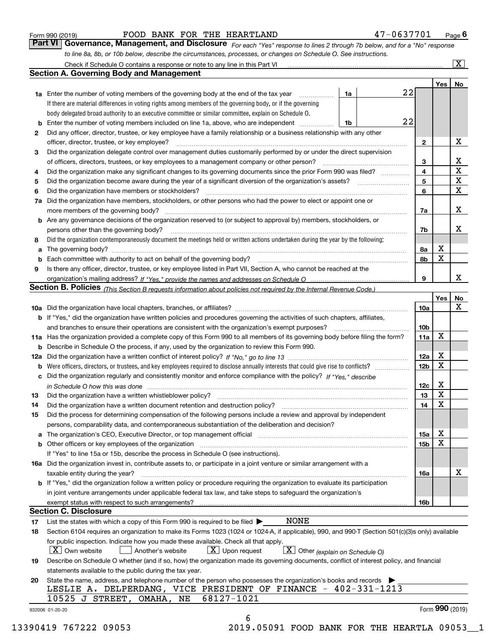|  | Form 990 (2019) |
|--|-----------------|
|  |                 |

FOOD BANK FOR THE HEARTLAND 47-0637701

*For each "Yes" response to lines 2 through 7b below, and for a "No" response to line 8a, 8b, or 10b below, describe the circumstances, processes, or changes on Schedule O. See instructions.* Form 990 (2019) **FOOD BANK FOR THE HEARTLAND** 47 – 0637701 <sub>Page</sub> 6<br>**Part VI Governance, Management, and Disclosure** For each "Yes" response to lines 2 through 7b below, and for a "No" response

|    |                                                                                                                                                                                                                                |    |    |                        | Yes   No          |                         |
|----|--------------------------------------------------------------------------------------------------------------------------------------------------------------------------------------------------------------------------------|----|----|------------------------|-------------------|-------------------------|
|    | <b>1a</b> Enter the number of voting members of the governing body at the end of the tax year <i>manumum</i>                                                                                                                   | 1a | 22 |                        |                   |                         |
|    | If there are material differences in voting rights among members of the governing body, or if the governing                                                                                                                    |    |    |                        |                   |                         |
|    | body delegated broad authority to an executive committee or similar committee, explain on Schedule O.                                                                                                                          |    |    |                        |                   |                         |
|    | <b>b</b> Enter the number of voting members included on line 1a, above, who are independent <i>manumum</i> .                                                                                                                   | 1b | 22 |                        |                   |                         |
| 2  | Did any officer, director, trustee, or key employee have a family relationship or a business relationship with any other                                                                                                       |    |    |                        |                   |                         |
|    | officer, director, trustee, or key employee?                                                                                                                                                                                   |    |    | $\mathbf{2}$           |                   | х                       |
| З  | Did the organization delegate control over management duties customarily performed by or under the direct supervision                                                                                                          |    |    |                        |                   |                         |
|    |                                                                                                                                                                                                                                |    |    | 3                      |                   | $\mathbf{X}$            |
| 4  | Did the organization make any significant changes to its governing documents since the prior Form 990 was filed?                                                                                                               |    |    | 4                      |                   | $\overline{\texttt{x}}$ |
| 5  |                                                                                                                                                                                                                                |    |    | 5                      |                   | $\overline{\mathbf{X}}$ |
| 6  | Did the organization have members or stockholders?                                                                                                                                                                             |    |    | 6                      |                   | $\overline{\mathbf{x}}$ |
|    | 7a Did the organization have members, stockholders, or other persons who had the power to elect or appoint one or                                                                                                              |    |    |                        |                   |                         |
|    | more members of the governing body?                                                                                                                                                                                            |    |    | 7a                     |                   | x                       |
|    | <b>b</b> Are any governance decisions of the organization reserved to (or subject to approval by) members, stockholders, or                                                                                                    |    |    |                        |                   |                         |
|    | persons other than the governing body?                                                                                                                                                                                         |    |    | 7b                     |                   | х                       |
| 8  | Did the organization contemporaneously document the meetings held or written actions undertaken during the year by the following:                                                                                              |    |    |                        |                   |                         |
| a  |                                                                                                                                                                                                                                |    |    | 8а                     | X                 |                         |
|    |                                                                                                                                                                                                                                |    |    | 8b                     | X                 |                         |
| 9  | Is there any officer, director, trustee, or key employee listed in Part VII, Section A, who cannot be reached at the                                                                                                           |    |    |                        |                   |                         |
|    |                                                                                                                                                                                                                                |    |    | 9                      |                   | x                       |
|    | Section B. Policies (This Section B requests information about policies not required by the Internal Revenue Code.)                                                                                                            |    |    |                        |                   |                         |
|    |                                                                                                                                                                                                                                |    |    |                        | Yes               | No                      |
|    |                                                                                                                                                                                                                                |    |    | 10a                    |                   | X                       |
|    | <b>b</b> If "Yes," did the organization have written policies and procedures governing the activities of such chapters, affiliates,                                                                                            |    |    |                        |                   |                         |
|    |                                                                                                                                                                                                                                |    |    |                        |                   |                         |
|    | 11a Has the organization provided a complete copy of this Form 990 to all members of its governing body before filing the form?                                                                                                |    |    | 10 <sub>b</sub><br>11a | x                 |                         |
|    | <b>b</b> Describe in Schedule O the process, if any, used by the organization to review this Form 990.                                                                                                                         |    |    |                        |                   |                         |
|    |                                                                                                                                                                                                                                |    |    | 12a                    | Х                 |                         |
|    |                                                                                                                                                                                                                                |    |    | 12 <sub>b</sub>        | X                 |                         |
|    | c Did the organization regularly and consistently monitor and enforce compliance with the policy? If "Yes," describe                                                                                                           |    |    |                        |                   |                         |
|    | in Schedule O how this was done encourance and the control of the control of the control of the control of the                                                                                                                 |    |    | 12c                    | Χ                 |                         |
| 13 |                                                                                                                                                                                                                                |    |    | 13                     | X                 |                         |
|    | Did the organization have a written document retention and destruction policy? manufactured and the organization have a written document retention and destruction policy?                                                     |    |    | 14                     | X                 |                         |
| 14 |                                                                                                                                                                                                                                |    |    |                        |                   |                         |
| 15 | Did the process for determining compensation of the following persons include a review and approval by independent                                                                                                             |    |    |                        |                   |                         |
|    | persons, comparability data, and contemporaneous substantiation of the deliberation and decision?                                                                                                                              |    |    |                        | х                 |                         |
|    | a The organization's CEO, Executive Director, or top management official [11] [12] The organization's CEO, Executive Director, or top management official [12] [12] [12] [12] The organization's CEO, Executive Director, or t |    |    | 15a                    | X                 |                         |
|    | b Other officers or key employees of the organization manufactured content to content of the organization manufactured content of the organization manufactured content of the organization manufactured content of the organi |    |    | 15b                    |                   |                         |
|    | If "Yes" to line 15a or 15b, describe the process in Schedule O (see instructions).                                                                                                                                            |    |    |                        |                   |                         |
|    | 16a Did the organization invest in, contribute assets to, or participate in a joint venture or similar arrangement with a                                                                                                      |    |    |                        |                   |                         |
|    | taxable entity during the year?                                                                                                                                                                                                |    |    | 16a                    |                   | х                       |
|    | <b>b</b> If "Yes," did the organization follow a written policy or procedure requiring the organization to evaluate its participation                                                                                          |    |    |                        |                   |                         |
|    | in joint venture arrangements under applicable federal tax law, and take steps to safeguard the organization's                                                                                                                 |    |    |                        |                   |                         |
|    | exempt status with respect to such arrangements?                                                                                                                                                                               |    |    | 16b                    |                   |                         |
|    | <b>Section C. Disclosure</b>                                                                                                                                                                                                   |    |    |                        |                   |                         |
| 17 | <b>NONE</b><br>List the states with which a copy of this Form 990 is required to be filed $\blacktriangleright$                                                                                                                |    |    |                        |                   |                         |
| 18 | Section 6104 requires an organization to make its Forms 1023 (1024 or 1024-A, if applicable), 990, and 990-T (Section 501(c)(3)s only) available                                                                               |    |    |                        |                   |                         |
|    | for public inspection. Indicate how you made these available. Check all that apply.                                                                                                                                            |    |    |                        |                   |                         |
|    | X Own website<br>$X$ Upon request<br>$\boxed{\textbf{X}}$ Other (explain on Schedule O)<br>Another's website                                                                                                                   |    |    |                        |                   |                         |
| 19 | Describe on Schedule O whether (and if so, how) the organization made its governing documents, conflict of interest policy, and financial                                                                                      |    |    |                        |                   |                         |
|    | statements available to the public during the tax year.                                                                                                                                                                        |    |    |                        |                   |                         |
| 20 | State the name, address, and telephone number of the person who possesses the organization's books and records                                                                                                                 |    |    |                        |                   |                         |
|    | LESLIE A. DELPERDANG, VICE PRESIDENT OF FINANCE - 402-331-1213                                                                                                                                                                 |    |    |                        |                   |                         |
|    | 68127-1021<br>10525 J STREET, OMAHA, NE                                                                                                                                                                                        |    |    |                        |                   |                         |
|    | 932006 01-20-20                                                                                                                                                                                                                |    |    |                        | Form $990$ (2019) |                         |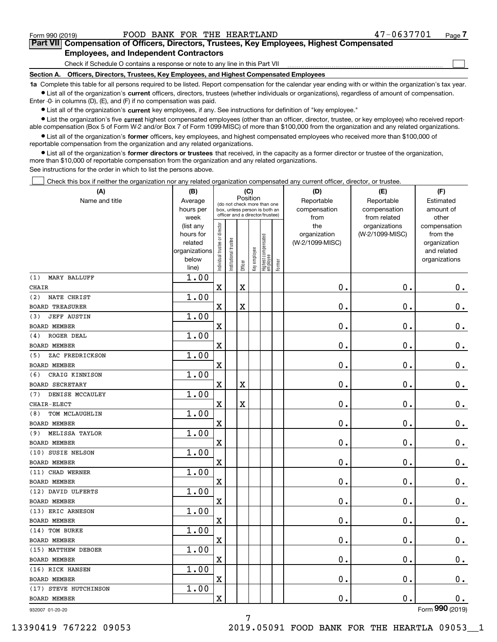$\mathcal{L}^{\text{max}}$ 

# **7Part VII Compensation of Officers, Directors, Trustees, Key Employees, Highest Compensated Employees, and Independent Contractors**

Check if Schedule O contains a response or note to any line in this Part VII

**Section A. Officers, Directors, Trustees, Key Employees, and Highest Compensated Employees**

**1a**  Complete this table for all persons required to be listed. Report compensation for the calendar year ending with or within the organization's tax year. **•** List all of the organization's current officers, directors, trustees (whether individuals or organizations), regardless of amount of compensation.

Enter -0- in columns (D), (E), and (F) if no compensation was paid.

 $\bullet$  List all of the organization's  $\,$ current key employees, if any. See instructions for definition of "key employee."

**•** List the organization's five current highest compensated employees (other than an officer, director, trustee, or key employee) who received reportable compensation (Box 5 of Form W-2 and/or Box 7 of Form 1099-MISC) of more than \$100,000 from the organization and any related organizations.

**•** List all of the organization's former officers, key employees, and highest compensated employees who received more than \$100,000 of reportable compensation from the organization and any related organizations.

**former directors or trustees**  ¥ List all of the organization's that received, in the capacity as a former director or trustee of the organization, more than \$10,000 of reportable compensation from the organization and any related organizations.

See instructions for the order in which to list the persons above.

Check this box if neither the organization nor any related organization compensated any current officer, director, or trustee.  $\mathcal{L}^{\text{max}}$ 

| (A)                          | (B)                      |                                |                       | (C)         |              |                                  |        | (D)             | (E)                | (F)                         |
|------------------------------|--------------------------|--------------------------------|-----------------------|-------------|--------------|----------------------------------|--------|-----------------|--------------------|-----------------------------|
| Name and title               | Average                  |                                |                       | Position    |              | (do not check more than one      |        | Reportable      | Reportable         | Estimated                   |
|                              | hours per                |                                |                       |             |              | box, unless person is both an    |        | compensation    | compensation       | amount of                   |
|                              | week                     |                                |                       |             |              | officer and a director/trustee)  |        | from            | from related       | other                       |
|                              | (list any                |                                |                       |             |              |                                  |        | the             | organizations      | compensation                |
|                              | hours for                |                                |                       |             |              |                                  |        | organization    | (W-2/1099-MISC)    | from the                    |
|                              | related<br>organizations |                                |                       |             |              |                                  |        | (W-2/1099-MISC) |                    | organization<br>and related |
|                              | below                    |                                |                       |             |              |                                  |        |                 |                    | organizations               |
|                              | line)                    | Individual trustee or director | Institutional trustee | Officer     | Key employee | Highest compensated<br> employee | Former |                 |                    |                             |
| MARY BALLUFF<br>(1)          | 1.00                     |                                |                       |             |              |                                  |        |                 |                    |                             |
| <b>CHAIR</b>                 |                          | $\overline{\mathbf{X}}$        |                       | $\mathbf X$ |              |                                  |        | 0.              | 0.                 | 0.                          |
| NATE CHRIST<br>(2)           | 1.00                     |                                |                       |             |              |                                  |        |                 |                    |                             |
| <b>BOARD TREASURER</b>       |                          | X                              |                       | $\mathbf X$ |              |                                  |        | 0.              | 0.                 | 0.                          |
| <b>JEFF AUSTIN</b><br>(3)    | 1.00                     |                                |                       |             |              |                                  |        |                 |                    |                             |
| <b>BOARD MEMBER</b>          |                          | X                              |                       |             |              |                                  |        | 0.              | 0.                 | 0.                          |
| ROGER DEAL<br>(4)            | 1.00                     |                                |                       |             |              |                                  |        |                 |                    |                             |
| <b>BOARD MEMBER</b>          |                          | X                              |                       |             |              |                                  |        | 0.              | 0.                 | $0$ .                       |
| ZAC FREDRICKSON<br>(5)       | 1.00                     |                                |                       |             |              |                                  |        |                 |                    |                             |
| <b>BOARD MEMBER</b>          |                          | X                              |                       |             |              |                                  |        | 0.              | 0.                 | $0$ .                       |
| CRAIG KINNISON<br>(6)        | 1.00                     |                                |                       |             |              |                                  |        |                 |                    |                             |
| <b>BOARD SECRETARY</b>       |                          | X                              |                       | X           |              |                                  |        | 0.              | 0.                 | $0$ .                       |
| DENISE MCCAULEY<br>(7)       | 1.00                     |                                |                       |             |              |                                  |        |                 |                    |                             |
| CHAIR-ELECT                  |                          | X                              |                       | $\mathbf X$ |              |                                  |        | 0.              | 0.                 | $0$ .                       |
| TOM MCLAUGHLIN<br>(8)        | 1.00                     |                                |                       |             |              |                                  |        |                 |                    |                             |
| <b>BOARD MEMBER</b>          |                          | X                              |                       |             |              |                                  |        | 0.              | 0.                 | $0$ .                       |
| <b>MELISSA TAYLOR</b><br>(9) | 1.00                     |                                |                       |             |              |                                  |        |                 |                    |                             |
| <b>BOARD MEMBER</b>          |                          | X                              |                       |             |              |                                  |        | 0.              | 0.                 | $\mathbf 0$ .               |
| (10) SUSIE NELSON            | 1.00                     |                                |                       |             |              |                                  |        |                 |                    |                             |
| <b>BOARD MEMBER</b>          |                          | X                              |                       |             |              |                                  |        | 0.              | 0.                 | $\mathbf 0$ .               |
| (11) CHAD WERNER             | 1.00                     |                                |                       |             |              |                                  |        |                 |                    |                             |
| <b>BOARD MEMBER</b>          |                          | X                              |                       |             |              |                                  |        | 0.              | 0.                 | $0$ .                       |
| (12) DAVID ULFERTS           | 1.00                     |                                |                       |             |              |                                  |        |                 |                    |                             |
| <b>BOARD MEMBER</b>          |                          | X                              |                       |             |              |                                  |        | 0.              | 0.                 | 0.                          |
| (13) ERIC ARNESON            | 1.00                     |                                |                       |             |              |                                  |        |                 |                    |                             |
| <b>BOARD MEMBER</b>          |                          | X                              |                       |             |              |                                  |        | 0.              | 0.                 | 0.                          |
| (14) TOM BURKE               | 1.00                     |                                |                       |             |              |                                  |        |                 |                    |                             |
| <b>BOARD MEMBER</b>          |                          | X                              |                       |             |              |                                  |        | 0.              | 0.                 | 0.                          |
| (15) MATTHEW DEBOER          | 1.00                     |                                |                       |             |              |                                  |        |                 |                    |                             |
| BOARD MEMBER                 |                          | X                              |                       |             |              |                                  |        | $\mathbf 0$ .   | $\mathbf 0$ .      | 0.                          |
| (16) RICK HANSEN             | 1.00                     |                                |                       |             |              |                                  |        |                 |                    |                             |
| BOARD MEMBER                 |                          | $\mathbf X$                    |                       |             |              |                                  |        | 0.              | $\boldsymbol{0}$ . | $0_{.}$                     |
| (17) STEVE HUTCHINSON        | 1.00                     |                                |                       |             |              |                                  |        |                 |                    |                             |
| BOARD MEMBER                 |                          | $\mathbf X$                    |                       |             |              |                                  |        | 0.              | $\mathbf 0$ .      | 0.                          |
| 932007 01-20-20              |                          |                                |                       |             |              |                                  |        |                 |                    | Form 990 (2019)             |

7

932007 01-20-20

13390419 767222 09053 2019.05091 FOOD BANK FOR THE HEARTLA 09053\_\_1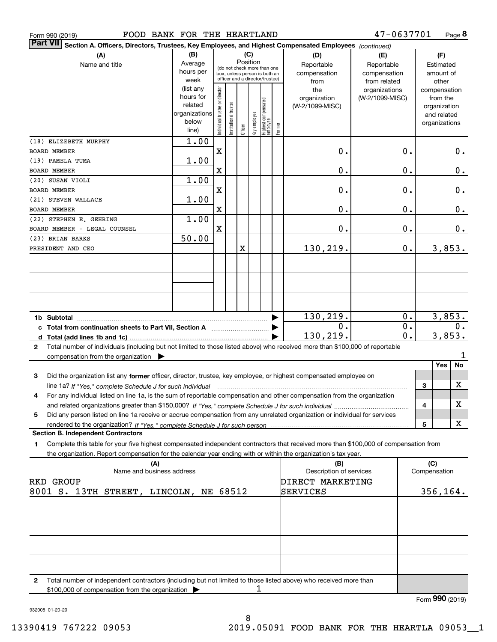| FOOD BANK FOR THE HEARTLAND<br>Form 990 (2019)                                                                                                  |               |                               |                      |          |              |                                                              |        |                         | 47-0637701      |                  |                 | Page 8 |
|-------------------------------------------------------------------------------------------------------------------------------------------------|---------------|-------------------------------|----------------------|----------|--------------|--------------------------------------------------------------|--------|-------------------------|-----------------|------------------|-----------------|--------|
| <b>Part VII</b><br>Section A. Officers, Directors, Trustees, Key Employees, and Highest Compensated Employees (continued)                       |               |                               |                      |          |              |                                                              |        |                         |                 |                  |                 |        |
| (A)                                                                                                                                             | (B)           |                               |                      | (C)      |              |                                                              |        | (D)                     | (E)             |                  | (F)             |        |
| Name and title                                                                                                                                  | Average       |                               |                      | Position |              |                                                              |        | Reportable              | Reportable      |                  | Estimated       |        |
|                                                                                                                                                 | hours per     |                               |                      |          |              | (do not check more than one<br>box, unless person is both an |        | compensation            | compensation    |                  | amount of       |        |
|                                                                                                                                                 | week          |                               |                      |          |              | officer and a director/trustee)                              |        | from                    | from related    |                  | other           |        |
|                                                                                                                                                 | (list any     |                               |                      |          |              |                                                              |        | the                     | organizations   |                  | compensation    |        |
|                                                                                                                                                 | hours for     |                               |                      |          |              |                                                              |        | organization            | (W-2/1099-MISC) |                  | from the        |        |
|                                                                                                                                                 | related       |                               |                      |          |              |                                                              |        | (W-2/1099-MISC)         |                 |                  | organization    |        |
|                                                                                                                                                 | organizations |                               |                      |          |              |                                                              |        |                         |                 |                  | and related     |        |
|                                                                                                                                                 | below         |                               |                      |          |              |                                                              |        |                         |                 |                  | organizations   |        |
|                                                                                                                                                 | line)         | ndividual trustee or director | nstitutional trustee | Officer  | Key employee | Highest compensated<br> employee                             | Former |                         |                 |                  |                 |        |
| (18) ELIZEBETH MURPHY                                                                                                                           | 1.00          |                               |                      |          |              |                                                              |        |                         |                 |                  |                 |        |
| <b>BOARD MEMBER</b>                                                                                                                             |               | X                             |                      |          |              |                                                              |        | 0.                      |                 | 0.               |                 | 0.     |
| (19) PAMELA TUMA                                                                                                                                | 1.00          |                               |                      |          |              |                                                              |        |                         |                 |                  |                 |        |
|                                                                                                                                                 |               |                               |                      |          |              |                                                              |        |                         |                 |                  |                 |        |
| <b>BOARD MEMBER</b>                                                                                                                             |               | Χ                             |                      |          |              |                                                              |        | 0.                      |                 | 0.               |                 | 0.     |
| (20) SUSAN VIOLI                                                                                                                                | 1.00          |                               |                      |          |              |                                                              |        |                         |                 |                  |                 |        |
| <b>BOARD MEMBER</b>                                                                                                                             |               | Χ                             |                      |          |              |                                                              |        | 0.                      |                 | 0.               |                 | 0.     |
| (21) STEVEN WALLACE                                                                                                                             | 1.00          |                               |                      |          |              |                                                              |        |                         |                 |                  |                 |        |
| <b>BOARD MEMBER</b>                                                                                                                             |               | X                             |                      |          |              |                                                              |        | 0.                      |                 | 0.               |                 | 0.     |
| (22) STEPHEN E. GEHRING                                                                                                                         | 1.00          |                               |                      |          |              |                                                              |        |                         |                 |                  |                 |        |
| BOARD MEMBER - LEGAL COUNSEL                                                                                                                    |               | $\mathbf X$                   |                      |          |              |                                                              |        | 0.                      |                 | 0.               |                 | $0$ .  |
| (23) BRIAN BARKS                                                                                                                                | 50.00         |                               |                      |          |              |                                                              |        |                         |                 |                  |                 |        |
| PRESIDENT AND CEO                                                                                                                               |               |                               |                      | X        |              |                                                              |        | 130,219.                |                 |                  |                 | 3,853. |
|                                                                                                                                                 |               |                               |                      |          |              |                                                              |        |                         |                 | 0.               |                 |        |
|                                                                                                                                                 |               |                               |                      |          |              |                                                              |        |                         |                 |                  |                 |        |
|                                                                                                                                                 |               |                               |                      |          |              |                                                              |        |                         |                 |                  |                 |        |
|                                                                                                                                                 |               |                               |                      |          |              |                                                              |        |                         |                 |                  |                 |        |
|                                                                                                                                                 |               |                               |                      |          |              |                                                              |        |                         |                 |                  |                 |        |
|                                                                                                                                                 |               |                               |                      |          |              |                                                              |        |                         |                 |                  |                 |        |
|                                                                                                                                                 |               |                               |                      |          |              |                                                              |        |                         |                 |                  |                 |        |
|                                                                                                                                                 |               |                               |                      |          |              |                                                              |        | 130,219.                |                 | $\overline{0}$ . |                 | 3,853. |
| c Total from continuation sheets to Part VII, Section A manufactured by                                                                         |               |                               |                      |          |              |                                                              |        | 0.                      |                 | $\overline{0}$ . |                 | 0.     |
|                                                                                                                                                 |               |                               |                      |          |              |                                                              |        | 130,219.                |                 | 0.               |                 | 3,853. |
| Total number of individuals (including but not limited to those listed above) who received more than \$100,000 of reportable                    |               |                               |                      |          |              |                                                              |        |                         |                 |                  |                 |        |
| 2                                                                                                                                               |               |                               |                      |          |              |                                                              |        |                         |                 |                  |                 |        |
| compensation from the organization $\blacktriangleright$                                                                                        |               |                               |                      |          |              |                                                              |        |                         |                 |                  |                 | 1      |
|                                                                                                                                                 |               |                               |                      |          |              |                                                              |        |                         |                 |                  | Yes             | No     |
| 3<br>Did the organization list any former officer, director, trustee, key employee, or highest compensated employee on                          |               |                               |                      |          |              |                                                              |        |                         |                 |                  |                 |        |
| line 1a? If "Yes," complete Schedule J for such individual manufactured contained and the 1a? If "Yes," complete Schedule J for such individual |               |                               |                      |          |              |                                                              |        |                         |                 |                  | 3               | X      |
| For any individual listed on line 1a, is the sum of reportable compensation and other compensation from the organization                        |               |                               |                      |          |              |                                                              |        |                         |                 |                  |                 |        |
|                                                                                                                                                 |               |                               |                      |          |              |                                                              |        |                         |                 |                  | 4               | x      |
| Did any person listed on line 1a receive or accrue compensation from any unrelated organization or individual for services<br>5                 |               |                               |                      |          |              |                                                              |        |                         |                 |                  |                 |        |
| rendered to the organization? If "Yes." complete Schedule J for such person                                                                     |               |                               |                      |          |              |                                                              |        |                         |                 |                  | 5               | X      |
| <b>Section B. Independent Contractors</b>                                                                                                       |               |                               |                      |          |              |                                                              |        |                         |                 |                  |                 |        |
|                                                                                                                                                 |               |                               |                      |          |              |                                                              |        |                         |                 |                  |                 |        |
| Complete this table for your five highest compensated independent contractors that received more than \$100,000 of compensation from<br>1       |               |                               |                      |          |              |                                                              |        |                         |                 |                  |                 |        |
| the organization. Report compensation for the calendar year ending with or within the organization's tax year.                                  |               |                               |                      |          |              |                                                              |        |                         |                 |                  |                 |        |
| (A)                                                                                                                                             |               |                               |                      |          |              |                                                              |        | (B)                     |                 |                  | (C)             |        |
| Name and business address                                                                                                                       |               |                               |                      |          |              |                                                              |        | Description of services |                 |                  | Compensation    |        |
| RKD GROUP                                                                                                                                       |               |                               |                      |          |              |                                                              |        | DIRECT MARKETING        |                 |                  |                 |        |
| 8001 S. 13TH STREET, LINCOLN, NE 68512                                                                                                          |               |                               |                      |          |              |                                                              |        | <b>SERVICES</b>         |                 |                  | 356, 164.       |        |
|                                                                                                                                                 |               |                               |                      |          |              |                                                              |        |                         |                 |                  |                 |        |
|                                                                                                                                                 |               |                               |                      |          |              |                                                              |        |                         |                 |                  |                 |        |
|                                                                                                                                                 |               |                               |                      |          |              |                                                              |        |                         |                 |                  |                 |        |
|                                                                                                                                                 |               |                               |                      |          |              |                                                              |        |                         |                 |                  |                 |        |
|                                                                                                                                                 |               |                               |                      |          |              |                                                              |        |                         |                 |                  |                 |        |
|                                                                                                                                                 |               |                               |                      |          |              |                                                              |        |                         |                 |                  |                 |        |
|                                                                                                                                                 |               |                               |                      |          |              |                                                              |        |                         |                 |                  |                 |        |
|                                                                                                                                                 |               |                               |                      |          |              |                                                              |        |                         |                 |                  |                 |        |
|                                                                                                                                                 |               |                               |                      |          |              |                                                              |        |                         |                 |                  |                 |        |
| Total number of independent contractors (including but not limited to those listed above) who received more than<br>2                           |               |                               |                      |          |              |                                                              |        |                         |                 |                  |                 |        |
| \$100,000 of compensation from the organization                                                                                                 |               |                               |                      |          | 1            |                                                              |        |                         |                 |                  |                 |        |
|                                                                                                                                                 |               |                               |                      |          |              |                                                              |        |                         |                 |                  | Form 990 (2019) |        |

932008 01-20-20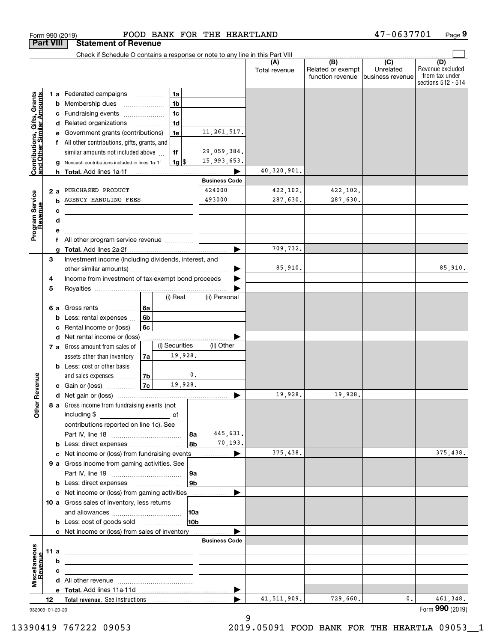|                                                           |                  | Form 990 (2019)                                                                                                        |                | FOOD BANK FOR THE HEARTLAND |                      |                                                           | 47-0637701                                        | Page 9                                                          |
|-----------------------------------------------------------|------------------|------------------------------------------------------------------------------------------------------------------------|----------------|-----------------------------|----------------------|-----------------------------------------------------------|---------------------------------------------------|-----------------------------------------------------------------|
|                                                           | <b>Part VIII</b> | <b>Statement of Revenue</b>                                                                                            |                |                             |                      |                                                           |                                                   |                                                                 |
|                                                           |                  | Check if Schedule O contains a response or note to any line in this Part VIII                                          |                |                             |                      |                                                           |                                                   |                                                                 |
|                                                           |                  |                                                                                                                        |                |                             | (A)<br>Total revenue | $\overline{(B)}$<br>Related or exempt<br>function revenue | $\overline{(C)}$<br>Unrelated<br>business revenue | (D)<br>Revenue excluded<br>from tax under<br>sections 512 - 514 |
|                                                           |                  | 1 a Federated campaigns                                                                                                | 1a             |                             |                      |                                                           |                                                   |                                                                 |
|                                                           | b                | Membership dues                                                                                                        | 1 <sub>b</sub> |                             |                      |                                                           |                                                   |                                                                 |
|                                                           | c                | Fundraising events                                                                                                     | 1 <sub>c</sub> |                             |                      |                                                           |                                                   |                                                                 |
|                                                           |                  | d Related organizations                                                                                                | 1 <sub>d</sub> |                             |                      |                                                           |                                                   |                                                                 |
|                                                           |                  | Government grants (contributions)                                                                                      | 1e             | 11, 261, 517.               |                      |                                                           |                                                   |                                                                 |
|                                                           |                  | All other contributions, gifts, grants, and                                                                            |                |                             |                      |                                                           |                                                   |                                                                 |
|                                                           |                  | similar amounts not included above                                                                                     | 1f             | 29,059,384.                 |                      |                                                           |                                                   |                                                                 |
| Contributions, Gifts, Grants<br>and Other Similar Amounts |                  | Noncash contributions included in lines 1a-1f                                                                          | $1g$ \$        | 15,993,653.                 |                      |                                                           |                                                   |                                                                 |
|                                                           |                  |                                                                                                                        |                |                             | 40,320,901.          |                                                           |                                                   |                                                                 |
|                                                           |                  |                                                                                                                        |                | <b>Business Code</b>        |                      |                                                           |                                                   |                                                                 |
|                                                           | 2a               | PURCHASED PRODUCT                                                                                                      |                | 424000                      | 422,102.             | 422,102.                                                  |                                                   |                                                                 |
| Program Service<br>Revenue                                | b                | AGENCY HANDLING FEES                                                                                                   |                | 493000                      | 287,630.             | 287,630.                                                  |                                                   |                                                                 |
|                                                           | с                | <u> 1980 - Johann Barbara, martxa alemaniar a</u>                                                                      |                |                             |                      |                                                           |                                                   |                                                                 |
|                                                           | d                | <u> 1989 - Johann Stein, marwolaethau a bhann an t-Albann an t-Albann an t-Albann an t-Albann an t-Albann an t-Alb</u> |                |                             |                      |                                                           |                                                   |                                                                 |
|                                                           |                  |                                                                                                                        |                |                             |                      |                                                           |                                                   |                                                                 |
|                                                           |                  | f All other program service revenue                                                                                    |                |                             |                      |                                                           |                                                   |                                                                 |
|                                                           |                  |                                                                                                                        |                | ▶                           | 709,732.             |                                                           |                                                   |                                                                 |
|                                                           | 3                | Investment income (including dividends, interest, and                                                                  |                |                             |                      |                                                           |                                                   |                                                                 |
|                                                           |                  |                                                                                                                        |                |                             | 85,910.              |                                                           |                                                   | 85,910.                                                         |
|                                                           | 4                | Income from investment of tax-exempt bond proceeds                                                                     |                |                             |                      |                                                           |                                                   |                                                                 |
|                                                           | 5                |                                                                                                                        |                |                             |                      |                                                           |                                                   |                                                                 |
|                                                           |                  |                                                                                                                        | (i) Real       | (ii) Personal               |                      |                                                           |                                                   |                                                                 |
|                                                           | 6а               | Gross rents<br>6a<br>.                                                                                                 |                |                             |                      |                                                           |                                                   |                                                                 |
|                                                           | b                | 6b<br>Less: rental expenses                                                                                            |                |                             |                      |                                                           |                                                   |                                                                 |
|                                                           | c                | 6c<br>Rental income or (loss)                                                                                          |                |                             |                      |                                                           |                                                   |                                                                 |
|                                                           |                  | d Net rental income or (loss)                                                                                          |                |                             |                      |                                                           |                                                   |                                                                 |
|                                                           |                  | 7 a Gross amount from sales of                                                                                         | (i) Securities | (ii) Other                  |                      |                                                           |                                                   |                                                                 |
|                                                           |                  | assets other than inventory<br>7a                                                                                      | 19,928.        |                             |                      |                                                           |                                                   |                                                                 |
|                                                           |                  | <b>b</b> Less: cost or other basis                                                                                     |                |                             |                      |                                                           |                                                   |                                                                 |
|                                                           |                  | 7b<br>and sales expenses                                                                                               |                | 0.                          |                      |                                                           |                                                   |                                                                 |
| evenue                                                    |                  | 7c<br>c Gain or (loss)                                                                                                 | 19,928.        |                             |                      |                                                           |                                                   |                                                                 |
| œ                                                         |                  |                                                                                                                        |                |                             | 19,928.              | 19,928.                                                   |                                                   |                                                                 |
| Other                                                     |                  | 8 a Gross income from fundraising events (not                                                                          |                |                             |                      |                                                           |                                                   |                                                                 |
|                                                           |                  | including \$<br><u>of</u> of                                                                                           |                |                             |                      |                                                           |                                                   |                                                                 |
|                                                           |                  | contributions reported on line 1c). See                                                                                |                |                             |                      |                                                           |                                                   |                                                                 |
|                                                           |                  |                                                                                                                        |                | 445,631.<br>  8a            |                      |                                                           |                                                   |                                                                 |
|                                                           |                  | <b>b</b> Less: direct expenses <i>manually contained</i>                                                               |                | 70,193.<br>8b               |                      |                                                           |                                                   |                                                                 |
|                                                           |                  |                                                                                                                        |                |                             | 375,438.             |                                                           |                                                   | 375,438.                                                        |
|                                                           |                  | 9 a Gross income from gaming activities. See                                                                           |                |                             |                      |                                                           |                                                   |                                                                 |
|                                                           |                  |                                                                                                                        |                | 9a                          |                      |                                                           |                                                   |                                                                 |
|                                                           |                  | <b>b</b> Less: direct expenses <b>manually</b>                                                                         |                | 9 <sub>b</sub>              |                      |                                                           |                                                   |                                                                 |
|                                                           |                  | c Net income or (loss) from gaming activities _______________                                                          |                |                             |                      |                                                           |                                                   |                                                                 |
|                                                           |                  | 10 a Gross sales of inventory, less returns                                                                            |                |                             |                      |                                                           |                                                   |                                                                 |
|                                                           |                  |                                                                                                                        |                | 10a                         |                      |                                                           |                                                   |                                                                 |
|                                                           |                  | <b>b</b> Less: cost of goods sold                                                                                      |                | 10 <sub>b</sub>             |                      |                                                           |                                                   |                                                                 |
|                                                           |                  | c Net income or (loss) from sales of inventory                                                                         |                |                             |                      |                                                           |                                                   |                                                                 |
|                                                           |                  |                                                                                                                        |                | <b>Business Code</b>        |                      |                                                           |                                                   |                                                                 |
|                                                           | 11 a             | <u> 1989 - Johann Barn, mars ann an t-Amhain ann an t-Amhain an t-Amhain an t-Amhain an t-Amhain an t-Amhain an t-</u> |                |                             |                      |                                                           |                                                   |                                                                 |
| Revenue                                                   | b                |                                                                                                                        |                |                             |                      |                                                           |                                                   |                                                                 |
|                                                           | с                | the contract of the contract of the contract of the contract of the contract of                                        |                |                             |                      |                                                           |                                                   |                                                                 |
| Miscellaneous                                             |                  |                                                                                                                        |                |                             |                      |                                                           |                                                   |                                                                 |
|                                                           |                  |                                                                                                                        |                | ▶                           |                      |                                                           |                                                   |                                                                 |
|                                                           | 12               |                                                                                                                        |                |                             | 41, 511, 909.        | 729,660.                                                  | 0.                                                | 461,348.                                                        |
|                                                           | 932009 01-20-20  |                                                                                                                        |                |                             |                      |                                                           |                                                   | Form 990 (2019)                                                 |

9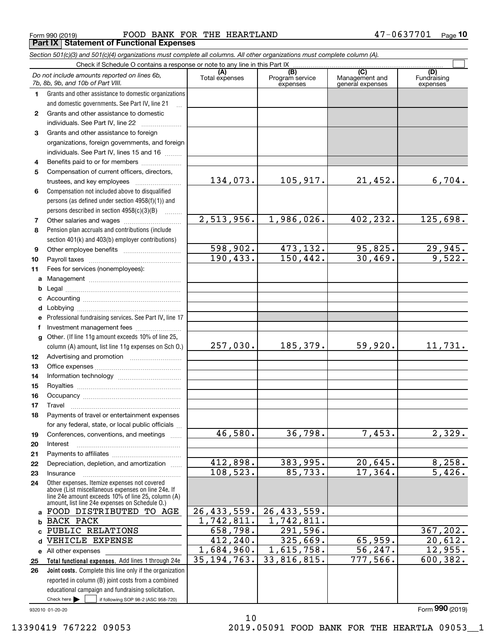Form 990 (2019) Page **Part IX Statement of Functional Expenses** FOOD BANK FOR THE HEARTLAND 47-0637701

*Section 501(c)(3) and 501(c)(4) organizations must complete all columns. All other organizations must complete column (A).*

|                  | Do not include amounts reported on lines 6b,<br>7b, 8b, 9b, and 10b of Part VIII.                        | (A)<br>Total expenses | (B)<br>Program service<br>expenses | $\overline{C}$<br>Management and<br>general expenses | (D)<br>Fundraising<br>expenses |
|------------------|----------------------------------------------------------------------------------------------------------|-----------------------|------------------------------------|------------------------------------------------------|--------------------------------|
| 1                | Grants and other assistance to domestic organizations                                                    |                       |                                    |                                                      |                                |
|                  | and domestic governments. See Part IV, line 21                                                           |                       |                                    |                                                      |                                |
| 2                | Grants and other assistance to domestic                                                                  |                       |                                    |                                                      |                                |
|                  | individuals. See Part IV, line 22                                                                        |                       |                                    |                                                      |                                |
| 3                | Grants and other assistance to foreign                                                                   |                       |                                    |                                                      |                                |
|                  | organizations, foreign governments, and foreign                                                          |                       |                                    |                                                      |                                |
|                  | individuals. See Part IV, lines 15 and 16                                                                |                       |                                    |                                                      |                                |
| 4                | Benefits paid to or for members                                                                          |                       |                                    |                                                      |                                |
| 5                | Compensation of current officers, directors,                                                             |                       |                                    |                                                      |                                |
|                  | trustees, and key employees                                                                              | 134,073.              | 105, 917.                          | 21,452.                                              | 6,704.                         |
| 6                | Compensation not included above to disqualified                                                          |                       |                                    |                                                      |                                |
|                  | persons (as defined under section 4958(f)(1)) and                                                        |                       |                                    |                                                      |                                |
|                  | persons described in section 4958(c)(3)(B)                                                               |                       |                                    |                                                      |                                |
| 7                |                                                                                                          | 2,513,956.            | 1,986,026.                         | 402,232.                                             | 125,698.                       |
| 8                | Pension plan accruals and contributions (include                                                         |                       |                                    |                                                      |                                |
|                  | section 401(k) and 403(b) employer contributions)                                                        |                       |                                    |                                                      |                                |
| 9                |                                                                                                          | 598,902.              | 473,132.                           | 95,825.                                              | 29,945.<br>9,522.              |
| 10               |                                                                                                          | 190, 433.             | 150, 442.                          | 30,469.                                              |                                |
| 11               | Fees for services (nonemployees):                                                                        |                       |                                    |                                                      |                                |
| a                |                                                                                                          |                       |                                    |                                                      |                                |
| b                |                                                                                                          |                       |                                    |                                                      |                                |
| c                |                                                                                                          |                       |                                    |                                                      |                                |
| d                |                                                                                                          |                       |                                    |                                                      |                                |
| е<br>f           | Professional fundraising services. See Part IV, line 17                                                  |                       |                                    |                                                      |                                |
| $\mathbf{q}$     | Investment management fees<br>Other. (If line 11g amount exceeds 10% of line 25,                         |                       |                                    |                                                      |                                |
|                  | column (A) amount, list line 11g expenses on Sch 0.)                                                     | 257,030.              | 185, 379.                          | 59,920.                                              | 11,731.                        |
| 12 <sup>12</sup> |                                                                                                          |                       |                                    |                                                      |                                |
| 13               |                                                                                                          |                       |                                    |                                                      |                                |
| 14               |                                                                                                          |                       |                                    |                                                      |                                |
| 15               |                                                                                                          |                       |                                    |                                                      |                                |
| 16               |                                                                                                          |                       |                                    |                                                      |                                |
| 17               | Travel                                                                                                   |                       |                                    |                                                      |                                |
| 18               | Payments of travel or entertainment expenses                                                             |                       |                                    |                                                      |                                |
|                  | for any federal, state, or local public officials                                                        |                       |                                    |                                                      |                                |
| 19               | Conferences, conventions, and meetings                                                                   | 46,580.               | 36,798.                            | 7,453.                                               | 2,329.                         |
| 20               | Interest                                                                                                 |                       |                                    |                                                      |                                |
| 21               |                                                                                                          |                       |                                    |                                                      |                                |
| 22               | Depreciation, depletion, and amortization                                                                | 412,898.              | 383,995.                           | 20,645.                                              | 8,258.                         |
| 23               | Insurance                                                                                                | 108, 523.             | 85,733.                            | 17,364.                                              | 5,426.                         |
| 24               | Other expenses. Itemize expenses not covered                                                             |                       |                                    |                                                      |                                |
|                  | above (List miscellaneous expenses on line 24e. If<br>line 24e amount exceeds 10% of line 25, column (A) |                       |                                    |                                                      |                                |
|                  | amount, list line 24e expenses on Schedule 0.)                                                           |                       |                                    |                                                      |                                |
| a                | FOOD DISTRIBUTED TO AGE                                                                                  | 26, 433, 559.         | 26, 433, 559.                      |                                                      |                                |
| b                | <b>BACK PACK</b>                                                                                         | 1,742,811.            | 1,742,811.                         |                                                      |                                |
| c                | PUBLIC RELATIONS                                                                                         | 658,798.              | 291,596.                           |                                                      | 367, 202.                      |
| d                | VEHICLE EXPENSE                                                                                          | 412, 240.             | 325,669.                           | 65,959.                                              | 20,612.                        |
|                  | e All other expenses                                                                                     | 1,684,960.            | 1,615,758.                         | 56,247.                                              | 12,955.                        |
| 25               | Total functional expenses. Add lines 1 through 24e                                                       | 35, 194, 763.         | 33,816,815.                        | 777,566.                                             | 600, 382.                      |
| 26               | Joint costs. Complete this line only if the organization                                                 |                       |                                    |                                                      |                                |
|                  | reported in column (B) joint costs from a combined                                                       |                       |                                    |                                                      |                                |
|                  | educational campaign and fundraising solicitation.                                                       |                       |                                    |                                                      |                                |
|                  | Check here $\blacktriangleright$<br>if following SOP 98-2 (ASC 958-720)                                  |                       |                                    |                                                      | Form 990 (2019)                |
|                  | 932010 01-20-20                                                                                          |                       |                                    |                                                      |                                |

10

13390419 767222 09053 2019.05091 FOOD BANK FOR THE HEARTLA 09053\_\_1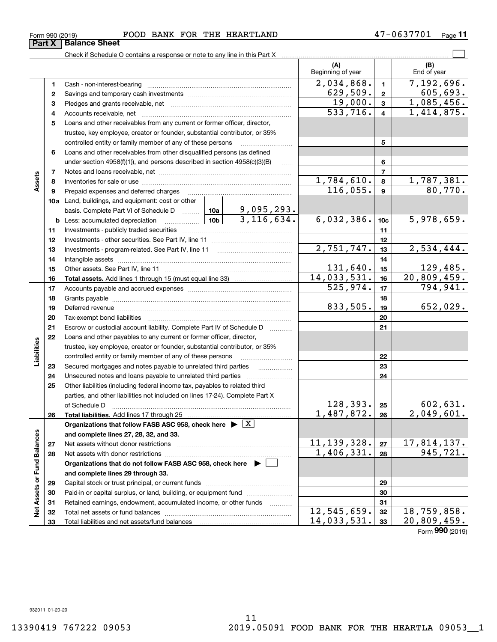# 11

 $12,545,659.$   $32$  18,759,858. 14,033,531. 20,809,459.

| FOOD BANK FOR THE HEARTLAND<br>(019)                                          |                          |                | 47-0637701<br>Page 11 |
|-------------------------------------------------------------------------------|--------------------------|----------------|-----------------------|
| <b>Balance Sheet</b>                                                          |                          |                |                       |
| Check if Schedule O contains a response or note to any line in this Part X    |                          |                |                       |
|                                                                               | (A)<br>Beginning of year |                | (B)<br>End of year    |
| Cash - non-interest-bearing                                                   | 2,034,868.               |                | 7,192,696.            |
|                                                                               | 629,509.                 | $\overline{2}$ | 605,693.              |
|                                                                               | 19,000.                  | 3              | 1,085,456.            |
| Accounts receivable, net                                                      | 533,716.                 | 4              | 1,414,875.            |
| Loans and other receivables from any current or former officer, director,     |                          |                |                       |
| trustee, key employee, creator or founder, substantial contributor, or 35%    |                          |                |                       |
| controlled entity or family member of any of these persons                    |                          | 5              |                       |
| Loans and other receivables from other disqualified persons (as defined       |                          |                |                       |
| under section $4958(f)(1)$ , and persons described in section $4958(c)(3)(B)$ |                          | 6              |                       |
| Notes and loans receivable, net                                               |                          |                |                       |

|                   | 3              |                                                                                                                                                                                                                                |  |                         | 19,000.       | $\mathbf 3$             | 1,085,456.  |
|-------------------|----------------|--------------------------------------------------------------------------------------------------------------------------------------------------------------------------------------------------------------------------------|--|-------------------------|---------------|-------------------------|-------------|
|                   | 4              |                                                                                                                                                                                                                                |  |                         | 533,716.      | $\overline{\mathbf{4}}$ | 1,414,875.  |
|                   | 5              | Loans and other receivables from any current or former officer, director,                                                                                                                                                      |  |                         |               |                         |             |
|                   |                | trustee, key employee, creator or founder, substantial contributor, or 35%                                                                                                                                                     |  |                         |               |                         |             |
|                   |                | controlled entity or family member of any of these persons                                                                                                                                                                     |  | 5                       |               |                         |             |
|                   | 6              | Loans and other receivables from other disqualified persons (as defined                                                                                                                                                        |  |                         |               |                         |             |
|                   |                | under section $4958(f)(1)$ , and persons described in section $4958(c)(3)(B)$                                                                                                                                                  |  | 6                       |               |                         |             |
|                   | $\overline{7}$ |                                                                                                                                                                                                                                |  | $\overline{\mathbf{r}}$ |               |                         |             |
| Assets            | 8              |                                                                                                                                                                                                                                |  |                         | 1,784,610.    | 8                       | 1,787,381.  |
|                   | 9              | Prepaid expenses and deferred charges                                                                                                                                                                                          |  |                         | 116,055.      | 9                       | 80,770.     |
|                   |                | <b>10a</b> Land, buildings, and equipment: cost or other                                                                                                                                                                       |  |                         |               |                         |             |
|                   |                | basis. Complete Part VI of Schedule D  10a                                                                                                                                                                                     |  | 9,095,293.              |               |                         |             |
|                   |                | <b>b</b> Less: accumulated depreciation $\frac{10b}{3,116}$ , 634.                                                                                                                                                             |  |                         | 6,032,386.    | 10 <sub>c</sub>         | 5,978,659.  |
|                   | 11             |                                                                                                                                                                                                                                |  |                         |               | 11                      |             |
|                   | 12             |                                                                                                                                                                                                                                |  |                         |               | 12                      |             |
|                   | 13             |                                                                                                                                                                                                                                |  |                         | 2,751,747.    | 13                      | 2,534,444.  |
|                   | 14             |                                                                                                                                                                                                                                |  |                         | 14            |                         |             |
|                   | 15             |                                                                                                                                                                                                                                |  |                         | 131,640.      | 15                      | 129,485.    |
|                   | 16             |                                                                                                                                                                                                                                |  |                         | 14,033,531.   | 16                      | 20,809,459. |
|                   | 17             |                                                                                                                                                                                                                                |  |                         | 525,974.      | 17                      | 794,941.    |
|                   | 18             |                                                                                                                                                                                                                                |  |                         |               | 18                      |             |
|                   | 19             | Deferred revenue manual contracts and contracts are all the contracts and contracts are contracted and contracts are contracted and contract are contracted and contract are contracted and contract are contracted and contra |  | 833,505.                | 19            | 652,029.                |             |
|                   | 20             |                                                                                                                                                                                                                                |  | 20                      |               |                         |             |
|                   | 21             | Escrow or custodial account liability. Complete Part IV of Schedule D                                                                                                                                                          |  | 21                      |               |                         |             |
|                   | 22             | Loans and other payables to any current or former officer, director,                                                                                                                                                           |  |                         |               |                         |             |
| Liabilities       |                | trustee, key employee, creator or founder, substantial contributor, or 35%                                                                                                                                                     |  |                         |               |                         |             |
|                   |                | controlled entity or family member of any of these persons                                                                                                                                                                     |  |                         |               | 22                      |             |
|                   | 23             | Secured mortgages and notes payable to unrelated third parties                                                                                                                                                                 |  |                         |               | 23                      |             |
|                   | 24             |                                                                                                                                                                                                                                |  |                         |               | 24                      |             |
|                   | 25             | Other liabilities (including federal income tax, payables to related third                                                                                                                                                     |  |                         |               |                         |             |
|                   |                | parties, and other liabilities not included on lines 17-24). Complete Part X                                                                                                                                                   |  |                         |               |                         |             |
|                   |                | of Schedule D                                                                                                                                                                                                                  |  |                         | 128,393.      | 25                      | 602,631.    |
|                   | 26             | Total liabilities. Add lines 17 through 25                                                                                                                                                                                     |  |                         | 1,487,872.    | 26                      | 2,049,601.  |
|                   |                | Organizations that follow FASB ASC 958, check here $\blacktriangleright \lfloor X \rfloor$                                                                                                                                     |  |                         |               |                         |             |
|                   |                | and complete lines 27, 28, 32, and 33.                                                                                                                                                                                         |  |                         |               |                         |             |
|                   | 27             | Net assets without donor restrictions                                                                                                                                                                                          |  |                         | 11, 139, 328. | 27                      | 17,814,137. |
|                   | 28             |                                                                                                                                                                                                                                |  |                         | 1,406,331.    | 28                      | 945,721.    |
| or Fund Balances  |                | Organizations that do not follow FASB ASC 958, check here $\;\blacktriangleright\;\sqsubseteq\;$                                                                                                                               |  |                         |               |                         |             |
|                   |                | and complete lines 29 through 33.                                                                                                                                                                                              |  |                         |               |                         |             |
|                   | 29             |                                                                                                                                                                                                                                |  |                         |               | 29                      |             |
|                   | 30             | Paid-in or capital surplus, or land, building, or equipment fund                                                                                                                                                               |  |                         |               | 30                      |             |
| <b>Net Assets</b> | 31             | Retained earnings, endowment, accumulated income, or other funds                                                                                                                                                               |  |                         | 12,545,659.   | 31                      | 18,759,858. |
|                   | 32             |                                                                                                                                                                                                                                |  |                         |               | 32                      |             |

Total liabilities and net assets/fund balances

Form 990 (2019)

**12**

Form (2019) **990**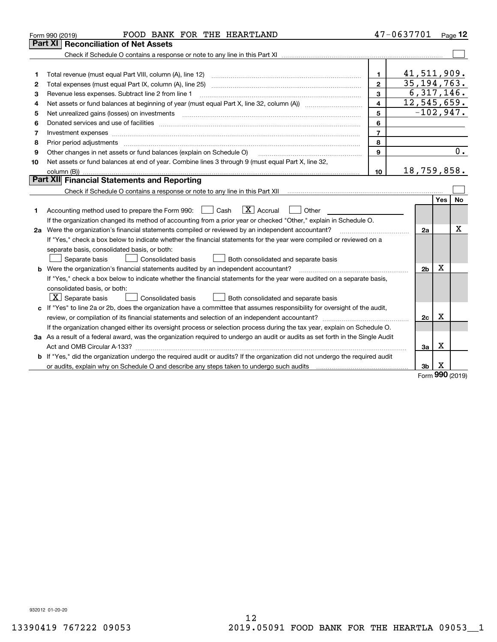|    | FOOD BANK FOR THE HEARTLAND<br>Form 990 (2019)                                                                                  |                | 47-0637701     |             | Page 12 |
|----|---------------------------------------------------------------------------------------------------------------------------------|----------------|----------------|-------------|---------|
|    | Part XI<br><b>Reconciliation of Net Assets</b>                                                                                  |                |                |             |         |
|    |                                                                                                                                 |                |                |             |         |
|    |                                                                                                                                 |                |                |             |         |
| 1  |                                                                                                                                 | $\mathbf{1}$   | 41,511,909.    |             |         |
| 2  |                                                                                                                                 | $\overline{2}$ | 35, 194, 763.  |             |         |
| 3  | Revenue less expenses. Subtract line 2 from line 1                                                                              | 3              | 6,317,146.     |             |         |
| 4  |                                                                                                                                 |                | 12,545,659.    |             |         |
| 5  |                                                                                                                                 | 5              | $-102,947.$    |             |         |
| 6  |                                                                                                                                 | 6              |                |             |         |
| 7  |                                                                                                                                 | $\overline{7}$ |                |             |         |
| 8  | Prior period adjustments www.communication.communication.com/news/communication.com/news/communication.com/news/                | 8              |                |             |         |
| 9  | Other changes in net assets or fund balances (explain on Schedule O)                                                            | 9              |                |             | 0.      |
| 10 | Net assets or fund balances at end of year. Combine lines 3 through 9 (must equal Part X, line 32,                              |                |                |             |         |
|    |                                                                                                                                 | 10             | 18,759,858.    |             |         |
|    | Part XII Financial Statements and Reporting                                                                                     |                |                |             |         |
|    |                                                                                                                                 |                |                |             |         |
|    |                                                                                                                                 |                |                | Yes         | No      |
| 1. | $\boxed{\text{X}}$ Accrual<br>Accounting method used to prepare the Form 990: <u>June</u> Cash<br>Other                         |                |                |             |         |
|    | If the organization changed its method of accounting from a prior year or checked "Other," explain in Schedule O.               |                |                |             |         |
|    | 2a Were the organization's financial statements compiled or reviewed by an independent accountant?                              |                | 2a             |             | х       |
|    | If "Yes," check a box below to indicate whether the financial statements for the year were compiled or reviewed on a            |                |                |             |         |
|    | separate basis, consolidated basis, or both:                                                                                    |                |                |             |         |
|    | Separate basis<br>Consolidated basis<br>Both consolidated and separate basis                                                    |                |                |             |         |
|    | b Were the organization's financial statements audited by an independent accountant?                                            |                | 2 <sub>b</sub> | Χ           |         |
|    | If "Yes," check a box below to indicate whether the financial statements for the year were audited on a separate basis,         |                |                |             |         |
|    | consolidated basis, or both:                                                                                                    |                |                |             |         |
|    | $\lfloor x \rfloor$ Separate basis<br>Consolidated basis<br>Both consolidated and separate basis                                |                |                |             |         |
|    | c If "Yes" to line 2a or 2b, does the organization have a committee that assumes responsibility for oversight of the audit,     |                |                |             |         |
|    |                                                                                                                                 |                | 2c             | $\mathbf X$ |         |
|    | If the organization changed either its oversight process or selection process during the tax year, explain on Schedule O.       |                |                |             |         |
|    | 3a As a result of a federal award, was the organization required to undergo an audit or audits as set forth in the Single Audit |                |                |             |         |
|    |                                                                                                                                 |                | 3a             | Χ           |         |
|    | b If "Yes," did the organization undergo the required audit or audits? If the organization did not undergo the required audit   |                |                |             |         |
|    |                                                                                                                                 |                | 3b             | х           |         |
|    |                                                                                                                                 |                |                | nnn         |         |

Form (2019) **990**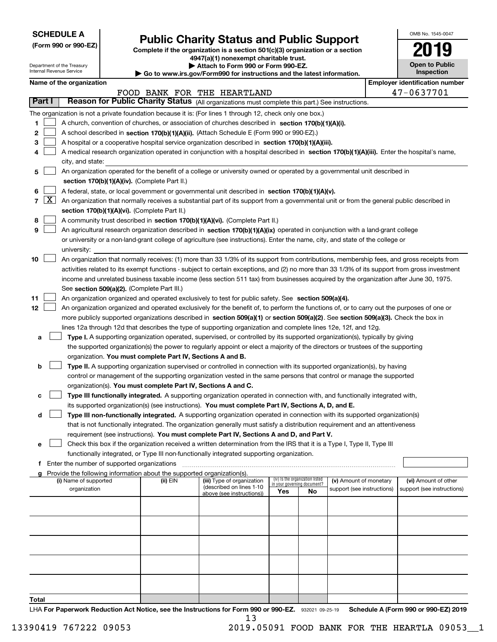| <b>SCHEDULE A</b> |
|-------------------|
|-------------------|

Department of the Treasury Internal Revenue Service

**(Form 990 or 990-EZ)**

# **Public Charity Status and Public Support**

**Complete if the organization is a section 501(c)(3) organization or a section 4947(a)(1) nonexempt charitable trust. | Attach to Form 990 or Form 990-EZ.** 

| <b>P</b> AUGUI IV I VIIII 330 VI I VIIII 330-LL.                         |  |
|--------------------------------------------------------------------------|--|
| ► Go to www.irs.gov/Form990 for instructions and the latest information. |  |
|                                                                          |  |

| <b>Inspection</b>                                 |  |
|---------------------------------------------------|--|
| Ford Louis Library (1995) and Library and Library |  |

OMB No. 1545-0047

**Open to Public**

**2019**

|       |                                                                                                                                            | Name of the organization                                                                                                                      |          |                                                        |                             |                                 |                                                      |  | <b>Employer identification number</b>              |  |  |  |
|-------|--------------------------------------------------------------------------------------------------------------------------------------------|-----------------------------------------------------------------------------------------------------------------------------------------------|----------|--------------------------------------------------------|-----------------------------|---------------------------------|------------------------------------------------------|--|----------------------------------------------------|--|--|--|
|       |                                                                                                                                            |                                                                                                                                               |          | FOOD BANK FOR THE HEARTLAND                            |                             |                                 |                                                      |  | 47-0637701                                         |  |  |  |
|       | Part I                                                                                                                                     | Reason for Public Charity Status (All organizations must complete this part.) See instructions.                                               |          |                                                        |                             |                                 |                                                      |  |                                                    |  |  |  |
|       |                                                                                                                                            | The organization is not a private foundation because it is: (For lines 1 through 12, check only one box.)                                     |          |                                                        |                             |                                 |                                                      |  |                                                    |  |  |  |
| 1     |                                                                                                                                            | A church, convention of churches, or association of churches described in section 170(b)(1)(A)(i).                                            |          |                                                        |                             |                                 |                                                      |  |                                                    |  |  |  |
| 2     | A school described in section 170(b)(1)(A)(ii). (Attach Schedule E (Form 990 or 990-EZ).)                                                  |                                                                                                                                               |          |                                                        |                             |                                 |                                                      |  |                                                    |  |  |  |
| з     | A hospital or a cooperative hospital service organization described in section 170(b)(1)(A)(iii).                                          |                                                                                                                                               |          |                                                        |                             |                                 |                                                      |  |                                                    |  |  |  |
| 4     | A medical research organization operated in conjunction with a hospital described in section 170(b)(1)(A)(iii). Enter the hospital's name, |                                                                                                                                               |          |                                                        |                             |                                 |                                                      |  |                                                    |  |  |  |
|       | city, and state:                                                                                                                           |                                                                                                                                               |          |                                                        |                             |                                 |                                                      |  |                                                    |  |  |  |
| 5     | An organization operated for the benefit of a college or university owned or operated by a governmental unit described in                  |                                                                                                                                               |          |                                                        |                             |                                 |                                                      |  |                                                    |  |  |  |
|       | section 170(b)(1)(A)(iv). (Complete Part II.)                                                                                              |                                                                                                                                               |          |                                                        |                             |                                 |                                                      |  |                                                    |  |  |  |
| 6     |                                                                                                                                            | A federal, state, or local government or governmental unit described in section 170(b)(1)(A)(v).                                              |          |                                                        |                             |                                 |                                                      |  |                                                    |  |  |  |
|       | $7 \times$                                                                                                                                 | An organization that normally receives a substantial part of its support from a governmental unit or from the general public described in     |          |                                                        |                             |                                 |                                                      |  |                                                    |  |  |  |
|       |                                                                                                                                            | section 170(b)(1)(A)(vi). (Complete Part II.)                                                                                                 |          |                                                        |                             |                                 |                                                      |  |                                                    |  |  |  |
| 8     |                                                                                                                                            | A community trust described in section 170(b)(1)(A)(vi). (Complete Part II.)                                                                  |          |                                                        |                             |                                 |                                                      |  |                                                    |  |  |  |
| 9     |                                                                                                                                            | An agricultural research organization described in section 170(b)(1)(A)(ix) operated in conjunction with a land-grant college                 |          |                                                        |                             |                                 |                                                      |  |                                                    |  |  |  |
|       |                                                                                                                                            | or university or a non-land-grant college of agriculture (see instructions). Enter the name, city, and state of the college or                |          |                                                        |                             |                                 |                                                      |  |                                                    |  |  |  |
|       |                                                                                                                                            | university:                                                                                                                                   |          |                                                        |                             |                                 |                                                      |  |                                                    |  |  |  |
| 10    |                                                                                                                                            | An organization that normally receives: (1) more than 33 1/3% of its support from contributions, membership fees, and gross receipts from     |          |                                                        |                             |                                 |                                                      |  |                                                    |  |  |  |
|       |                                                                                                                                            | activities related to its exempt functions - subject to certain exceptions, and (2) no more than 33 1/3% of its support from gross investment |          |                                                        |                             |                                 |                                                      |  |                                                    |  |  |  |
|       |                                                                                                                                            | income and unrelated business taxable income (less section 511 tax) from businesses acquired by the organization after June 30, 1975.         |          |                                                        |                             |                                 |                                                      |  |                                                    |  |  |  |
|       |                                                                                                                                            | See section 509(a)(2). (Complete Part III.)                                                                                                   |          |                                                        |                             |                                 |                                                      |  |                                                    |  |  |  |
| 11    |                                                                                                                                            | An organization organized and operated exclusively to test for public safety. See section 509(a)(4).                                          |          |                                                        |                             |                                 |                                                      |  |                                                    |  |  |  |
| 12    |                                                                                                                                            | An organization organized and operated exclusively for the benefit of, to perform the functions of, or to carry out the purposes of one or    |          |                                                        |                             |                                 |                                                      |  |                                                    |  |  |  |
|       |                                                                                                                                            | more publicly supported organizations described in section 509(a)(1) or section 509(a)(2). See section 509(a)(3). Check the box in            |          |                                                        |                             |                                 |                                                      |  |                                                    |  |  |  |
|       |                                                                                                                                            |                                                                                                                                               |          |                                                        |                             |                                 |                                                      |  |                                                    |  |  |  |
|       |                                                                                                                                            | lines 12a through 12d that describes the type of supporting organization and complete lines 12e, 12f, and 12g.                                |          |                                                        |                             |                                 |                                                      |  |                                                    |  |  |  |
| а     |                                                                                                                                            | Type I. A supporting organization operated, supervised, or controlled by its supported organization(s), typically by giving                   |          |                                                        |                             |                                 |                                                      |  |                                                    |  |  |  |
|       |                                                                                                                                            | the supported organization(s) the power to regularly appoint or elect a majority of the directors or trustees of the supporting               |          |                                                        |                             |                                 |                                                      |  |                                                    |  |  |  |
|       |                                                                                                                                            | organization. You must complete Part IV, Sections A and B.                                                                                    |          |                                                        |                             |                                 |                                                      |  |                                                    |  |  |  |
| b     |                                                                                                                                            | Type II. A supporting organization supervised or controlled in connection with its supported organization(s), by having                       |          |                                                        |                             |                                 |                                                      |  |                                                    |  |  |  |
|       |                                                                                                                                            | control or management of the supporting organization vested in the same persons that control or manage the supported                          |          |                                                        |                             |                                 |                                                      |  |                                                    |  |  |  |
|       |                                                                                                                                            | organization(s). You must complete Part IV, Sections A and C.                                                                                 |          |                                                        |                             |                                 |                                                      |  |                                                    |  |  |  |
| с     |                                                                                                                                            | Type III functionally integrated. A supporting organization operated in connection with, and functionally integrated with,                    |          |                                                        |                             |                                 |                                                      |  |                                                    |  |  |  |
|       |                                                                                                                                            | its supported organization(s) (see instructions). You must complete Part IV, Sections A, D, and E.                                            |          |                                                        |                             |                                 |                                                      |  |                                                    |  |  |  |
| d     |                                                                                                                                            | Type III non-functionally integrated. A supporting organization operated in connection with its supported organization(s)                     |          |                                                        |                             |                                 |                                                      |  |                                                    |  |  |  |
|       |                                                                                                                                            | that is not functionally integrated. The organization generally must satisfy a distribution requirement and an attentiveness                  |          |                                                        |                             |                                 |                                                      |  |                                                    |  |  |  |
|       |                                                                                                                                            | requirement (see instructions). You must complete Part IV, Sections A and D, and Part V.                                                      |          |                                                        |                             |                                 |                                                      |  |                                                    |  |  |  |
|       |                                                                                                                                            | Check this box if the organization received a written determination from the IRS that it is a Type I, Type II, Type III                       |          |                                                        |                             |                                 |                                                      |  |                                                    |  |  |  |
|       |                                                                                                                                            | functionally integrated, or Type III non-functionally integrated supporting organization.                                                     |          |                                                        |                             |                                 |                                                      |  |                                                    |  |  |  |
|       |                                                                                                                                            | f Enter the number of supported organizations                                                                                                 |          |                                                        |                             |                                 |                                                      |  |                                                    |  |  |  |
|       |                                                                                                                                            | g Provide the following information about the supported organization(s).<br>(i) Name of supported                                             |          |                                                        |                             | (iv) Is the organization listed |                                                      |  |                                                    |  |  |  |
|       |                                                                                                                                            | organization                                                                                                                                  | (ii) EIN | (iii) Type of organization<br>(described on lines 1-10 | in your governing document? |                                 | (v) Amount of monetary<br>support (see instructions) |  | (vi) Amount of other<br>support (see instructions) |  |  |  |
|       |                                                                                                                                            |                                                                                                                                               |          | above (see instructions))                              | Yes                         | No                              |                                                      |  |                                                    |  |  |  |
|       |                                                                                                                                            |                                                                                                                                               |          |                                                        |                             |                                 |                                                      |  |                                                    |  |  |  |
|       |                                                                                                                                            |                                                                                                                                               |          |                                                        |                             |                                 |                                                      |  |                                                    |  |  |  |
|       |                                                                                                                                            |                                                                                                                                               |          |                                                        |                             |                                 |                                                      |  |                                                    |  |  |  |
|       |                                                                                                                                            |                                                                                                                                               |          |                                                        |                             |                                 |                                                      |  |                                                    |  |  |  |
|       |                                                                                                                                            |                                                                                                                                               |          |                                                        |                             |                                 |                                                      |  |                                                    |  |  |  |
|       |                                                                                                                                            |                                                                                                                                               |          |                                                        |                             |                                 |                                                      |  |                                                    |  |  |  |
|       |                                                                                                                                            |                                                                                                                                               |          |                                                        |                             |                                 |                                                      |  |                                                    |  |  |  |
|       |                                                                                                                                            |                                                                                                                                               |          |                                                        |                             |                                 |                                                      |  |                                                    |  |  |  |
|       |                                                                                                                                            |                                                                                                                                               |          |                                                        |                             |                                 |                                                      |  |                                                    |  |  |  |
|       |                                                                                                                                            |                                                                                                                                               |          |                                                        |                             |                                 |                                                      |  |                                                    |  |  |  |
| Total |                                                                                                                                            |                                                                                                                                               |          |                                                        |                             |                                 |                                                      |  |                                                    |  |  |  |
|       |                                                                                                                                            |                                                                                                                                               |          |                                                        |                             |                                 |                                                      |  |                                                    |  |  |  |

LHA For Paperwork Reduction Act Notice, see the Instructions for Form 990 or 990-EZ. 932021 09-25-19 Schedule A (Form 990 or 990-EZ) 2019 13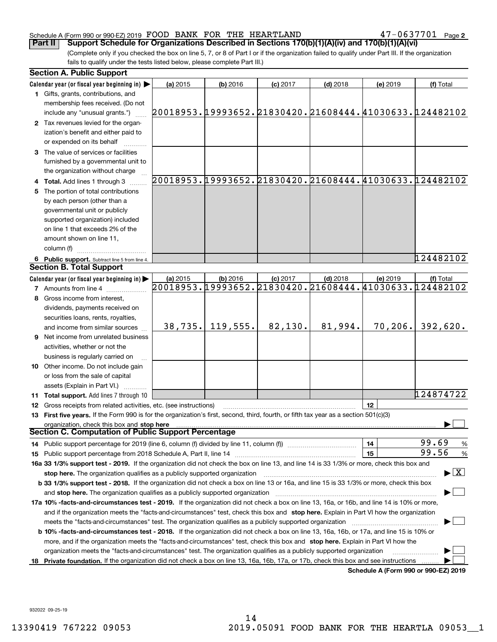## Schedule A (Form 990 or 990-EZ) 2019 Page FOOD BANK FOR THE HEARTLAND 47-0637701

(Complete only if you checked the box on line 5, 7, or 8 of Part I or if the organization failed to qualify under Part III. If the organization **Part II Support Schedule for Organizations Described in Sections 170(b)(1)(A)(iv) and 170(b)(1)(A)(vi)** 

fails to qualify under the tests listed below, please complete Part III.)

|    | <b>Section A. Public Support</b>                                                                                                               |          |            |            |            |          |                                                        |
|----|------------------------------------------------------------------------------------------------------------------------------------------------|----------|------------|------------|------------|----------|--------------------------------------------------------|
|    | Calendar year (or fiscal year beginning in) $\blacktriangleright$                                                                              | (a) 2015 | (b) 2016   | $(c)$ 2017 | $(d)$ 2018 | (e) 2019 | (f) Total                                              |
|    | 1 Gifts, grants, contributions, and                                                                                                            |          |            |            |            |          |                                                        |
|    | membership fees received. (Do not                                                                                                              |          |            |            |            |          |                                                        |
|    | include any "unusual grants.")                                                                                                                 |          |            |            |            |          | 20018953.19993652.21830420.21608444.41030633.124482102 |
|    | 2 Tax revenues levied for the organ-                                                                                                           |          |            |            |            |          |                                                        |
|    | ization's benefit and either paid to                                                                                                           |          |            |            |            |          |                                                        |
|    | or expended on its behalf                                                                                                                      |          |            |            |            |          |                                                        |
|    | 3 The value of services or facilities                                                                                                          |          |            |            |            |          |                                                        |
|    | furnished by a governmental unit to                                                                                                            |          |            |            |            |          |                                                        |
|    | the organization without charge                                                                                                                |          |            |            |            |          |                                                        |
|    | 4 Total. Add lines 1 through 3                                                                                                                 |          |            |            |            |          | 20018953.19993652.21830420.21608444.41030633.124482102 |
| 5. | The portion of total contributions                                                                                                             |          |            |            |            |          |                                                        |
|    | by each person (other than a                                                                                                                   |          |            |            |            |          |                                                        |
|    | governmental unit or publicly                                                                                                                  |          |            |            |            |          |                                                        |
|    | supported organization) included                                                                                                               |          |            |            |            |          |                                                        |
|    | on line 1 that exceeds 2% of the                                                                                                               |          |            |            |            |          |                                                        |
|    | amount shown on line 11,                                                                                                                       |          |            |            |            |          |                                                        |
|    | column (f)                                                                                                                                     |          |            |            |            |          |                                                        |
|    | 6 Public support. Subtract line 5 from line 4.                                                                                                 |          |            |            |            |          | 124482102                                              |
|    | <b>Section B. Total Support</b>                                                                                                                |          |            |            |            |          |                                                        |
|    | Calendar year (or fiscal year beginning in) $\blacktriangleright$                                                                              | (a) 2015 | $(b)$ 2016 | $(c)$ 2017 | $(d)$ 2018 | (e) 2019 | (f) Total                                              |
|    | <b>7</b> Amounts from line 4                                                                                                                   |          |            |            |            |          | 20018953.19993652.21830420.21608444.41030633.124482102 |
| 8  | Gross income from interest,                                                                                                                    |          |            |            |            |          |                                                        |
|    | dividends, payments received on                                                                                                                |          |            |            |            |          |                                                        |
|    | securities loans, rents, royalties,                                                                                                            |          |            |            |            |          |                                                        |
|    | and income from similar sources                                                                                                                | 38, 735. | 119,555.   | 82,130.    | 81,994.    | 70, 206. | 392,620.                                               |
|    | 9 Net income from unrelated business                                                                                                           |          |            |            |            |          |                                                        |
|    | activities, whether or not the                                                                                                                 |          |            |            |            |          |                                                        |
|    | business is regularly carried on                                                                                                               |          |            |            |            |          |                                                        |
|    | 10 Other income. Do not include gain                                                                                                           |          |            |            |            |          |                                                        |
|    | or loss from the sale of capital                                                                                                               |          |            |            |            |          |                                                        |
|    | assets (Explain in Part VI.)                                                                                                                   |          |            |            |            |          |                                                        |
|    | <b>11 Total support.</b> Add lines 7 through 10                                                                                                |          |            |            |            |          | 124874722                                              |
|    | <b>12</b> Gross receipts from related activities, etc. (see instructions)                                                                      |          |            |            |            | 12       |                                                        |
|    | 13 First five years. If the Form 990 is for the organization's first, second, third, fourth, or fifth tax year as a section 501(c)(3)          |          |            |            |            |          |                                                        |
|    | organization, check this box and stop here                                                                                                     |          |            |            |            |          |                                                        |
|    | Section C. Computation of Public Support Percentage                                                                                            |          |            |            |            |          |                                                        |
|    | 14 Public support percentage for 2019 (line 6, column (f) divided by line 11, column (f) <i>mummumumum</i>                                     |          |            |            |            | 14       | 99.69<br>$\frac{9}{6}$                                 |
|    |                                                                                                                                                |          |            |            |            | 15       | 99.56<br>$\frac{9}{6}$                                 |
|    | 16a 33 1/3% support test - 2019. If the organization did not check the box on line 13, and line 14 is 33 1/3% or more, check this box and      |          |            |            |            |          |                                                        |
|    | stop here. The organization qualifies as a publicly supported organization                                                                     |          |            |            |            |          | $\blacktriangleright$ $\boxed{\text{X}}$               |
|    | b 33 1/3% support test - 2018. If the organization did not check a box on line 13 or 16a, and line 15 is 33 1/3% or more, check this box       |          |            |            |            |          |                                                        |
|    | and stop here. The organization qualifies as a publicly supported organization                                                                 |          |            |            |            |          |                                                        |
|    | 17a 10% -facts-and-circumstances test - 2019. If the organization did not check a box on line 13, 16a, or 16b, and line 14 is 10% or more,     |          |            |            |            |          |                                                        |
|    | and if the organization meets the "facts-and-circumstances" test, check this box and stop here. Explain in Part VI how the organization        |          |            |            |            |          |                                                        |
|    | meets the "facts and circumstances" test. The organization qualifies as a publicly supported organization <i>manumumumumumum</i>               |          |            |            |            |          |                                                        |
|    | <b>b 10% -facts-and-circumstances test - 2018.</b> If the organization did not check a box on line 13, 16a, 16b, or 17a, and line 15 is 10% or |          |            |            |            |          |                                                        |
|    | more, and if the organization meets the "facts-and-circumstances" test, check this box and stop here. Explain in Part VI how the               |          |            |            |            |          |                                                        |
|    | organization meets the "facts-and-circumstances" test. The organization qualifies as a publicly supported organization                         |          |            |            |            |          |                                                        |
| 18 | Private foundation. If the organization did not check a box on line 13, 16a, 16b, 17a, or 17b, check this box and see instructions             |          |            |            |            |          |                                                        |
|    |                                                                                                                                                |          |            |            |            |          | Schedule A (Form 990 or 990-F7) 2019                   |

**Schedule A (Form 990 or 990-EZ) 2019**

932022 09-25-19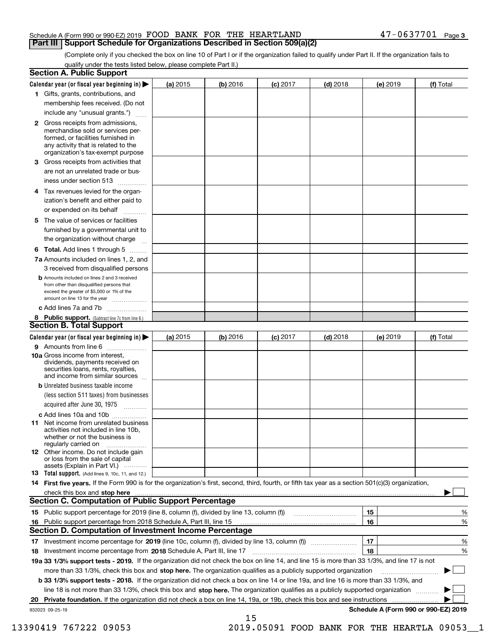| Schedule A (Form 990 or 990-EZ) 2019 FOOD BANK FOR THE HEARTLAND                    |  | $47 - 0637701$ Page 3 |  |
|-------------------------------------------------------------------------------------|--|-----------------------|--|
| <b>Part III   Support Schedule for Organizations Described in Section 509(a)(2)</b> |  |                       |  |

(Complete only if you checked the box on line 10 of Part I or if the organization failed to qualify under Part II. If the organization fails to qualify under the tests listed below, please complete Part II.)

|    | <b>Section A. Public Support</b>                                                                                                                                                                                                                                                                  |          |            |            |            |          |                                      |
|----|---------------------------------------------------------------------------------------------------------------------------------------------------------------------------------------------------------------------------------------------------------------------------------------------------|----------|------------|------------|------------|----------|--------------------------------------|
|    | Calendar year (or fiscal year beginning in) $\blacktriangleright$                                                                                                                                                                                                                                 | (a) 2015 | $(b)$ 2016 | $(c)$ 2017 | $(d)$ 2018 | (e) 2019 | (f) Total                            |
|    | 1 Gifts, grants, contributions, and                                                                                                                                                                                                                                                               |          |            |            |            |          |                                      |
|    | membership fees received. (Do not                                                                                                                                                                                                                                                                 |          |            |            |            |          |                                      |
|    | include any "unusual grants.")                                                                                                                                                                                                                                                                    |          |            |            |            |          |                                      |
|    | 2 Gross receipts from admissions,<br>merchandise sold or services per-<br>formed, or facilities furnished in<br>any activity that is related to the<br>organization's tax-exempt purpose                                                                                                          |          |            |            |            |          |                                      |
|    | 3 Gross receipts from activities that                                                                                                                                                                                                                                                             |          |            |            |            |          |                                      |
|    | are not an unrelated trade or bus-                                                                                                                                                                                                                                                                |          |            |            |            |          |                                      |
|    | iness under section 513                                                                                                                                                                                                                                                                           |          |            |            |            |          |                                      |
|    | 4 Tax revenues levied for the organ-                                                                                                                                                                                                                                                              |          |            |            |            |          |                                      |
|    | ization's benefit and either paid to<br>or expended on its behalf<br>.                                                                                                                                                                                                                            |          |            |            |            |          |                                      |
|    | 5 The value of services or facilities                                                                                                                                                                                                                                                             |          |            |            |            |          |                                      |
|    | furnished by a governmental unit to                                                                                                                                                                                                                                                               |          |            |            |            |          |                                      |
|    | the organization without charge                                                                                                                                                                                                                                                                   |          |            |            |            |          |                                      |
|    | <b>6 Total.</b> Add lines 1 through 5                                                                                                                                                                                                                                                             |          |            |            |            |          |                                      |
|    | 7a Amounts included on lines 1, 2, and<br>3 received from disqualified persons                                                                                                                                                                                                                    |          |            |            |            |          |                                      |
|    | <b>b</b> Amounts included on lines 2 and 3 received<br>from other than disqualified persons that<br>exceed the greater of \$5,000 or 1% of the<br>amount on line 13 for the year                                                                                                                  |          |            |            |            |          |                                      |
|    | c Add lines 7a and 7b                                                                                                                                                                                                                                                                             |          |            |            |            |          |                                      |
|    | 8 Public support. (Subtract line 7c from line 6.)                                                                                                                                                                                                                                                 |          |            |            |            |          |                                      |
|    | <b>Section B. Total Support</b>                                                                                                                                                                                                                                                                   |          |            |            |            |          |                                      |
|    | Calendar year (or fiscal year beginning in) $\blacktriangleright$                                                                                                                                                                                                                                 | (a) 2015 | (b) 2016   | $(c)$ 2017 | $(d)$ 2018 | (e) 2019 | (f) Total                            |
|    | 9 Amounts from line 6                                                                                                                                                                                                                                                                             |          |            |            |            |          |                                      |
|    | 10a Gross income from interest,<br>dividends, payments received on<br>securities loans, rents, royalties,<br>and income from similar sources                                                                                                                                                      |          |            |            |            |          |                                      |
|    | <b>b</b> Unrelated business taxable income                                                                                                                                                                                                                                                        |          |            |            |            |          |                                      |
|    | (less section 511 taxes) from businesses                                                                                                                                                                                                                                                          |          |            |            |            |          |                                      |
|    | acquired after June 30, 1975                                                                                                                                                                                                                                                                      |          |            |            |            |          |                                      |
|    | c Add lines 10a and 10b                                                                                                                                                                                                                                                                           |          |            |            |            |          |                                      |
|    | 11 Net income from unrelated business<br>activities not included in line 10b,<br>whether or not the business is<br>regularly carried on                                                                                                                                                           |          |            |            |            |          |                                      |
|    | 12 Other income. Do not include gain<br>or loss from the sale of capital<br>assets (Explain in Part VI.)                                                                                                                                                                                          |          |            |            |            |          |                                      |
|    | <b>13</b> Total support. (Add lines 9, 10c, 11, and 12.)                                                                                                                                                                                                                                          |          |            |            |            |          |                                      |
|    | 14 First five years. If the Form 990 is for the organization's first, second, third, fourth, or fifth tax year as a section 501(c)(3) organization,                                                                                                                                               |          |            |            |            |          |                                      |
|    | check this box and stop here <i>maching and content and a content and a content and a content and stop</i> here and and the content of the content of the content of the content of the content of the content of the content of th<br><b>Section C. Computation of Public Support Percentage</b> |          |            |            |            |          |                                      |
|    | 15 Public support percentage for 2019 (line 8, column (f), divided by line 13, column (f))                                                                                                                                                                                                        |          |            |            |            | 15       | %                                    |
|    | 16 Public support percentage from 2018 Schedule A, Part III, line 15                                                                                                                                                                                                                              |          |            |            |            | 16       | %                                    |
|    | <b>Section D. Computation of Investment Income Percentage</b>                                                                                                                                                                                                                                     |          |            |            |            |          |                                      |
|    | 17 Investment income percentage for 2019 (line 10c, column (f), divided by line 13, column (f))                                                                                                                                                                                                   |          |            |            |            | 17       | %                                    |
|    | <b>18</b> Investment income percentage from <b>2018</b> Schedule A, Part III, line 17                                                                                                                                                                                                             |          |            |            |            | 18       | %                                    |
|    | 19a 33 1/3% support tests - 2019. If the organization did not check the box on line 14, and line 15 is more than 33 1/3%, and line 17 is not                                                                                                                                                      |          |            |            |            |          |                                      |
|    | more than 33 1/3%, check this box and stop here. The organization qualifies as a publicly supported organization                                                                                                                                                                                  |          |            |            |            |          | ▶                                    |
|    | b 33 1/3% support tests - 2018. If the organization did not check a box on line 14 or line 19a, and line 16 is more than 33 1/3%, and                                                                                                                                                             |          |            |            |            |          |                                      |
|    | line 18 is not more than 33 1/3%, check this box and stop here. The organization qualifies as a publicly supported organization                                                                                                                                                                   |          |            |            |            |          |                                      |
| 20 | <b>Private foundation.</b> If the organization did not check a box on line 14, 19a, or 19b, check this box and see instructions                                                                                                                                                                   |          |            |            |            |          |                                      |
|    | 932023 09-25-19                                                                                                                                                                                                                                                                                   |          |            |            |            |          | Schedule A (Form 990 or 990-EZ) 2019 |
|    |                                                                                                                                                                                                                                                                                                   |          | 15         |            |            |          |                                      |

13390419 767222 09053 2019.05091 FOOD BANK FOR THE HEARTLA 09053\_\_1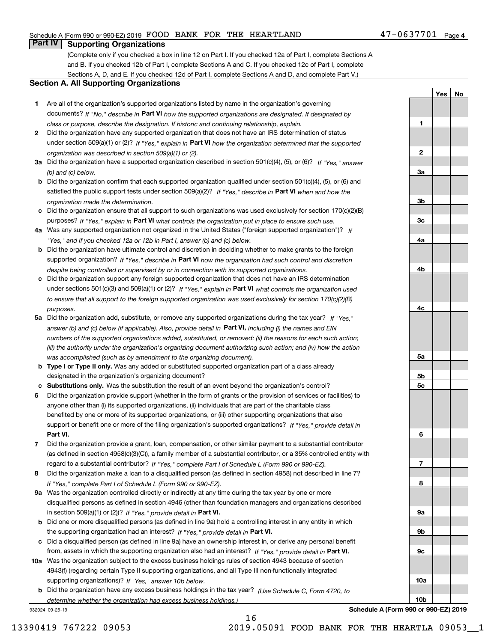# Schedule A (Form 990 or 990-EZ) 2019 Page FOOD BANK FOR THE HEARTLAND 47-0637701

# **Part IV Supporting Organizations**

(Complete only if you checked a box in line 12 on Part I. If you checked 12a of Part I, complete Sections A and B. If you checked 12b of Part I, complete Sections A and C. If you checked 12c of Part I, complete Sections A, D, and E. If you checked 12d of Part I, complete Sections A and D, and complete Part V.)

## **Section A. All Supporting Organizations**

- **1** Are all of the organization's supported organizations listed by name in the organization's governing documents? If "No," describe in **Part VI** how the supported organizations are designated. If designated by *class or purpose, describe the designation. If historic and continuing relationship, explain.*
- **2** Did the organization have any supported organization that does not have an IRS determination of status under section 509(a)(1) or (2)? If "Yes," explain in Part VI how the organization determined that the supported *organization was described in section 509(a)(1) or (2).*
- **3a** Did the organization have a supported organization described in section 501(c)(4), (5), or (6)? If "Yes," answer *(b) and (c) below.*
- **b** Did the organization confirm that each supported organization qualified under section 501(c)(4), (5), or (6) and satisfied the public support tests under section 509(a)(2)? If "Yes," describe in **Part VI** when and how the *organization made the determination.*
- **c**Did the organization ensure that all support to such organizations was used exclusively for section 170(c)(2)(B) purposes? If "Yes," explain in **Part VI** what controls the organization put in place to ensure such use.
- **4a***If* Was any supported organization not organized in the United States ("foreign supported organization")? *"Yes," and if you checked 12a or 12b in Part I, answer (b) and (c) below.*
- **b** Did the organization have ultimate control and discretion in deciding whether to make grants to the foreign supported organization? If "Yes," describe in **Part VI** how the organization had such control and discretion *despite being controlled or supervised by or in connection with its supported organizations.*
- **c** Did the organization support any foreign supported organization that does not have an IRS determination under sections 501(c)(3) and 509(a)(1) or (2)? If "Yes," explain in **Part VI** what controls the organization used *to ensure that all support to the foreign supported organization was used exclusively for section 170(c)(2)(B) purposes.*
- **5a** Did the organization add, substitute, or remove any supported organizations during the tax year? If "Yes," answer (b) and (c) below (if applicable). Also, provide detail in **Part VI,** including (i) the names and EIN *numbers of the supported organizations added, substituted, or removed; (ii) the reasons for each such action; (iii) the authority under the organization's organizing document authorizing such action; and (iv) how the action was accomplished (such as by amendment to the organizing document).*
- **b** Type I or Type II only. Was any added or substituted supported organization part of a class already designated in the organization's organizing document?
- **cSubstitutions only.**  Was the substitution the result of an event beyond the organization's control?
- **6** Did the organization provide support (whether in the form of grants or the provision of services or facilities) to **Part VI.** *If "Yes," provide detail in* support or benefit one or more of the filing organization's supported organizations? anyone other than (i) its supported organizations, (ii) individuals that are part of the charitable class benefited by one or more of its supported organizations, or (iii) other supporting organizations that also
- **7**Did the organization provide a grant, loan, compensation, or other similar payment to a substantial contributor *If "Yes," complete Part I of Schedule L (Form 990 or 990-EZ).* regard to a substantial contributor? (as defined in section 4958(c)(3)(C)), a family member of a substantial contributor, or a 35% controlled entity with
- **8** Did the organization make a loan to a disqualified person (as defined in section 4958) not described in line 7? *If "Yes," complete Part I of Schedule L (Form 990 or 990-EZ).*
- **9a** Was the organization controlled directly or indirectly at any time during the tax year by one or more in section 509(a)(1) or (2))? If "Yes," *provide detail in* <code>Part VI.</code> disqualified persons as defined in section 4946 (other than foundation managers and organizations described
- **b** Did one or more disqualified persons (as defined in line 9a) hold a controlling interest in any entity in which the supporting organization had an interest? If "Yes," provide detail in P**art VI**.
- **c**Did a disqualified person (as defined in line 9a) have an ownership interest in, or derive any personal benefit from, assets in which the supporting organization also had an interest? If "Yes," provide detail in P**art VI.**
- **10a** Was the organization subject to the excess business holdings rules of section 4943 because of section supporting organizations)? If "Yes," answer 10b below. 4943(f) (regarding certain Type II supporting organizations, and all Type III non-functionally integrated
- **b** Did the organization have any excess business holdings in the tax year? (Use Schedule C, Form 4720, to *determine whether the organization had excess business holdings.)*

932024 09-25-19

**1**

**2**

**3a**

**3b**

**3c**

**4a**

**4b**

**4c**

**YesNo**

16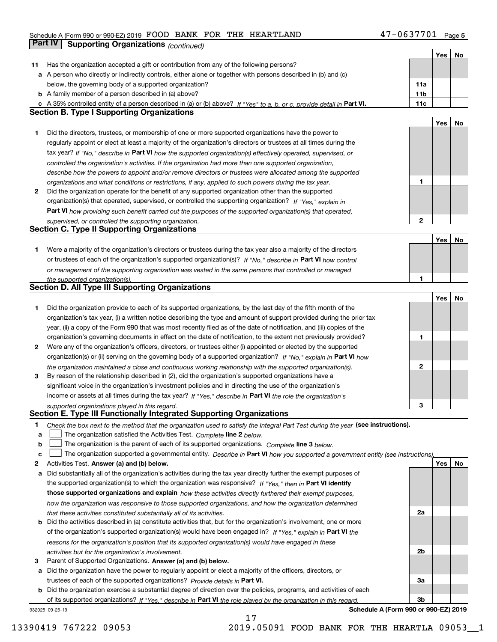### Schedule A (Form 990 or 990-EZ) 2019 POUD BANK FOR THE HEARTLAND 4/-U b 3//U L Page FOOD BANK FOR THE HEARTLAND 47-0637701

|    | Part IV<br><b>Supporting Organizations (continued)</b>                                                                            |                 |     |    |
|----|-----------------------------------------------------------------------------------------------------------------------------------|-----------------|-----|----|
|    |                                                                                                                                   |                 | Yes | No |
| 11 | Has the organization accepted a gift or contribution from any of the following persons?                                           |                 |     |    |
|    | a A person who directly or indirectly controls, either alone or together with persons described in (b) and (c)                    |                 |     |    |
|    | below, the governing body of a supported organization?                                                                            | 11a             |     |    |
|    | <b>b</b> A family member of a person described in (a) above?                                                                      | 11 <sub>b</sub> |     |    |
|    | c A 35% controlled entity of a person described in (a) or (b) above? If "Yes" to a, b, or c, provide detail in Part VI.           | 11c             |     |    |
|    | <b>Section B. Type I Supporting Organizations</b>                                                                                 |                 |     |    |
|    |                                                                                                                                   |                 | Yes | No |
| 1. | Did the directors, trustees, or membership of one or more supported organizations have the power to                               |                 |     |    |
|    | regularly appoint or elect at least a majority of the organization's directors or trustees at all times during the                |                 |     |    |
|    | tax year? If "No," describe in Part VI how the supported organization(s) effectively operated, supervised, or                     |                 |     |    |
|    | controlled the organization's activities. If the organization had more than one supported organization,                           |                 |     |    |
|    | describe how the powers to appoint and/or remove directors or trustees were allocated among the supported                         |                 |     |    |
|    | organizations and what conditions or restrictions, if any, applied to such powers during the tax year.                            | 1               |     |    |
| 2  | Did the organization operate for the benefit of any supported organization other than the supported                               |                 |     |    |
|    | organization(s) that operated, supervised, or controlled the supporting organization? If "Yes," explain in                        |                 |     |    |
|    | Part VI how providing such benefit carried out the purposes of the supported organization(s) that operated,                       |                 |     |    |
|    | supervised, or controlled the supporting organization.                                                                            | $\mathbf{2}$    |     |    |
|    | <b>Section C. Type II Supporting Organizations</b>                                                                                |                 |     |    |
|    |                                                                                                                                   |                 | Yes | No |
| 1. | Were a majority of the organization's directors or trustees during the tax year also a majority of the directors                  |                 |     |    |
|    | or trustees of each of the organization's supported organization(s)? If "No," describe in Part VI how control                     |                 |     |    |
|    | or management of the supporting organization was vested in the same persons that controlled or managed                            |                 |     |    |
|    | the supported organization(s).                                                                                                    | 1               |     |    |
|    | <b>Section D. All Type III Supporting Organizations</b>                                                                           |                 |     |    |
|    |                                                                                                                                   |                 | Yes | No |
| 1  | Did the organization provide to each of its supported organizations, by the last day of the fifth month of the                    |                 |     |    |
|    | organization's tax year, (i) a written notice describing the type and amount of support provided during the prior tax             |                 |     |    |
|    | year, (ii) a copy of the Form 990 that was most recently filed as of the date of notification, and (iii) copies of the            |                 |     |    |
|    | organization's governing documents in effect on the date of notification, to the extent not previously provided?                  | 1               |     |    |
| 2  | Were any of the organization's officers, directors, or trustees either (i) appointed or elected by the supported                  |                 |     |    |
|    | organization(s) or (ii) serving on the governing body of a supported organization? If "No," explain in Part VI how                |                 |     |    |
|    | the organization maintained a close and continuous working relationship with the supported organization(s).                       | $\mathbf{2}$    |     |    |
| 3  | By reason of the relationship described in (2), did the organization's supported organizations have a                             |                 |     |    |
|    | significant voice in the organization's investment policies and in directing the use of the organization's                        |                 |     |    |
|    | income or assets at all times during the tax year? If "Yes," describe in Part VI the role the organization's                      |                 |     |    |
|    | supported organizations played in this regard.                                                                                    | 3               |     |    |
|    | Section E. Type III Functionally Integrated Supporting Organizations                                                              |                 |     |    |
| 1  | Check the box next to the method that the organization used to satisfy the Integral Part Test during the year (see instructions). |                 |     |    |
| a  | The organization satisfied the Activities Test. Complete line 2 below.                                                            |                 |     |    |
| b  | The organization is the parent of each of its supported organizations. Complete line 3 below.                                     |                 |     |    |
| c  | The organization supported a governmental entity. Describe in Part VI how you supported a government entity (see instructions),   |                 |     |    |
| 2  | Activities Test. Answer (a) and (b) below.                                                                                        |                 | Yes | No |
| а  | Did substantially all of the organization's activities during the tax year directly further the exempt purposes of                |                 |     |    |
|    | the supported organization(s) to which the organization was responsive? If "Yes," then in Part VI identify                        |                 |     |    |
|    | those supported organizations and explain how these activities directly furthered their exempt purposes,                          |                 |     |    |
|    | how the organization was responsive to those supported organizations, and how the organization determined                         |                 |     |    |
|    | that these activities constituted substantially all of its activities.                                                            | 2a              |     |    |
| b  | Did the activities described in (a) constitute activities that, but for the organization's involvement, one or more               |                 |     |    |
|    | of the organization's supported organization(s) would have been engaged in? If "Yes," explain in Part VI the                      |                 |     |    |
|    | reasons for the organization's position that its supported organization(s) would have engaged in these                            |                 |     |    |
|    | activities but for the organization's involvement.                                                                                | 2b              |     |    |
| 3  | Parent of Supported Organizations. Answer (a) and (b) below.                                                                      |                 |     |    |
| а  | Did the organization have the power to regularly appoint or elect a majority of the officers, directors, or                       |                 |     |    |
|    | trustees of each of the supported organizations? Provide details in Part VI.                                                      | За              |     |    |
|    | <b>b</b> Did the organization exercise a substantial degree of direction over the policies, programs, and activities of each      | 3b              |     |    |
|    | of its supported organizations? If "Yes." describe in Part VI the role played by the organization in this regard.                 |                 |     |    |

17

932025 09-25-19

**Schedule A (Form 990 or 990-EZ) 2019**

13390419 767222 09053 2019.05091 FOOD BANK FOR THE HEARTLA 09053\_\_1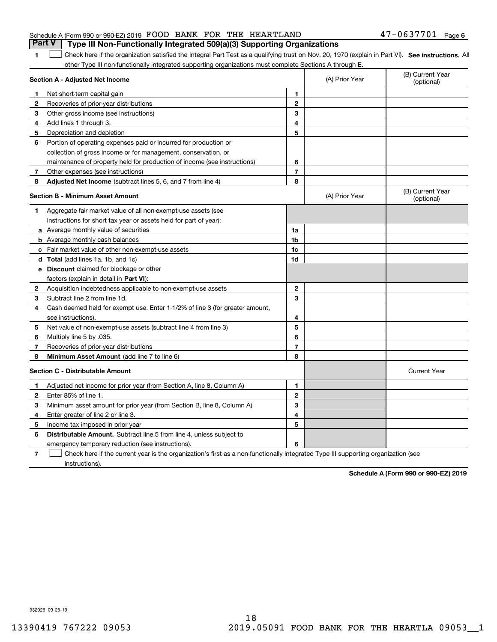|                                                                  |  | <b>Part V</b> Type III Non-Functionally Integrated 509(a)(3) Supporting Organizations |                       |  |
|------------------------------------------------------------------|--|---------------------------------------------------------------------------------------|-----------------------|--|
| Schedule A (Form 990 or 990-EZ) 2019 FOOD BANK FOR THE HEARTLAND |  |                                                                                       | $47 - 0637701$ Page 6 |  |

1 Check here if the organization satisfied the Integral Part Test as a qualifying trust on Nov. 20, 1970 (explain in Part VI). See instructions. All other Type III non-functionally integrated supporting organizations must complete Sections A through E.

|    | Section A - Adjusted Net Income                                              | (A) Prior Year | (B) Current Year<br>(optional) |                                |
|----|------------------------------------------------------------------------------|----------------|--------------------------------|--------------------------------|
| 1. | Net short-term capital gain                                                  | 1              |                                |                                |
| 2  | Recoveries of prior-year distributions                                       | $\overline{2}$ |                                |                                |
| 3  | Other gross income (see instructions)                                        | 3              |                                |                                |
| 4  | Add lines 1 through 3.                                                       | 4              |                                |                                |
| 5  | Depreciation and depletion                                                   | 5              |                                |                                |
| 6  | Portion of operating expenses paid or incurred for production or             |                |                                |                                |
|    | collection of gross income or for management, conservation, or               |                |                                |                                |
|    | maintenance of property held for production of income (see instructions)     | 6              |                                |                                |
| 7  | Other expenses (see instructions)                                            | $\overline{7}$ |                                |                                |
| 8  | Adjusted Net Income (subtract lines 5, 6, and 7 from line 4)                 | 8              |                                |                                |
|    | <b>Section B - Minimum Asset Amount</b>                                      |                | (A) Prior Year                 | (B) Current Year<br>(optional) |
| 1  | Aggregate fair market value of all non-exempt-use assets (see                |                |                                |                                |
|    | instructions for short tax year or assets held for part of year):            |                |                                |                                |
|    | a Average monthly value of securities                                        | 1a             |                                |                                |
|    | <b>b</b> Average monthly cash balances                                       | 1b             |                                |                                |
|    | c Fair market value of other non-exempt-use assets                           | 1c             |                                |                                |
|    | <b>d</b> Total (add lines 1a, 1b, and 1c)                                    | 1d             |                                |                                |
|    | e Discount claimed for blockage or other                                     |                |                                |                                |
|    | factors (explain in detail in Part VI):                                      |                |                                |                                |
| 2  | Acquisition indebtedness applicable to non-exempt-use assets                 | $\mathbf{2}$   |                                |                                |
| З  | Subtract line 2 from line 1d.                                                | 3              |                                |                                |
| 4  | Cash deemed held for exempt use. Enter 1-1/2% of line 3 (for greater amount, |                |                                |                                |
|    | see instructions)                                                            | 4              |                                |                                |
| 5  | Net value of non-exempt-use assets (subtract line 4 from line 3)             | 5              |                                |                                |
| 6  | Multiply line 5 by .035.                                                     | 6              |                                |                                |
| 7  | Recoveries of prior-year distributions                                       | $\overline{7}$ |                                |                                |
| 8  | Minimum Asset Amount (add line 7 to line 6)                                  | 8              |                                |                                |
|    | <b>Section C - Distributable Amount</b>                                      |                |                                | <b>Current Year</b>            |
| 1  | Adjusted net income for prior year (from Section A, line 8, Column A)        | 1              |                                |                                |
| 2  | Enter 85% of line 1                                                          | $\mathbf 2$    |                                |                                |
| 3  | Minimum asset amount for prior year (from Section B, line 8, Column A)       | 3              |                                |                                |
| 4  | Enter greater of line 2 or line 3.                                           | 4              |                                |                                |
| 5  | Income tax imposed in prior year                                             | 5              |                                |                                |
| 6  | <b>Distributable Amount.</b> Subtract line 5 from line 4, unless subject to  |                |                                |                                |
|    | emergency temporary reduction (see instructions).                            | 6              |                                |                                |
|    |                                                                              |                |                                |                                |

**7**Check here if the current year is the organization's first as a non-functionally integrated Type III supporting organization (see instructions).

**Schedule A (Form 990 or 990-EZ) 2019**

932026 09-25-19

**1**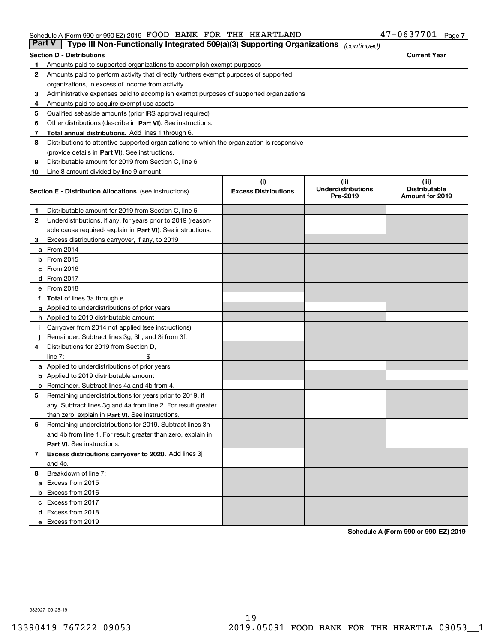## Schedule A (Form 990 or 990-EZ) 2019 Page FOOD BANK FOR THE HEARTLAND 47-0637701

| Part V | Type III Non-Functionally Integrated 509(a)(3) Supporting Organizations                    |                             | (continued)                           |                                         |
|--------|--------------------------------------------------------------------------------------------|-----------------------------|---------------------------------------|-----------------------------------------|
|        | <b>Section D - Distributions</b>                                                           |                             |                                       | <b>Current Year</b>                     |
| 1      | Amounts paid to supported organizations to accomplish exempt purposes                      |                             |                                       |                                         |
| 2      | Amounts paid to perform activity that directly furthers exempt purposes of supported       |                             |                                       |                                         |
|        | organizations, in excess of income from activity                                           |                             |                                       |                                         |
| з      | Administrative expenses paid to accomplish exempt purposes of supported organizations      |                             |                                       |                                         |
| 4      | Amounts paid to acquire exempt-use assets                                                  |                             |                                       |                                         |
| 5      | Qualified set-aside amounts (prior IRS approval required)                                  |                             |                                       |                                         |
| 6      | Other distributions (describe in Part VI). See instructions.                               |                             |                                       |                                         |
| 7      | <b>Total annual distributions.</b> Add lines 1 through 6.                                  |                             |                                       |                                         |
| 8      | Distributions to attentive supported organizations to which the organization is responsive |                             |                                       |                                         |
|        | (provide details in Part VI). See instructions.                                            |                             |                                       |                                         |
| 9      | Distributable amount for 2019 from Section C, line 6                                       |                             |                                       |                                         |
| 10     | Line 8 amount divided by line 9 amount                                                     |                             |                                       |                                         |
|        |                                                                                            | (i)                         | (iii)                                 | (iii)                                   |
|        | <b>Section E - Distribution Allocations</b> (see instructions)                             | <b>Excess Distributions</b> | <b>Underdistributions</b><br>Pre-2019 | <b>Distributable</b><br>Amount for 2019 |
| 1      | Distributable amount for 2019 from Section C, line 6                                       |                             |                                       |                                         |
| 2      | Underdistributions, if any, for years prior to 2019 (reason-                               |                             |                                       |                                         |
|        | able cause required- explain in Part VI). See instructions.                                |                             |                                       |                                         |
| з      | Excess distributions carryover, if any, to 2019                                            |                             |                                       |                                         |
|        | <b>a</b> From 2014                                                                         |                             |                                       |                                         |
|        | <b>b</b> From 2015                                                                         |                             |                                       |                                         |
|        | $c$ From 2016                                                                              |                             |                                       |                                         |
|        | d From 2017                                                                                |                             |                                       |                                         |
|        | e From 2018                                                                                |                             |                                       |                                         |
|        | Total of lines 3a through e                                                                |                             |                                       |                                         |
|        | <b>g</b> Applied to underdistributions of prior years                                      |                             |                                       |                                         |
|        | <b>h</b> Applied to 2019 distributable amount                                              |                             |                                       |                                         |
|        | Carryover from 2014 not applied (see instructions)                                         |                             |                                       |                                         |
|        | Remainder. Subtract lines 3g, 3h, and 3i from 3f.                                          |                             |                                       |                                         |
| 4      | Distributions for 2019 from Section D,                                                     |                             |                                       |                                         |
|        | line $7:$                                                                                  |                             |                                       |                                         |
|        | <b>a</b> Applied to underdistributions of prior years                                      |                             |                                       |                                         |
|        | <b>b</b> Applied to 2019 distributable amount                                              |                             |                                       |                                         |
| c      | Remainder. Subtract lines 4a and 4b from 4.                                                |                             |                                       |                                         |
| 5      | Remaining underdistributions for years prior to 2019, if                                   |                             |                                       |                                         |
|        | any. Subtract lines 3g and 4a from line 2. For result greater                              |                             |                                       |                                         |
|        | than zero, explain in Part VI. See instructions.                                           |                             |                                       |                                         |
| 6      | Remaining underdistributions for 2019. Subtract lines 3h                                   |                             |                                       |                                         |
|        | and 4b from line 1. For result greater than zero, explain in                               |                             |                                       |                                         |
|        | Part VI. See instructions.                                                                 |                             |                                       |                                         |
| 7      | Excess distributions carryover to 2020. Add lines 3j                                       |                             |                                       |                                         |
|        | and 4c.                                                                                    |                             |                                       |                                         |
| 8      | Breakdown of line 7:                                                                       |                             |                                       |                                         |
|        | a Excess from 2015                                                                         |                             |                                       |                                         |
|        | <b>b</b> Excess from 2016                                                                  |                             |                                       |                                         |
|        | c Excess from 2017                                                                         |                             |                                       |                                         |
|        | d Excess from 2018                                                                         |                             |                                       |                                         |
|        | e Excess from 2019                                                                         |                             |                                       |                                         |
|        |                                                                                            |                             |                                       |                                         |

**Schedule A (Form 990 or 990-EZ) 2019**

932027 09-25-19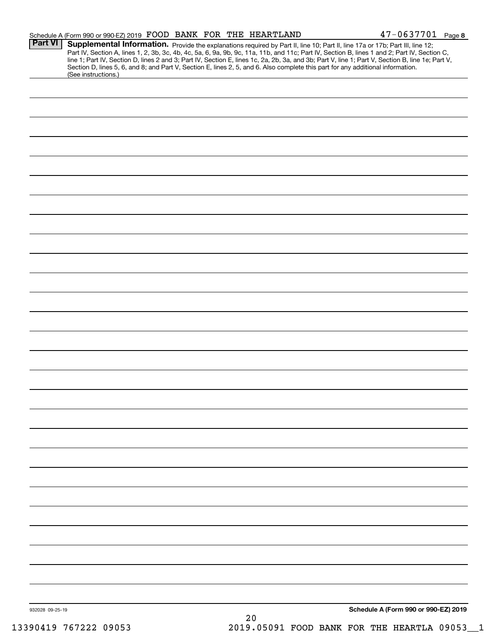|                 | Schedule A (Form 990 or 990-EZ) 2019 FOOD BANK FOR THE HEARTLAND                                                                                                                                                                                                                                                                                                                                                                        |    | $47 - 0637701$ Page 8                                                                                                                            |
|-----------------|-----------------------------------------------------------------------------------------------------------------------------------------------------------------------------------------------------------------------------------------------------------------------------------------------------------------------------------------------------------------------------------------------------------------------------------------|----|--------------------------------------------------------------------------------------------------------------------------------------------------|
| Part VI         | Supplemental Information. Provide the explanations required by Part II, line 10; Part II, line 17a or 17b; Part III, line 12;<br>Part IV, Section A, lines 1, 2, 3b, 3c, 4b, 4c, 5a, 6, 9a, 9b, 9c, 11a, 11b, and 11c; Part IV, Section B, lines 1 and 2; Part IV, Section C,<br>Section D, lines 5, 6, and 8; and Part V, Section E, lines 2, 5, and 6. Also complete this part for any additional information.<br>(See instructions.) |    | line 1; Part IV, Section D, lines 2 and 3; Part IV, Section E, lines 1c, 2a, 2b, 3a, and 3b; Part V, line 1; Part V, Section B, line 1e; Part V, |
|                 |                                                                                                                                                                                                                                                                                                                                                                                                                                         |    |                                                                                                                                                  |
|                 |                                                                                                                                                                                                                                                                                                                                                                                                                                         |    |                                                                                                                                                  |
|                 |                                                                                                                                                                                                                                                                                                                                                                                                                                         |    |                                                                                                                                                  |
|                 |                                                                                                                                                                                                                                                                                                                                                                                                                                         |    |                                                                                                                                                  |
|                 |                                                                                                                                                                                                                                                                                                                                                                                                                                         |    |                                                                                                                                                  |
|                 |                                                                                                                                                                                                                                                                                                                                                                                                                                         |    |                                                                                                                                                  |
|                 |                                                                                                                                                                                                                                                                                                                                                                                                                                         |    |                                                                                                                                                  |
|                 |                                                                                                                                                                                                                                                                                                                                                                                                                                         |    |                                                                                                                                                  |
|                 |                                                                                                                                                                                                                                                                                                                                                                                                                                         |    |                                                                                                                                                  |
|                 |                                                                                                                                                                                                                                                                                                                                                                                                                                         |    |                                                                                                                                                  |
|                 |                                                                                                                                                                                                                                                                                                                                                                                                                                         |    |                                                                                                                                                  |
|                 |                                                                                                                                                                                                                                                                                                                                                                                                                                         |    |                                                                                                                                                  |
|                 |                                                                                                                                                                                                                                                                                                                                                                                                                                         |    |                                                                                                                                                  |
|                 |                                                                                                                                                                                                                                                                                                                                                                                                                                         |    |                                                                                                                                                  |
|                 |                                                                                                                                                                                                                                                                                                                                                                                                                                         |    |                                                                                                                                                  |
|                 |                                                                                                                                                                                                                                                                                                                                                                                                                                         |    |                                                                                                                                                  |
|                 |                                                                                                                                                                                                                                                                                                                                                                                                                                         |    |                                                                                                                                                  |
|                 |                                                                                                                                                                                                                                                                                                                                                                                                                                         |    |                                                                                                                                                  |
|                 |                                                                                                                                                                                                                                                                                                                                                                                                                                         |    |                                                                                                                                                  |
|                 |                                                                                                                                                                                                                                                                                                                                                                                                                                         |    |                                                                                                                                                  |
|                 |                                                                                                                                                                                                                                                                                                                                                                                                                                         |    |                                                                                                                                                  |
|                 |                                                                                                                                                                                                                                                                                                                                                                                                                                         |    |                                                                                                                                                  |
|                 |                                                                                                                                                                                                                                                                                                                                                                                                                                         |    |                                                                                                                                                  |
|                 |                                                                                                                                                                                                                                                                                                                                                                                                                                         |    |                                                                                                                                                  |
|                 |                                                                                                                                                                                                                                                                                                                                                                                                                                         |    |                                                                                                                                                  |
| 932028 09-25-19 |                                                                                                                                                                                                                                                                                                                                                                                                                                         |    | Schedule A (Form 990 or 990-EZ) 2019                                                                                                             |
|                 |                                                                                                                                                                                                                                                                                                                                                                                                                                         | 20 |                                                                                                                                                  |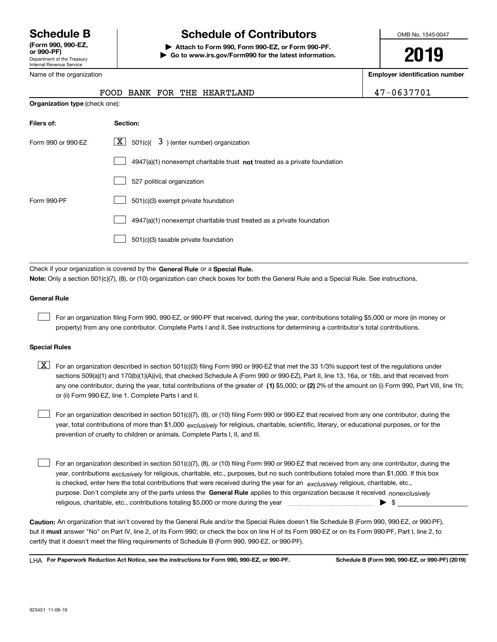Department of the Treasury Internal Revenue Service **(Form 990, 990-EZ, or 990-PF)**

# **Schedule B Schedule of Contributors**

**| Attach to Form 990, Form 990-EZ, or Form 990-PF. | Go to www.irs.gov/Form990 for the latest information.** OMB No. 1545-0047

**2019**

**Employer identification number**

| FOOD BANK FOR THE HEARTLAND | 47-0637701 |
|-----------------------------|------------|
|-----------------------------|------------|

| Name of the organization |  |
|--------------------------|--|
|                          |  |

| <b>Organization type</b> (check one): |                                                                           |  |  |  |  |
|---------------------------------------|---------------------------------------------------------------------------|--|--|--|--|
| Filers of:                            | Section:                                                                  |  |  |  |  |
| Form 990 or 990-EZ                    | $\boxed{\text{X}}$ 501(c)( 3) (enter number) organization                 |  |  |  |  |
|                                       | 4947(a)(1) nonexempt charitable trust not treated as a private foundation |  |  |  |  |
|                                       | 527 political organization                                                |  |  |  |  |
| Form 990-PF                           | 501(c)(3) exempt private foundation                                       |  |  |  |  |
|                                       | 4947(a)(1) nonexempt charitable trust treated as a private foundation     |  |  |  |  |
|                                       | 501(c)(3) taxable private foundation                                      |  |  |  |  |

Check if your organization is covered by the **General Rule** or a **Special Rule. Note:**  Only a section 501(c)(7), (8), or (10) organization can check boxes for both the General Rule and a Special Rule. See instructions.

# **General Rule**

 $\mathcal{L}^{\text{max}}$ 

For an organization filing Form 990, 990-EZ, or 990-PF that received, during the year, contributions totaling \$5,000 or more (in money or property) from any one contributor. Complete Parts I and II. See instructions for determining a contributor's total contributions.

## **Special Rules**

any one contributor, during the year, total contributions of the greater of  $\,$  (1) \$5,000; or **(2)** 2% of the amount on (i) Form 990, Part VIII, line 1h;  $\boxed{\textbf{X}}$  For an organization described in section 501(c)(3) filing Form 990 or 990-EZ that met the 33 1/3% support test of the regulations under sections 509(a)(1) and 170(b)(1)(A)(vi), that checked Schedule A (Form 990 or 990-EZ), Part II, line 13, 16a, or 16b, and that received from or (ii) Form 990-EZ, line 1. Complete Parts I and II.

year, total contributions of more than \$1,000 *exclusively* for religious, charitable, scientific, literary, or educational purposes, or for the For an organization described in section 501(c)(7), (8), or (10) filing Form 990 or 990-EZ that received from any one contributor, during the prevention of cruelty to children or animals. Complete Parts I, II, and III.  $\mathcal{L}^{\text{max}}$ 

purpose. Don't complete any of the parts unless the **General Rule** applies to this organization because it received *nonexclusively* year, contributions <sub>exclusively</sub> for religious, charitable, etc., purposes, but no such contributions totaled more than \$1,000. If this box is checked, enter here the total contributions that were received during the year for an  $\;$ exclusively religious, charitable, etc., For an organization described in section 501(c)(7), (8), or (10) filing Form 990 or 990-EZ that received from any one contributor, during the religious, charitable, etc., contributions totaling \$5,000 or more during the year  $\Box$ — $\Box$   $\Box$  $\mathcal{L}^{\text{max}}$ 

**Caution:**  An organization that isn't covered by the General Rule and/or the Special Rules doesn't file Schedule B (Form 990, 990-EZ, or 990-PF),  **must** but it answer "No" on Part IV, line 2, of its Form 990; or check the box on line H of its Form 990-EZ or on its Form 990-PF, Part I, line 2, to certify that it doesn't meet the filing requirements of Schedule B (Form 990, 990-EZ, or 990-PF).

**For Paperwork Reduction Act Notice, see the instructions for Form 990, 990-EZ, or 990-PF. Schedule B (Form 990, 990-EZ, or 990-PF) (2019)** LHA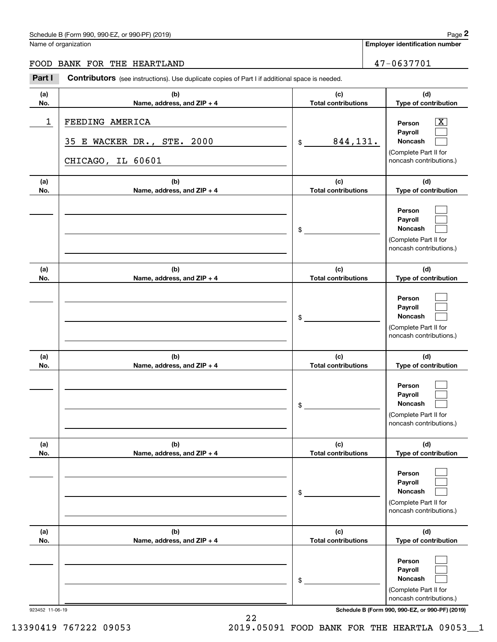# Schedule B (Form 990, 990-EZ, or 990-PF) (2019) **Page 2** and the state of the state of the state of the state of the state of the state of the state of the state of the state of the state of the state of the state of the s

Name of organization

 $|X|$  $\mathcal{L}^{\text{max}}$  $\mathcal{L}^{\text{max}}$ 

 $\mathcal{L}^{\text{max}}$  $\mathcal{L}^{\text{max}}$  $\mathcal{L}^{\text{max}}$ 

 $\mathcal{L}^{\text{max}}$  $\mathcal{L}^{\text{max}}$  $\mathcal{L}^{\text{max}}$ 

 $\mathcal{L}^{\text{max}}$  $\mathcal{L}^{\text{max}}$  $\mathcal{L}^{\text{max}}$ 

 $\mathcal{L}^{\text{max}}$  $\mathcal{L}^{\text{max}}$  $\mathcal{L}^{\text{max}}$ 

 $\mathcal{L}^{\text{max}}$  $\mathcal{L}^{\text{max}}$  $\mathcal{L}^{\text{max}}$ 

**Employer identification number**

FOOD BANK FOR THE HEARTLAND 47-0637701

### **(a)No.(b)Name, address, and ZIP + 4 (c)Total contributions (d)Type of contribution PersonPayrollNoncash (a)No.(b)Name, address, and ZIP + 4 (c)Total contributions (d)Type of contribution PersonPayrollNoncash (a)No.(b)Name, address, and ZIP + 4 (c)Total contributions (d)Type of contribution PersonPayrollNoncash (a) No.(b)Name, address, and ZIP + 4 (c) Total contributions (d) Type of contribution PersonPayrollNoncash(a) No.(b)Name, address, and ZIP + 4 (c) Total contributions (d) Type of contribution PersonPayrollNoncash(a) No.(b)Name, address, and ZIP + 4 (c) Total contributions (d)Type of contribution PersonPayrollNoncash Contributors** (see instructions). Use duplicate copies of Part I if additional space is needed. \$(Complete Part II for noncash contributions.) \$(Complete Part II for noncash contributions.) \$(Complete Part II for noncash contributions.) \$(Complete Part II for noncash contributions.) \$(Complete Part II for noncash contributions.) \$(Complete Part II for **2Page 2** Chedule B (Form 990, 990-EZ, or 990-PF) (2019)<br> **2Part I 2Part I Contributors** (see instructions). Use duplicate copies of Part I if additional space is needed.<br> **2Part I Contributors** (see instructions). U 1 X FEEDING AMERICA 844,131. 35 E WACKER DR., STE. 2000 CHICAGO, IL 60601

923452 11-06-19 **Schedule B (Form 990, 990-EZ, or 990-PF) (2019)**

noncash contributions.)

13390419 767222 09053 2019.05091 FOOD BANK FOR THE HEARTLA 09053\_\_1

22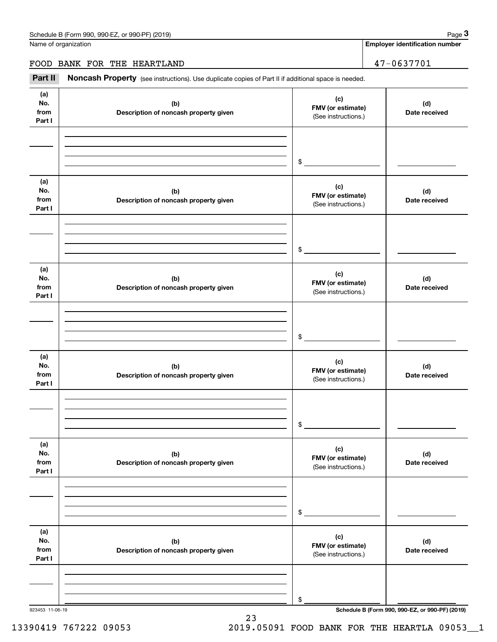**Employer identification number**

# FOOD BANK FOR THE HEARTLAND 47-0637701

Chedule B (Form 990, 990-EZ, or 990-PF) (2019)<br> **2018**<br> **2018** Iame of organization<br> **2999** Part II **Noncash Property** (see instructions). Use duplicate copies of Part II if additional space is needed.<br>
2999 Part II **Nonca** 

| (a)<br>No.<br>from<br>Part I | (b)<br>Description of noncash property given | (c)<br>FMV (or estimate)<br>(See instructions.) | (d)<br>Date received |
|------------------------------|----------------------------------------------|-------------------------------------------------|----------------------|
|                              |                                              | $\mathfrak s$                                   |                      |
| (a)<br>No.<br>from<br>Part I | (b)<br>Description of noncash property given | (c)<br>FMV (or estimate)<br>(See instructions.) | (d)<br>Date received |
|                              |                                              | $\mathfrak s$                                   |                      |
| (a)<br>No.<br>from<br>Part I | (b)<br>Description of noncash property given | (c)<br>FMV (or estimate)<br>(See instructions.) | (d)<br>Date received |
|                              |                                              | $\mathfrak s$                                   |                      |
| (a)<br>No.<br>from<br>Part I | (b)<br>Description of noncash property given | (c)<br>FMV (or estimate)<br>(See instructions.) | (d)<br>Date received |
|                              |                                              | $\mathsf{\$}$                                   |                      |
| (a)<br>No.<br>from<br>Part I | (b)<br>Description of noncash property given | (c)<br>FMV (or estimate)<br>(See instructions.) | (d)<br>Date received |
|                              |                                              | \$                                              |                      |
| (a)<br>No.<br>from<br>Part I | (b)<br>Description of noncash property given | (c)<br>FMV (or estimate)<br>(See instructions.) | (d)<br>Date received |
|                              |                                              | \$                                              |                      |

23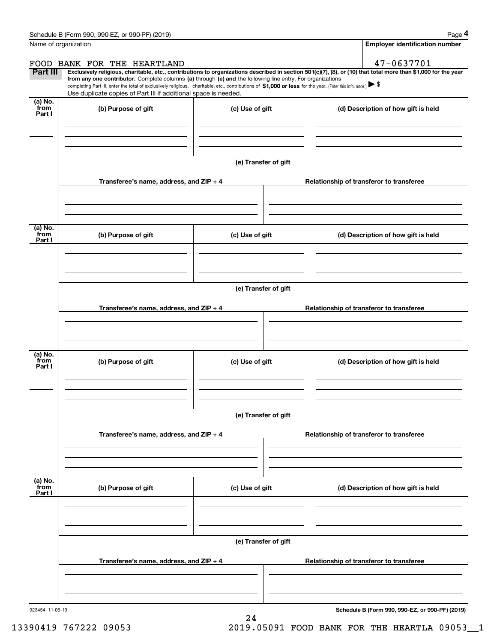|                 | Schedule B (Form 990, 990-EZ, or 990-PF) (2019)                                                                                                                                                                                                                              |                      |                                          | Page 4                                   |  |  |  |  |
|-----------------|------------------------------------------------------------------------------------------------------------------------------------------------------------------------------------------------------------------------------------------------------------------------------|----------------------|------------------------------------------|------------------------------------------|--|--|--|--|
|                 | Name of organization                                                                                                                                                                                                                                                         |                      |                                          | <b>Employer identification number</b>    |  |  |  |  |
|                 | FOOD BANK FOR THE HEARTLAND                                                                                                                                                                                                                                                  |                      |                                          | 47-0637701                               |  |  |  |  |
| Part III        | Exclusively religious, charitable, etc., contributions to organizations described in section 501(c)(7), (8), or (10) that total more than \$1,000 for the year<br>from any one contributor. Complete columns (a) through (e) and the following line entry. For organizations |                      |                                          |                                          |  |  |  |  |
|                 | completing Part III, enter the total of exclusively religious, charitable, etc., contributions of \$1,000 or less for the year. (Enter this info. once.) $\blacktriangleright$ \$                                                                                            |                      |                                          |                                          |  |  |  |  |
| (a) No.         | Use duplicate copies of Part III if additional space is needed.                                                                                                                                                                                                              |                      |                                          |                                          |  |  |  |  |
| from<br>Part I  | (b) Purpose of gift                                                                                                                                                                                                                                                          | (c) Use of gift      |                                          | (d) Description of how gift is held      |  |  |  |  |
|                 |                                                                                                                                                                                                                                                                              |                      |                                          |                                          |  |  |  |  |
|                 |                                                                                                                                                                                                                                                                              |                      |                                          |                                          |  |  |  |  |
|                 |                                                                                                                                                                                                                                                                              |                      |                                          |                                          |  |  |  |  |
|                 |                                                                                                                                                                                                                                                                              | (e) Transfer of gift |                                          |                                          |  |  |  |  |
|                 |                                                                                                                                                                                                                                                                              |                      |                                          |                                          |  |  |  |  |
|                 | Transferee's name, address, and ZIP + 4                                                                                                                                                                                                                                      |                      |                                          | Relationship of transferor to transferee |  |  |  |  |
|                 |                                                                                                                                                                                                                                                                              |                      |                                          |                                          |  |  |  |  |
|                 |                                                                                                                                                                                                                                                                              |                      |                                          |                                          |  |  |  |  |
|                 |                                                                                                                                                                                                                                                                              |                      |                                          |                                          |  |  |  |  |
| (a) No.<br>from | (b) Purpose of gift                                                                                                                                                                                                                                                          | (c) Use of gift      |                                          | (d) Description of how gift is held      |  |  |  |  |
| Part I          |                                                                                                                                                                                                                                                                              |                      |                                          |                                          |  |  |  |  |
|                 |                                                                                                                                                                                                                                                                              |                      |                                          |                                          |  |  |  |  |
|                 |                                                                                                                                                                                                                                                                              |                      |                                          |                                          |  |  |  |  |
|                 |                                                                                                                                                                                                                                                                              |                      |                                          |                                          |  |  |  |  |
|                 | (e) Transfer of gift                                                                                                                                                                                                                                                         |                      |                                          |                                          |  |  |  |  |
|                 | Transferee's name, address, and ZIP + 4                                                                                                                                                                                                                                      |                      | Relationship of transferor to transferee |                                          |  |  |  |  |
|                 |                                                                                                                                                                                                                                                                              |                      |                                          |                                          |  |  |  |  |
|                 |                                                                                                                                                                                                                                                                              |                      |                                          |                                          |  |  |  |  |
|                 |                                                                                                                                                                                                                                                                              |                      |                                          |                                          |  |  |  |  |
| (a) No.<br>from | (b) Purpose of gift                                                                                                                                                                                                                                                          | (c) Use of gift      |                                          | (d) Description of how gift is held      |  |  |  |  |
| Part I          |                                                                                                                                                                                                                                                                              |                      |                                          |                                          |  |  |  |  |
|                 |                                                                                                                                                                                                                                                                              |                      |                                          |                                          |  |  |  |  |
|                 |                                                                                                                                                                                                                                                                              |                      |                                          |                                          |  |  |  |  |
|                 |                                                                                                                                                                                                                                                                              |                      |                                          |                                          |  |  |  |  |
|                 | (e) Transfer of gift                                                                                                                                                                                                                                                         |                      |                                          |                                          |  |  |  |  |
|                 | Transferee's name, address, and ZIP + 4                                                                                                                                                                                                                                      |                      |                                          | Relationship of transferor to transferee |  |  |  |  |
|                 |                                                                                                                                                                                                                                                                              |                      |                                          |                                          |  |  |  |  |
|                 |                                                                                                                                                                                                                                                                              |                      |                                          |                                          |  |  |  |  |
|                 |                                                                                                                                                                                                                                                                              |                      |                                          |                                          |  |  |  |  |
| (a) No.<br>from | (b) Purpose of gift                                                                                                                                                                                                                                                          | (c) Use of gift      |                                          | (d) Description of how gift is held      |  |  |  |  |
| Part I          |                                                                                                                                                                                                                                                                              |                      |                                          |                                          |  |  |  |  |
|                 |                                                                                                                                                                                                                                                                              |                      |                                          |                                          |  |  |  |  |
|                 |                                                                                                                                                                                                                                                                              |                      |                                          |                                          |  |  |  |  |
|                 |                                                                                                                                                                                                                                                                              |                      |                                          |                                          |  |  |  |  |
|                 |                                                                                                                                                                                                                                                                              | (e) Transfer of gift |                                          |                                          |  |  |  |  |
|                 | Transferee's name, address, and $ZIP + 4$                                                                                                                                                                                                                                    |                      |                                          | Relationship of transferor to transferee |  |  |  |  |
|                 |                                                                                                                                                                                                                                                                              |                      |                                          |                                          |  |  |  |  |
|                 |                                                                                                                                                                                                                                                                              |                      |                                          |                                          |  |  |  |  |
|                 |                                                                                                                                                                                                                                                                              |                      |                                          |                                          |  |  |  |  |
|                 |                                                                                                                                                                                                                                                                              |                      |                                          |                                          |  |  |  |  |

24

923454 11-06-19

**Schedule B (Form 990, 990-EZ, or 990-PF) (2019)**

13390419 767222 09053 2019.05091 FOOD BANK FOR THE HEARTLA 09053\_\_1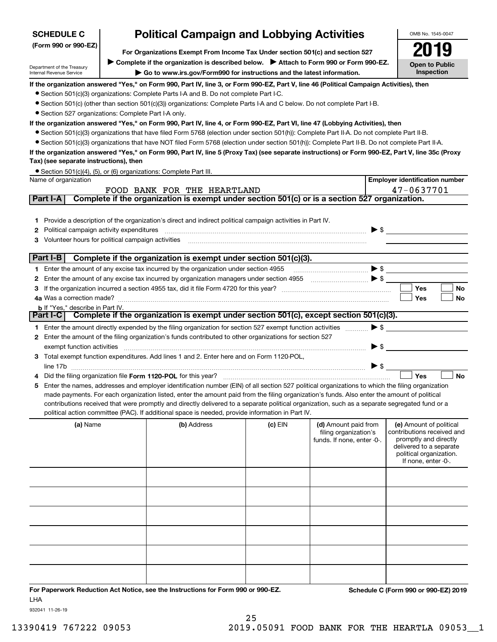| <b>SCHEDULE C</b>                                                  |                                                                               | <b>Political Campaign and Lobbying Activities</b>                                                                                                |           |                                                                             |                          | OMB No. 1545-0047                                                                                                                                           |
|--------------------------------------------------------------------|-------------------------------------------------------------------------------|--------------------------------------------------------------------------------------------------------------------------------------------------|-----------|-----------------------------------------------------------------------------|--------------------------|-------------------------------------------------------------------------------------------------------------------------------------------------------------|
| (Form 990 or 990-EZ)                                               | For Organizations Exempt From Income Tax Under section 501(c) and section 527 |                                                                                                                                                  |           |                                                                             |                          |                                                                                                                                                             |
|                                                                    |                                                                               | ▶ Complete if the organization is described below. ▶ Attach to Form 990 or Form 990-EZ.                                                          |           |                                                                             |                          |                                                                                                                                                             |
| Department of the Treasury<br>Internal Revenue Service             | <b>Open to Public</b><br>Inspection                                           |                                                                                                                                                  |           |                                                                             |                          |                                                                                                                                                             |
|                                                                    |                                                                               | If the organization answered "Yes," on Form 990, Part IV, line 3, or Form 990-EZ, Part V, line 46 (Political Campaign Activities), then          |           |                                                                             |                          |                                                                                                                                                             |
|                                                                    |                                                                               | • Section 501(c)(3) organizations: Complete Parts I-A and B. Do not complete Part I-C.                                                           |           |                                                                             |                          |                                                                                                                                                             |
|                                                                    |                                                                               | • Section 501(c) (other than section 501(c)(3)) organizations: Complete Parts I-A and C below. Do not complete Part I-B.                         |           |                                                                             |                          |                                                                                                                                                             |
| • Section 527 organizations: Complete Part I-A only.               |                                                                               |                                                                                                                                                  |           |                                                                             |                          |                                                                                                                                                             |
|                                                                    |                                                                               | If the organization answered "Yes," on Form 990, Part IV, line 4, or Form 990-EZ, Part VI, line 47 (Lobbying Activities), then                   |           |                                                                             |                          |                                                                                                                                                             |
|                                                                    |                                                                               | • Section 501(c)(3) organizations that have filed Form 5768 (election under section 501(h)): Complete Part II-A. Do not complete Part II-B.      |           |                                                                             |                          |                                                                                                                                                             |
|                                                                    |                                                                               | • Section 501(c)(3) organizations that have NOT filed Form 5768 (election under section 501(h)): Complete Part II-B. Do not complete Part II-A.  |           |                                                                             |                          |                                                                                                                                                             |
| Tax) (see separate instructions), then                             |                                                                               | If the organization answered "Yes," on Form 990, Part IV, line 5 (Proxy Tax) (see separate instructions) or Form 990-EZ, Part V, line 35c (Proxy |           |                                                                             |                          |                                                                                                                                                             |
| • Section 501(c)(4), (5), or (6) organizations: Complete Part III. |                                                                               |                                                                                                                                                  |           |                                                                             |                          |                                                                                                                                                             |
| Name of organization                                               |                                                                               |                                                                                                                                                  |           |                                                                             |                          | <b>Employer identification number</b>                                                                                                                       |
|                                                                    |                                                                               | FOOD BANK FOR THE HEARTLAND                                                                                                                      |           |                                                                             |                          | 47-0637701                                                                                                                                                  |
| Part I-A                                                           |                                                                               | Complete if the organization is exempt under section 501(c) or is a section 527 organization.                                                    |           |                                                                             |                          |                                                                                                                                                             |
|                                                                    |                                                                               |                                                                                                                                                  |           |                                                                             |                          |                                                                                                                                                             |
| 1.                                                                 |                                                                               | Provide a description of the organization's direct and indirect political campaign activities in Part IV.                                        |           |                                                                             |                          |                                                                                                                                                             |
| Political campaign activity expenditures<br>2                      |                                                                               |                                                                                                                                                  |           |                                                                             | $\blacktriangleright$ \$ |                                                                                                                                                             |
| Volunteer hours for political campaign activities                  |                                                                               |                                                                                                                                                  |           |                                                                             |                          |                                                                                                                                                             |
|                                                                    |                                                                               |                                                                                                                                                  |           |                                                                             |                          |                                                                                                                                                             |
| Part I-B                                                           |                                                                               | Complete if the organization is exempt under section 501(c)(3).                                                                                  |           |                                                                             |                          |                                                                                                                                                             |
|                                                                    |                                                                               | 1 Enter the amount of any excise tax incurred by the organization under section 4955                                                             |           |                                                                             | $\blacktriangleright$ \$ |                                                                                                                                                             |
| 2                                                                  |                                                                               | Enter the amount of any excise tax incurred by organization managers under section 4955 [100] [100] S                                            |           |                                                                             |                          |                                                                                                                                                             |
|                                                                    |                                                                               |                                                                                                                                                  |           |                                                                             |                          | Yes<br>No                                                                                                                                                   |
| 4a Was a correction made?                                          |                                                                               |                                                                                                                                                  |           |                                                                             |                          | Yes<br>No                                                                                                                                                   |
| <b>b</b> If "Yes," describe in Part IV.<br>Part I-C                |                                                                               | Complete if the organization is exempt under section 501(c), except section 501(c)(3).                                                           |           |                                                                             |                          |                                                                                                                                                             |
|                                                                    |                                                                               |                                                                                                                                                  |           |                                                                             |                          |                                                                                                                                                             |
|                                                                    |                                                                               | 1 Enter the amount directly expended by the filing organization for section 527 exempt function activities                                       |           |                                                                             | $\blacktriangleright$ \$ |                                                                                                                                                             |
|                                                                    |                                                                               | 2 Enter the amount of the filing organization's funds contributed to other organizations for section 527                                         |           |                                                                             | $\blacktriangleright$ \$ |                                                                                                                                                             |
| exempt function activities                                         |                                                                               | 3 Total exempt function expenditures. Add lines 1 and 2. Enter here and on Form 1120-POL,                                                        |           |                                                                             |                          |                                                                                                                                                             |
| line 17b                                                           |                                                                               |                                                                                                                                                  |           |                                                                             | $\blacktriangleright$ \$ |                                                                                                                                                             |
|                                                                    |                                                                               | Did the filing organization file Form 1120-POL for this year?                                                                                    |           |                                                                             |                          | Yes<br><b>No</b>                                                                                                                                            |
| 5                                                                  |                                                                               | Enter the names, addresses and employer identification number (EIN) of all section 527 political organizations to which the filing organization  |           |                                                                             |                          |                                                                                                                                                             |
|                                                                    |                                                                               | made payments. For each organization listed, enter the amount paid from the filing organization's funds. Also enter the amount of political      |           |                                                                             |                          |                                                                                                                                                             |
|                                                                    |                                                                               | contributions received that were promptly and directly delivered to a separate political organization, such as a separate segregated fund or a   |           |                                                                             |                          |                                                                                                                                                             |
|                                                                    |                                                                               | political action committee (PAC). If additional space is needed, provide information in Part IV.                                                 |           |                                                                             |                          |                                                                                                                                                             |
| (a) Name                                                           |                                                                               | (b) Address                                                                                                                                      | $(c)$ EIN | (d) Amount paid from<br>filing organization's<br>funds. If none, enter -0-. |                          | (e) Amount of political<br>contributions received and<br>promptly and directly<br>delivered to a separate<br>political organization.<br>If none, enter -0-. |
|                                                                    |                                                                               |                                                                                                                                                  |           |                                                                             |                          |                                                                                                                                                             |
|                                                                    |                                                                               |                                                                                                                                                  |           |                                                                             |                          |                                                                                                                                                             |
|                                                                    |                                                                               |                                                                                                                                                  |           |                                                                             |                          |                                                                                                                                                             |
|                                                                    |                                                                               |                                                                                                                                                  |           |                                                                             |                          |                                                                                                                                                             |
|                                                                    |                                                                               |                                                                                                                                                  |           |                                                                             |                          |                                                                                                                                                             |
|                                                                    |                                                                               |                                                                                                                                                  |           |                                                                             |                          |                                                                                                                                                             |
|                                                                    |                                                                               |                                                                                                                                                  |           |                                                                             |                          |                                                                                                                                                             |
|                                                                    |                                                                               |                                                                                                                                                  |           |                                                                             |                          |                                                                                                                                                             |
|                                                                    |                                                                               |                                                                                                                                                  |           |                                                                             |                          |                                                                                                                                                             |
|                                                                    |                                                                               |                                                                                                                                                  |           |                                                                             |                          |                                                                                                                                                             |
|                                                                    |                                                                               |                                                                                                                                                  |           |                                                                             |                          |                                                                                                                                                             |
|                                                                    |                                                                               | For Departments Reduction Act Notice, and the Instructions for Form 000 or 000 FZ                                                                |           |                                                                             |                          | <b>Cohodulo C (Form 000 or 000 EZ) 2010</b>                                                                                                                 |

**For Paperwork Reduction Act Notice, see the Instructions for Form 990 or 990-EZ. Schedule C (Form 990 or 990-EZ) 2019** LHA

932041 11-26-19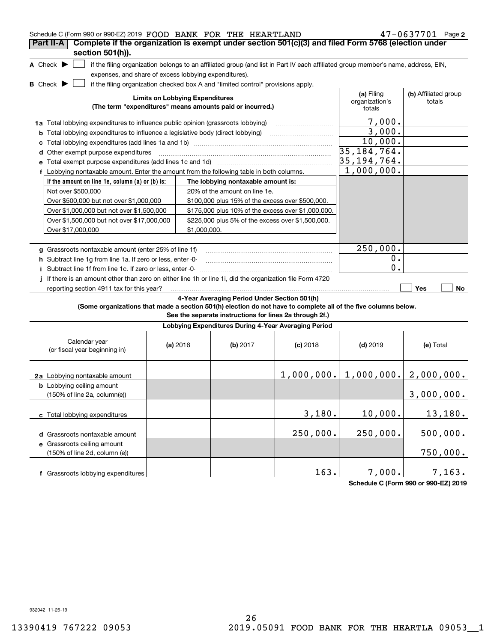| Schedule C (Form 990 or 990-EZ) 2019 FOOD BANK FOR THE HEARTLAND<br>Complete if the organization is exempt under section 501(c)(3) and filed Form 5768 (election under<br>Part II-A |                                        |              |                                                                                                                                               |            |                                                                                                                                   | $47 - 0637701$ Page 2          |
|-------------------------------------------------------------------------------------------------------------------------------------------------------------------------------------|----------------------------------------|--------------|-----------------------------------------------------------------------------------------------------------------------------------------------|------------|-----------------------------------------------------------------------------------------------------------------------------------|--------------------------------|
| section 501(h)).                                                                                                                                                                    |                                        |              |                                                                                                                                               |            |                                                                                                                                   |                                |
| A Check $\blacktriangleright$<br>expenses, and share of excess lobbying expenditures).                                                                                              |                                        |              |                                                                                                                                               |            | if the filing organization belongs to an affiliated group (and list in Part IV each affiliated group member's name, address, EIN, |                                |
| <b>B</b> Check $\blacktriangleright$                                                                                                                                                | <b>Limits on Lobbying Expenditures</b> |              | if the filing organization checked box A and "limited control" provisions apply.<br>(The term "expenditures" means amounts paid or incurred.) |            | (a) Filing<br>organization's<br>totals                                                                                            | (b) Affiliated group<br>totals |
| 1a Total lobbying expenditures to influence public opinion (grassroots lobbying)                                                                                                    |                                        |              |                                                                                                                                               |            | $\overline{7}$ ,000.                                                                                                              |                                |
| <b>b</b> Total lobbying expenditures to influence a legislative body (direct lobbying)                                                                                              |                                        |              |                                                                                                                                               |            | 3,000.                                                                                                                            |                                |
|                                                                                                                                                                                     |                                        |              |                                                                                                                                               |            | 10,000.                                                                                                                           |                                |
| d Other exempt purpose expenditures                                                                                                                                                 |                                        |              |                                                                                                                                               |            | 35, 184, 764.                                                                                                                     |                                |
|                                                                                                                                                                                     |                                        |              |                                                                                                                                               |            | 35, 194, 764.                                                                                                                     |                                |
| f Lobbying nontaxable amount. Enter the amount from the following table in both columns.                                                                                            |                                        |              |                                                                                                                                               |            | 1,000,000.                                                                                                                        |                                |
| If the amount on line 1e, column $(a)$ or $(b)$ is:                                                                                                                                 |                                        |              | The lobbying nontaxable amount is:                                                                                                            |            |                                                                                                                                   |                                |
| Not over \$500,000                                                                                                                                                                  |                                        |              | 20% of the amount on line 1e.                                                                                                                 |            |                                                                                                                                   |                                |
| Over \$500,000 but not over \$1,000,000                                                                                                                                             |                                        |              | \$100,000 plus 15% of the excess over \$500,000.                                                                                              |            |                                                                                                                                   |                                |
| Over \$1,000,000 but not over \$1,500,000                                                                                                                                           |                                        |              | \$175,000 plus 10% of the excess over \$1,000,000.                                                                                            |            |                                                                                                                                   |                                |
| Over \$1,500,000 but not over \$17,000,000                                                                                                                                          |                                        |              | \$225,000 plus 5% of the excess over \$1,500,000.                                                                                             |            |                                                                                                                                   |                                |
| Over \$17,000,000                                                                                                                                                                   |                                        | \$1,000,000. |                                                                                                                                               |            |                                                                                                                                   |                                |
|                                                                                                                                                                                     |                                        |              |                                                                                                                                               |            |                                                                                                                                   |                                |
| g Grassroots nontaxable amount (enter 25% of line 1f)                                                                                                                               |                                        |              |                                                                                                                                               |            | 250,000.                                                                                                                          |                                |
| h Subtract line 1g from line 1a. If zero or less, enter -0-                                                                                                                         |                                        |              |                                                                                                                                               |            | $0$ .                                                                                                                             |                                |
| i Subtract line 1f from line 1c. If zero or less, enter -0-                                                                                                                         |                                        |              |                                                                                                                                               |            | 0.                                                                                                                                |                                |
| If there is an amount other than zero on either line 1h or line 1i, did the organization file Form 4720                                                                             |                                        |              |                                                                                                                                               |            |                                                                                                                                   |                                |
| reporting section 4911 tax for this year?                                                                                                                                           |                                        |              |                                                                                                                                               |            |                                                                                                                                   | Yes<br>No                      |
| (Some organizations that made a section 501(h) election do not have to complete all of the five columns below.                                                                      |                                        |              | 4-Year Averaging Period Under Section 501(h)<br>See the separate instructions for lines 2a through 2f.)                                       |            |                                                                                                                                   |                                |
|                                                                                                                                                                                     |                                        |              | Lobbying Expenditures During 4-Year Averaging Period                                                                                          |            |                                                                                                                                   |                                |
| Calendar year<br>(or fiscal year beginning in)                                                                                                                                      | (a) 2016                               |              | (b) $2017$                                                                                                                                    | $(c)$ 2018 | $(d)$ 2019                                                                                                                        | (e) Total                      |
| 2a Lobbying nontaxable amount                                                                                                                                                       |                                        |              |                                                                                                                                               |            | $1,000,000.$ $  1,000,000.$ $  2,000,000.$                                                                                        |                                |
| <b>b</b> Lobbying ceiling amount<br>(150% of line 2a, column(e))                                                                                                                    |                                        |              |                                                                                                                                               |            |                                                                                                                                   | 3,000,000.                     |
| c Total lobbying expenditures                                                                                                                                                       |                                        |              |                                                                                                                                               | 3,180.     | 10,000.                                                                                                                           | 13,180.                        |
| d Grassroots nontaxable amount                                                                                                                                                      |                                        |              |                                                                                                                                               | 250,000.   | 250,000.                                                                                                                          | 500,000.                       |
| e Grassroots ceiling amount<br>(150% of line 2d, column (e))                                                                                                                        |                                        |              |                                                                                                                                               |            |                                                                                                                                   | 750,000.                       |
| f Grassroots lobbying expenditures                                                                                                                                                  |                                        |              |                                                                                                                                               | 163.       | 7,000.                                                                                                                            | 7,163.                         |

**Schedule C (Form 990 or 990-EZ) 2019**

932042 11-26-19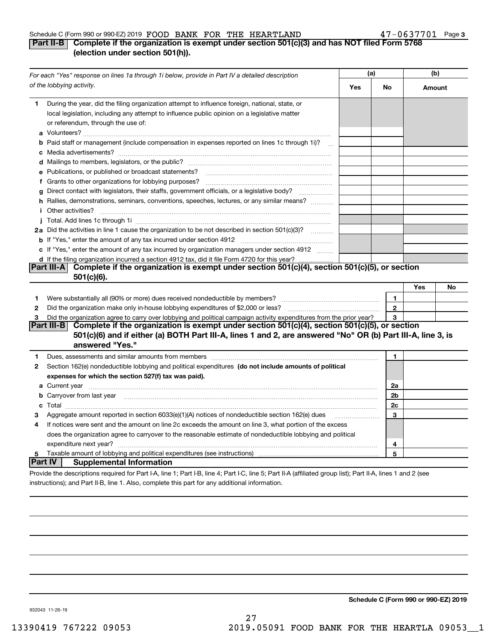# Schedule C (Form 990 or 990-EZ) 2019 Page FOOD BANK FOR THE HEARTLAND 47-0637701

# **3**

# **Part II-B Complete if the organization is exempt under section 501(c)(3) and has NOT filed Form 5768 (election under section 501(h)).**

| For each "Yes" response on lines 1a through 1i below, provide in Part IV a detailed description |                                                                                                                                                                                                                                      | (a) |              | (b)    |    |
|-------------------------------------------------------------------------------------------------|--------------------------------------------------------------------------------------------------------------------------------------------------------------------------------------------------------------------------------------|-----|--------------|--------|----|
|                                                                                                 | of the lobbying activity.                                                                                                                                                                                                            | Yes | No           | Amount |    |
| 1.                                                                                              | During the year, did the filing organization attempt to influence foreign, national, state, or<br>local legislation, including any attempt to influence public opinion on a legislative matter<br>or referendum, through the use of: |     |              |        |    |
|                                                                                                 | <b>b</b> Paid staff or management (include compensation in expenses reported on lines 1c through 1i)?<br>$\sim$                                                                                                                      |     |              |        |    |
|                                                                                                 |                                                                                                                                                                                                                                      |     |              |        |    |
|                                                                                                 | e Publications, or published or broadcast statements?                                                                                                                                                                                |     |              |        |    |
|                                                                                                 |                                                                                                                                                                                                                                      |     |              |        |    |
| g                                                                                               | Direct contact with legislators, their staffs, government officials, or a legislative body?                                                                                                                                          |     |              |        |    |
|                                                                                                 | h Rallies, demonstrations, seminars, conventions, speeches, lectures, or any similar means?<br><i>i</i> Other activities?                                                                                                            |     |              |        |    |
|                                                                                                 |                                                                                                                                                                                                                                      |     |              |        |    |
|                                                                                                 | 2a Did the activities in line 1 cause the organization to be not described in section 501(c)(3)?                                                                                                                                     |     |              |        |    |
|                                                                                                 |                                                                                                                                                                                                                                      |     |              |        |    |
|                                                                                                 | c If "Yes," enter the amount of any tax incurred by organization managers under section 4912                                                                                                                                         |     |              |        |    |
|                                                                                                 | d If the filing organization incurred a section 4912 tax, did it file Form 4720 for this year?                                                                                                                                       |     |              |        |    |
|                                                                                                 | Complete if the organization is exempt under section 501(c)(4), section 501(c)(5), or section<br>Part III-A<br>$501(c)(6)$ .                                                                                                         |     |              |        |    |
|                                                                                                 |                                                                                                                                                                                                                                      |     |              | Yes    | No |
| 1                                                                                               | Were substantially all (90% or more) dues received nondeductible by members?                                                                                                                                                         |     | 1            |        |    |
| 2                                                                                               |                                                                                                                                                                                                                                      |     | $\mathbf{2}$ |        |    |
| 3                                                                                               | Did the organization agree to carry over lobbying and political campaign activity expenditures from the prior year?                                                                                                                  |     | 3            |        |    |
|                                                                                                 | Complete if the organization is exempt under section 501(c)(4), section 501(c)(5), or section<br><b>Part III-B</b>                                                                                                                   |     |              |        |    |
|                                                                                                 | 501(c)(6) and if either (a) BOTH Part III-A, lines 1 and 2, are answered "No" OR (b) Part III-A, line 3, is<br>answered "Yes."                                                                                                       |     |              |        |    |
| 1                                                                                               | Dues, assessments and similar amounts from members [111] www.communicallyness.communicallyness.communicallyness.communicallyness.communicallyness.communicallyness.communicallyness.communicallyness.communicallyness.communic       |     | 1            |        |    |
| 2                                                                                               | Section 162(e) nondeductible lobbying and political expenditures (do not include amounts of political                                                                                                                                |     |              |        |    |
|                                                                                                 | expenses for which the section 527(f) tax was paid).                                                                                                                                                                                 |     |              |        |    |
|                                                                                                 | a Current year <b>contract and the contract of the contract of the contract of the contract of the contract of the contract of the contract of the contract of the contract of the contract of the contract of the contract of t</b> |     | 2a           |        |    |
|                                                                                                 | b Carryover from last year manufactured and contract the contract of the contract of the contract of the contract of the contract of the contract of the contract of the contract of the contract of the contract of the contr       |     | 2b           |        |    |
|                                                                                                 |                                                                                                                                                                                                                                      |     | 2c           |        |    |
| з                                                                                               | Aggregate amount reported in section $6033(e)(1)(A)$ notices of nondeductible section $162(e)$ dues                                                                                                                                  |     | 3            |        |    |
| 4                                                                                               | If notices were sent and the amount on line 2c exceeds the amount on line 3, what portion of the excess                                                                                                                              |     |              |        |    |
|                                                                                                 | does the organization agree to carryover to the reasonable estimate of nondeductible lobbying and political                                                                                                                          |     |              |        |    |
|                                                                                                 |                                                                                                                                                                                                                                      |     | 4            |        |    |
| 5                                                                                               | Taxable amount of lobbying and political expenditures (see instructions)                                                                                                                                                             |     | 5            |        |    |
| Part IV                                                                                         | <b>Supplemental Information</b>                                                                                                                                                                                                      |     |              |        |    |
|                                                                                                 | Provide the descriptions required for Part I-A, line 1; Part I-B, line 4; Part I-C, line 5; Part II-A (affiliated group list); Part II-A, lines 1 and 2 (see                                                                         |     |              |        |    |
|                                                                                                 | instructions); and Part II-B, line 1, Also, complete this part for any additional information.                                                                                                                                       |     |              |        |    |

**Schedule C (Form 990 or 990-EZ) 2019**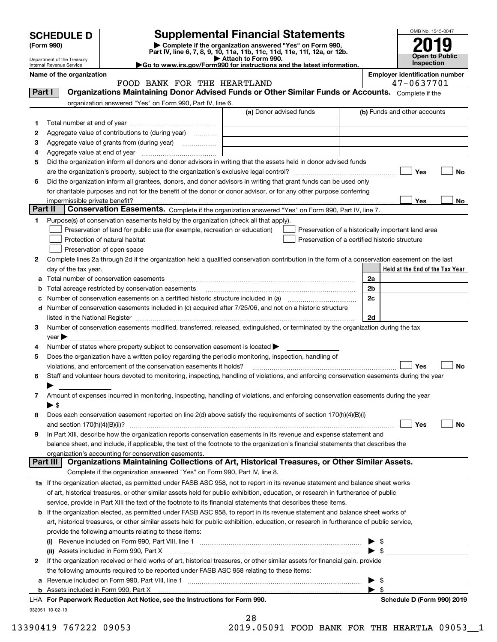| <b>SCHEDULE D</b> |  |
|-------------------|--|
|-------------------|--|

Department of the Treasury

# **SCHEDULE D Supplemental Financial Statements**

(Form 990)<br>
Pepartment of the Treasury<br>
Department of the Treasury<br>
Department of the Treasury<br>
Department of the Treasury<br> **Co to www.irs.gov/Form990 for instructions and the latest information.**<br> **Co to www.irs.gov/Form9** 



|         | Internal Revenue Service                                                                                                                                          | $\blacktriangleright$ Go to www.irs.gov/Form990 for instructions and the latest information. |                          | <b>Inspection</b>                                   |           |
|---------|-------------------------------------------------------------------------------------------------------------------------------------------------------------------|----------------------------------------------------------------------------------------------|--------------------------|-----------------------------------------------------|-----------|
|         | Name of the organization<br>FOOD BANK FOR THE HEARTLAND                                                                                                           |                                                                                              |                          | <b>Employer identification number</b><br>47-0637701 |           |
| Part I  | Organizations Maintaining Donor Advised Funds or Other Similar Funds or Accounts. Complete if the                                                                 |                                                                                              |                          |                                                     |           |
|         | organization answered "Yes" on Form 990, Part IV, line 6.                                                                                                         |                                                                                              |                          |                                                     |           |
|         |                                                                                                                                                                   | (a) Donor advised funds                                                                      |                          | (b) Funds and other accounts                        |           |
| 1       |                                                                                                                                                                   |                                                                                              |                          |                                                     |           |
| 2       | Aggregate value of contributions to (during year)                                                                                                                 |                                                                                              |                          |                                                     |           |
| з       | Aggregate value of grants from (during year)                                                                                                                      |                                                                                              |                          |                                                     |           |
| 4       |                                                                                                                                                                   |                                                                                              |                          |                                                     |           |
| 5       | Did the organization inform all donors and donor advisors in writing that the assets held in donor advised funds                                                  |                                                                                              |                          |                                                     |           |
|         |                                                                                                                                                                   |                                                                                              |                          | Yes                                                 | <b>No</b> |
| 6       | Did the organization inform all grantees, donors, and donor advisors in writing that grant funds can be used only                                                 |                                                                                              |                          |                                                     |           |
|         | for charitable purposes and not for the benefit of the donor or donor advisor, or for any other purpose conferring                                                |                                                                                              |                          |                                                     |           |
|         |                                                                                                                                                                   |                                                                                              |                          | Yes                                                 | No        |
| Part II | Conservation Easements. Complete if the organization answered "Yes" on Form 990, Part IV, line 7.                                                                 |                                                                                              |                          |                                                     |           |
| 1       | Purpose(s) of conservation easements held by the organization (check all that apply).                                                                             |                                                                                              |                          |                                                     |           |
|         | Preservation of land for public use (for example, recreation or education)                                                                                        | Preservation of a historically important land area                                           |                          |                                                     |           |
|         | Protection of natural habitat                                                                                                                                     | Preservation of a certified historic structure                                               |                          |                                                     |           |
|         | Preservation of open space                                                                                                                                        |                                                                                              |                          |                                                     |           |
| 2       | Complete lines 2a through 2d if the organization held a qualified conservation contribution in the form of a conservation easement on the last                    |                                                                                              |                          |                                                     |           |
|         | day of the tax year.                                                                                                                                              |                                                                                              |                          | Held at the End of the Tax Year                     |           |
| а       | Total number of conservation easements                                                                                                                            |                                                                                              | 2a                       |                                                     |           |
| b       | Total acreage restricted by conservation easements                                                                                                                |                                                                                              | 2b                       |                                                     |           |
| c       |                                                                                                                                                                   |                                                                                              | 2c                       |                                                     |           |
| d       | Number of conservation easements included in (c) acquired after 7/25/06, and not on a historic structure                                                          |                                                                                              |                          |                                                     |           |
|         |                                                                                                                                                                   |                                                                                              | 2d                       |                                                     |           |
| 3       | Number of conservation easements modified, transferred, released, extinguished, or terminated by the organization during the tax                                  |                                                                                              |                          |                                                     |           |
|         | $year \blacktriangleright$                                                                                                                                        |                                                                                              |                          |                                                     |           |
| 4       | Number of states where property subject to conservation easement is located >                                                                                     |                                                                                              |                          |                                                     |           |
| 5       | Does the organization have a written policy regarding the periodic monitoring, inspection, handling of                                                            |                                                                                              |                          |                                                     |           |
|         | violations, and enforcement of the conservation easements it holds?                                                                                               |                                                                                              |                          | Yes                                                 | <b>No</b> |
| 6       | Staff and volunteer hours devoted to monitoring, inspecting, handling of violations, and enforcing conservation easements during the year                         |                                                                                              |                          |                                                     |           |
|         |                                                                                                                                                                   |                                                                                              |                          |                                                     |           |
| 7       | Amount of expenses incurred in monitoring, inspecting, handling of violations, and enforcing conservation easements during the year                               |                                                                                              |                          |                                                     |           |
|         | ▶ \$                                                                                                                                                              |                                                                                              |                          |                                                     |           |
| 8       | Does each conservation easement reported on line $2(d)$ above satisfy the requirements of section $170(h)(4)(B)(i)$                                               |                                                                                              |                          |                                                     |           |
|         | and section 170(h)(4)(B)(ii)?                                                                                                                                     |                                                                                              |                          | Yes                                                 | No        |
| 9       | In Part XIII, describe how the organization reports conservation easements in its revenue and expense statement and                                               |                                                                                              |                          |                                                     |           |
|         | balance sheet, and include, if applicable, the text of the footnote to the organization's financial statements that describes the                                 |                                                                                              |                          |                                                     |           |
|         | organization's accounting for conservation easements.<br>Organizations Maintaining Collections of Art, Historical Treasures, or Other Similar Assets.<br>Part III |                                                                                              |                          |                                                     |           |
|         | Complete if the organization answered "Yes" on Form 990, Part IV, line 8.                                                                                         |                                                                                              |                          |                                                     |           |
|         | 1a If the organization elected, as permitted under FASB ASC 958, not to report in its revenue statement and balance sheet works                                   |                                                                                              |                          |                                                     |           |
|         | of art, historical treasures, or other similar assets held for public exhibition, education, or research in furtherance of public                                 |                                                                                              |                          |                                                     |           |
|         | service, provide in Part XIII the text of the footnote to its financial statements that describes these items.                                                    |                                                                                              |                          |                                                     |           |
|         | If the organization elected, as permitted under FASB ASC 958, to report in its revenue statement and balance sheet works of                                       |                                                                                              |                          |                                                     |           |
| b       | art, historical treasures, or other similar assets held for public exhibition, education, or research in furtherance of public service,                           |                                                                                              |                          |                                                     |           |
|         | provide the following amounts relating to these items:                                                                                                            |                                                                                              |                          |                                                     |           |
|         |                                                                                                                                                                   |                                                                                              | $\blacktriangleright$ \$ |                                                     |           |
|         | (ii) Assets included in Form 990, Part X                                                                                                                          |                                                                                              | $\blacktriangleright$ \$ |                                                     |           |
| 2       | If the organization received or held works of art, historical treasures, or other similar assets for financial gain, provide                                      |                                                                                              |                          |                                                     |           |
|         | the following amounts required to be reported under FASB ASC 958 relating to these items:                                                                         |                                                                                              |                          |                                                     |           |
|         |                                                                                                                                                                   |                                                                                              | $\blacktriangleright$ \$ |                                                     |           |
| а       |                                                                                                                                                                   |                                                                                              | $\blacktriangleright$ \$ |                                                     |           |
|         |                                                                                                                                                                   |                                                                                              |                          |                                                     |           |

932051 10-02-19 **For Paperwork Reduction Act Notice, see the Instructions for Form 990. Schedule D (Form 990) 2019** LHA

28

13390419 767222 09053 2019.05091 FOOD BANK FOR THE HEARTLA 09053\_\_1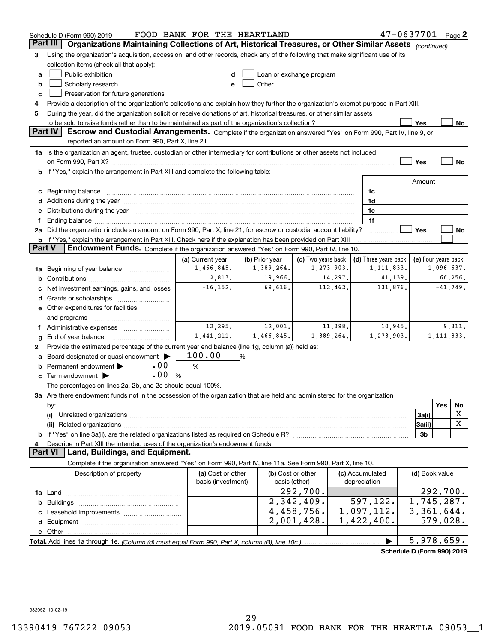| $47 - 0637701$ Page 2<br>FOOD BANK FOR THE HEARTLAND<br>Schedule D (Form 990) 2019 |                                                                                                                                                                                                                                                                                                                                                   |                    |                   |                          |                 |                            |                     |     |              |
|------------------------------------------------------------------------------------|---------------------------------------------------------------------------------------------------------------------------------------------------------------------------------------------------------------------------------------------------------------------------------------------------------------------------------------------------|--------------------|-------------------|--------------------------|-----------------|----------------------------|---------------------|-----|--------------|
| Part III                                                                           | Organizations Maintaining Collections of Art, Historical Treasures, or Other Similar Assets (continued)                                                                                                                                                                                                                                           |                    |                   |                          |                 |                            |                     |     |              |
| 3                                                                                  | Using the organization's acquisition, accession, and other records, check any of the following that make significant use of its                                                                                                                                                                                                                   |                    |                   |                          |                 |                            |                     |     |              |
|                                                                                    | collection items (check all that apply):                                                                                                                                                                                                                                                                                                          |                    |                   |                          |                 |                            |                     |     |              |
| a                                                                                  | Public exhibition                                                                                                                                                                                                                                                                                                                                 | d                  |                   | Loan or exchange program |                 |                            |                     |     |              |
| b                                                                                  | Scholarly research<br>Other the contract of the contract of the contract of the contract of the contract of the contract of the contract of the contract of the contract of the contract of the contract of the contract of the contract of the cont<br>e                                                                                         |                    |                   |                          |                 |                            |                     |     |              |
| c                                                                                  | Preservation for future generations                                                                                                                                                                                                                                                                                                               |                    |                   |                          |                 |                            |                     |     |              |
| 4                                                                                  | Provide a description of the organization's collections and explain how they further the organization's exempt purpose in Part XIII.                                                                                                                                                                                                              |                    |                   |                          |                 |                            |                     |     |              |
| 5                                                                                  | During the year, did the organization solicit or receive donations of art, historical treasures, or other similar assets                                                                                                                                                                                                                          |                    |                   |                          |                 |                            |                     |     |              |
|                                                                                    | Yes<br>No                                                                                                                                                                                                                                                                                                                                         |                    |                   |                          |                 |                            |                     |     |              |
|                                                                                    | Part IV<br>Escrow and Custodial Arrangements. Complete if the organization answered "Yes" on Form 990, Part IV, line 9, or                                                                                                                                                                                                                        |                    |                   |                          |                 |                            |                     |     |              |
|                                                                                    | reported an amount on Form 990, Part X, line 21.                                                                                                                                                                                                                                                                                                  |                    |                   |                          |                 |                            |                     |     |              |
|                                                                                    | 1a Is the organization an agent, trustee, custodian or other intermediary for contributions or other assets not included                                                                                                                                                                                                                          |                    |                   |                          |                 |                            |                     |     |              |
|                                                                                    |                                                                                                                                                                                                                                                                                                                                                   |                    |                   |                          |                 |                            | Yes                 |     | No           |
|                                                                                    | If "Yes," explain the arrangement in Part XIII and complete the following table:                                                                                                                                                                                                                                                                  |                    |                   |                          |                 |                            |                     |     |              |
|                                                                                    |                                                                                                                                                                                                                                                                                                                                                   |                    |                   |                          |                 |                            | Amount              |     |              |
|                                                                                    |                                                                                                                                                                                                                                                                                                                                                   |                    |                   |                          | 1c              |                            |                     |     |              |
| с                                                                                  | Beginning balance material continuum contracts and all the contracts of the contracts of the contracts of the contracts of the contracts of the contracts of the contracts of the contracts of the contracts of the contracts                                                                                                                     |                    |                   |                          | 1d              |                            |                     |     |              |
| d                                                                                  | Additions during the year manufactured and an anti-manufactured and the year manufactured and all the year manufactured and all the state of the state of the state of the state of the state of the state of the state of the                                                                                                                    |                    |                   |                          |                 |                            |                     |     |              |
| е                                                                                  | Distributions during the year manufactured and continuum and contact the year manufactured and contact the year                                                                                                                                                                                                                                   |                    |                   |                          | 1e              |                            |                     |     |              |
| f                                                                                  | Ending balance manufactured and contract and contract of the contract of the contract of the contract of the contract of the contract of the contract of the contract of the contract of the contract of the contract of the c<br>Did the organization include an amount on Form 990, Part X, line 21, for escrow or custodial account liability? |                    |                   |                          | 1f              |                            |                     |     |              |
|                                                                                    |                                                                                                                                                                                                                                                                                                                                                   |                    |                   |                          |                 |                            | Yes                 |     | No           |
| <b>Part V</b>                                                                      | <b>b</b> If "Yes," explain the arrangement in Part XIII. Check here if the explanation has been provided on Part XIII<br>Endowment Funds. Complete if the organization answered "Yes" on Form 990, Part IV, line 10.                                                                                                                              |                    |                   |                          |                 |                            |                     |     |              |
|                                                                                    |                                                                                                                                                                                                                                                                                                                                                   |                    |                   |                          |                 |                            |                     |     |              |
|                                                                                    |                                                                                                                                                                                                                                                                                                                                                   | (a) Current year   | (b) Prior year    | (c) Two years back       |                 | (d) Three years back       | (e) Four years back |     |              |
| 1a                                                                                 | Beginning of year balance                                                                                                                                                                                                                                                                                                                         | 1,466,845.         | 1,389,264.        | 1,273,903.               |                 | 1, 111, 833.               |                     |     | 1,096,637.   |
| b                                                                                  |                                                                                                                                                                                                                                                                                                                                                   | 2,813.             | 19,966.           | 14,297.                  |                 | 41,139.                    |                     |     | 66,256.      |
| с                                                                                  | Net investment earnings, gains, and losses                                                                                                                                                                                                                                                                                                        | $-16, 152.$        | 69,616.           | 112,462.                 |                 | 131,876.                   |                     |     | $-41,749.$   |
| d                                                                                  |                                                                                                                                                                                                                                                                                                                                                   |                    |                   |                          |                 |                            |                     |     |              |
|                                                                                    | e Other expenditures for facilities                                                                                                                                                                                                                                                                                                               |                    |                   |                          |                 |                            |                     |     |              |
|                                                                                    | and programs                                                                                                                                                                                                                                                                                                                                      |                    |                   |                          |                 |                            |                     |     |              |
| Ť.                                                                                 | Administrative expenses                                                                                                                                                                                                                                                                                                                           | 12,295.            | 12,001.           | 11,398.                  |                 | 10,945.                    |                     |     | 9,311.       |
| g                                                                                  | End of year balance                                                                                                                                                                                                                                                                                                                               | 1,441,211.         | 1,466,845.        | 1,389,264.               |                 | 1,273,903.                 |                     |     | 1, 111, 833. |
| 2                                                                                  | Provide the estimated percentage of the current year end balance (line 1g, column (a)) held as:                                                                                                                                                                                                                                                   |                    |                   |                          |                 |                            |                     |     |              |
| а                                                                                  | Board designated or quasi-endowment >                                                                                                                                                                                                                                                                                                             | 100.00             | %                 |                          |                 |                            |                     |     |              |
|                                                                                    | .00<br>Permanent endowment > _____                                                                                                                                                                                                                                                                                                                | %                  |                   |                          |                 |                            |                     |     |              |
| с                                                                                  | .00<br>Term endowment $\blacktriangleright$                                                                                                                                                                                                                                                                                                       | %                  |                   |                          |                 |                            |                     |     |              |
|                                                                                    | The percentages on lines 2a, 2b, and 2c should equal 100%.                                                                                                                                                                                                                                                                                        |                    |                   |                          |                 |                            |                     |     |              |
|                                                                                    | 3a Are there endowment funds not in the possession of the organization that are held and administered for the organization                                                                                                                                                                                                                        |                    |                   |                          |                 |                            |                     |     |              |
|                                                                                    | by:                                                                                                                                                                                                                                                                                                                                               |                    |                   |                          |                 |                            |                     | Yes | No           |
|                                                                                    | (i)                                                                                                                                                                                                                                                                                                                                               |                    |                   |                          |                 |                            | 3a(i)               |     | X            |
|                                                                                    |                                                                                                                                                                                                                                                                                                                                                   |                    |                   |                          |                 |                            | 3a(ii)              |     | X            |
|                                                                                    |                                                                                                                                                                                                                                                                                                                                                   |                    |                   |                          |                 |                            | 3 <sub>b</sub>      |     |              |
|                                                                                    | Describe in Part XIII the intended uses of the organization's endowment funds.                                                                                                                                                                                                                                                                    |                    |                   |                          |                 |                            |                     |     |              |
|                                                                                    | <b>Part VI</b><br>Land, Buildings, and Equipment.                                                                                                                                                                                                                                                                                                 |                    |                   |                          |                 |                            |                     |     |              |
|                                                                                    | Complete if the organization answered "Yes" on Form 990, Part IV, line 11a. See Form 990, Part X, line 10.                                                                                                                                                                                                                                        |                    |                   |                          |                 |                            |                     |     |              |
|                                                                                    | Description of property                                                                                                                                                                                                                                                                                                                           | (a) Cost or other  | (b) Cost or other |                          | (c) Accumulated |                            | (d) Book value      |     |              |
|                                                                                    |                                                                                                                                                                                                                                                                                                                                                   | basis (investment) |                   | basis (other)            | depreciation    |                            |                     |     |              |
|                                                                                    |                                                                                                                                                                                                                                                                                                                                                   |                    |                   | 292,700.                 |                 |                            |                     |     | 292, 700.    |
|                                                                                    |                                                                                                                                                                                                                                                                                                                                                   |                    |                   | 2,342,409.               | 597,122.        |                            | 1,745,287.          |     |              |
| b                                                                                  |                                                                                                                                                                                                                                                                                                                                                   |                    |                   | 4,458,756.               | 1,097,112.      |                            | 3,361,644.          |     |              |
|                                                                                    |                                                                                                                                                                                                                                                                                                                                                   |                    |                   |                          |                 |                            |                     |     |              |
| d                                                                                  |                                                                                                                                                                                                                                                                                                                                                   |                    |                   | 2,001,428.               | 1,422,400.      |                            |                     |     | 579,028.     |
|                                                                                    |                                                                                                                                                                                                                                                                                                                                                   |                    |                   |                          |                 |                            |                     |     |              |
|                                                                                    |                                                                                                                                                                                                                                                                                                                                                   |                    |                   |                          |                 |                            | 5,978,659.          |     |              |
|                                                                                    |                                                                                                                                                                                                                                                                                                                                                   |                    |                   |                          |                 | Schedule D (Form 990) 2019 |                     |     |              |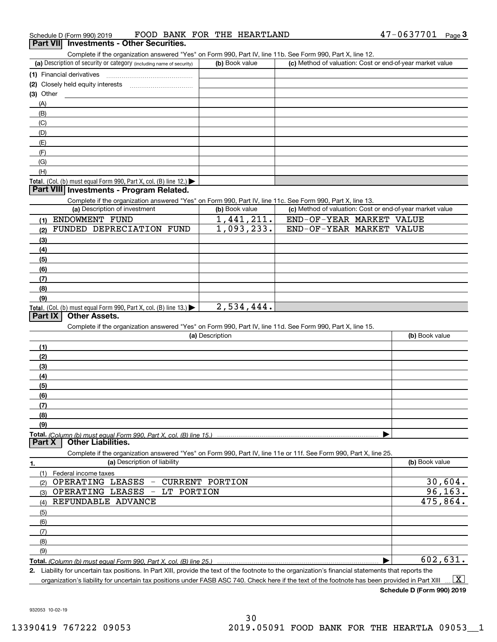Complete if the organization answered "Yes" on Form 990, Part IV, line 11b. See Form 990, Part X, line 12.

| (a) Description of security or category (including name of security) | (b) Book value | (c) Method of valuation: Cost or end-of-year market value |
|----------------------------------------------------------------------|----------------|-----------------------------------------------------------|
| (1) Financial derivatives                                            |                |                                                           |
| (2) Closely held equity interests                                    |                |                                                           |
| $(3)$ Other                                                          |                |                                                           |
| (A)                                                                  |                |                                                           |
| (B)                                                                  |                |                                                           |
| (C)                                                                  |                |                                                           |
| (D)                                                                  |                |                                                           |
| (E)                                                                  |                |                                                           |
| (F)                                                                  |                |                                                           |
| (G)                                                                  |                |                                                           |
| (H)                                                                  |                |                                                           |
| Total. (Col. (b) must equal Form 990, Part X, col. (B) line $12$ .)  |                |                                                           |

# **Part VIII Investments - Program Related.**

Complete if the organization answered "Yes" on Form 990, Part IV, line 11c. See Form 990, Part X, line 13.

| (a) Description of investment                                              | (b) Book value | (c) Method of valuation: Cost or end-of-year market value |
|----------------------------------------------------------------------------|----------------|-----------------------------------------------------------|
| ENDOWMENT FUND                                                             | 1,441,211.     | END-OF-YEAR MARKET VALUE                                  |
| FUNDED DEPRECIATION FUND<br>(2)                                            | 1,093,233.     | END-OF-YEAR MARKET VALUE                                  |
| $\left(3\right)$                                                           |                |                                                           |
| (4)                                                                        |                |                                                           |
| (5)                                                                        |                |                                                           |
| (6)                                                                        |                |                                                           |
| (7)                                                                        |                |                                                           |
| (8)                                                                        |                |                                                           |
| (9)                                                                        |                |                                                           |
| <b>Total.</b> (Col. (b) must equal Form 990, Part X, col. (B) line $13.$ ) | 2,534,444.     |                                                           |

# **Part IX Other Assets.**

Complete if the organization answered "Yes" on Form 990, Part IV, line 11d. See Form 990, Part X, line 15.

| (a) Description                                                                                  | (b) Book value |
|--------------------------------------------------------------------------------------------------|----------------|
| (1)                                                                                              |                |
| (2)                                                                                              |                |
| $\frac{1}{2}$                                                                                    |                |
| (4)                                                                                              |                |
| $\frac{1}{2}$                                                                                    |                |
| $\frac{6}{6}$                                                                                    |                |
| (7)                                                                                              |                |
| (8)                                                                                              |                |
| (9)                                                                                              |                |
| Total. (Column (b) must equal Form 990, Part X, col. (B) line 15.)<br>Dart X   Other Liabilities |                |
|                                                                                                  |                |

**Part X Other Liabilities.**

Complete if the organization answered "Yes" on Form 990, Part IV, line 11e or 11f. See Form 990, Part X, line 25.

|     | (a) Description of liability                        | (b) Book value |
|-----|-----------------------------------------------------|----------------|
| (1) | Federal income taxes                                |                |
| (2) | OPERATING LEASES<br><b>CURRENT PORTION</b><br>$ \,$ | 30,604.        |
| (3) | OPERATING LEASES - LT PORTION                       | 96, 163.       |
| (4) | REFUNDABLE ADVANCE                                  | 475,864.       |
| (5) |                                                     |                |
| (6) |                                                     |                |
| (7) |                                                     |                |
| (8) |                                                     |                |
| (9) |                                                     |                |
|     |                                                     | 602,631.       |

**2.** Liability for uncertain tax positions. In Part XIII, provide the text of the footnote to the organization's financial statements that reports the organization's liability for uncertain tax positions under FASB ASC 740. Check here if the text of the footnote has been provided in Part XIII  $\boxed{\text{X}}$ 

**Schedule D (Form 990) 2019**

932053 10-02-19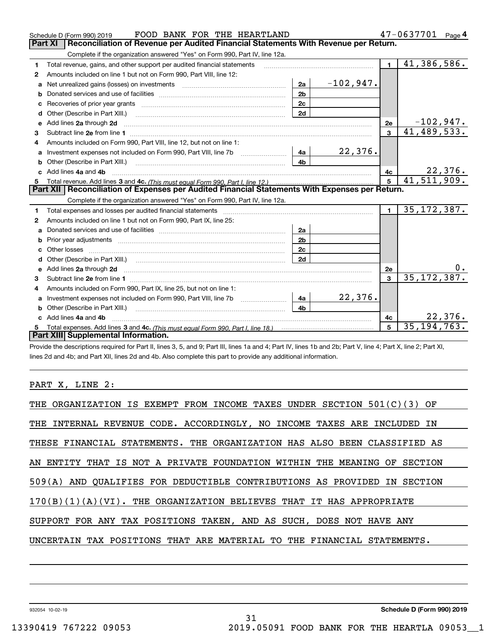|    | FOOD BANK FOR THE HEARTLAND<br>Schedule D (Form 990) 2019                                                                                                                                                                                 |                         | 47-0637701 Page 4         |
|----|-------------------------------------------------------------------------------------------------------------------------------------------------------------------------------------------------------------------------------------------|-------------------------|---------------------------|
|    | <b>Part XI</b><br>Reconciliation of Revenue per Audited Financial Statements With Revenue per Return.                                                                                                                                     |                         |                           |
|    | Complete if the organization answered "Yes" on Form 990, Part IV, line 12a.                                                                                                                                                               |                         |                           |
| 1. | Total revenue, gains, and other support per audited financial statements                                                                                                                                                                  | $\blacksquare$          | $\overline{41,386,586}$ . |
| 2  | Amounts included on line 1 but not on Form 990, Part VIII, line 12:                                                                                                                                                                       |                         |                           |
| a  | $-102,947.$<br>2a                                                                                                                                                                                                                         |                         |                           |
| b  | 2 <sub>b</sub>                                                                                                                                                                                                                            |                         |                           |
| c  | 2 <sub>c</sub><br>Recoveries of prior year grants [11] Recoveries of prior year grants [11] Recoveries of prior year grants                                                                                                               |                         |                           |
| d  | 2d<br>Other (Describe in Part XIII.)                                                                                                                                                                                                      |                         |                           |
| e  | Add lines 2a through 2d                                                                                                                                                                                                                   | 2e                      | $-102,947.$               |
| 3  |                                                                                                                                                                                                                                           | $\mathbf{3}$            | 41,489,533.               |
|    | Amounts included on Form 990, Part VIII, line 12, but not on line 1:                                                                                                                                                                      |                         |                           |
| a  | 22,376.<br>4a                                                                                                                                                                                                                             |                         |                           |
|    | 4 <sub>b</sub>                                                                                                                                                                                                                            |                         |                           |
|    | Add lines 4a and 4b                                                                                                                                                                                                                       | 4с                      | 22,376.                   |
| 5  |                                                                                                                                                                                                                                           | $\overline{5}$          | 41,511,909.               |
|    | Part XII   Reconciliation of Expenses per Audited Financial Statements With Expenses per Return.                                                                                                                                          |                         |                           |
|    | Complete if the organization answered "Yes" on Form 990, Part IV, line 12a.                                                                                                                                                               |                         |                           |
| 1. | Total expenses and losses per audited financial statements [11,11] [11] Total expenses and losses per audited financial statements [11] [11] Total expenses and losses per audited financial statements                                   | $\blacksquare$          | 35, 172, 387.             |
| 2  | Amounts included on line 1 but not on Form 990, Part IX, line 25:                                                                                                                                                                         |                         |                           |
| a  | 2a                                                                                                                                                                                                                                        |                         |                           |
|    | 2 <sub>b</sub>                                                                                                                                                                                                                            |                         |                           |
| c  | 2c                                                                                                                                                                                                                                        |                         |                           |
|    | 2d                                                                                                                                                                                                                                        |                         |                           |
|    | e Add lines 2a through 2d <b>contract and a contract and a contract a</b> contract a contract and a contract a contract a contract a contract a contract a contract a contract a contract a contract a contract a contract a contra       | 2e                      |                           |
| 3  |                                                                                                                                                                                                                                           | $\overline{\mathbf{3}}$ | 35, 172, 387.             |
| 4  | Amounts included on Form 990, Part IX, line 25, but not on line 1:                                                                                                                                                                        |                         |                           |
| a  | 22,376.<br>Investment expenses not included on Form 990, Part VIII, line 7b [11, 111, 111, 111]<br>4a                                                                                                                                     |                         |                           |
| b  | Other (Describe in Part XIII.) <b>Construction</b> and the contract of the Construction of the Construction of the Construction of the Construction of the Construction of the Construction of the Construction of the Construction<br>4h |                         |                           |
|    | Add lines 4a and 4b                                                                                                                                                                                                                       | 4c                      | 22,376.                   |
|    |                                                                                                                                                                                                                                           | 5                       | 35, 194, 763.             |
|    | Part XIII Supplemental Information.                                                                                                                                                                                                       |                         |                           |

Provide the descriptions required for Part II, lines 3, 5, and 9; Part III, lines 1a and 4; Part IV, lines 1b and 2b; Part V, line 4; Part X, line 2; Part XI, lines 2d and 4b; and Part XII, lines 2d and 4b. Also complete this part to provide any additional information.

# PART X, LINE 2:

| THE ORGANIZATION IS EXEMPT FROM INCOME TAXES UNDER SECTION 501(C)(3) OF  |
|--------------------------------------------------------------------------|
| THE INTERNAL REVENUE CODE. ACCORDINGLY, NO INCOME TAXES ARE INCLUDED IN  |
| THESE FINANCIAL STATEMENTS. THE ORGANIZATION HAS ALSO BEEN CLASSIFIED AS |
| AN ENTITY THAT IS NOT A PRIVATE FOUNDATION WITHIN THE MEANING OF SECTION |
| 509(A) AND OUALIFIES FOR DEDUCTIBLE CONTRIBUTIONS AS PROVIDED IN SECTION |
| $170(B)(1)(A)(VI)$ . THE ORGANIZATION BELIEVES THAT IT HAS APPROPRIATE   |
| SUPPORT FOR ANY TAX POSITIONS TAKEN, AND AS SUCH, DOES NOT HAVE ANY      |
| UNCERTAIN TAX POSITIONS THAT ARE MATERIAL TO THE FINANCIAL STATEMENTS.   |
|                                                                          |

31

932054 10-02-19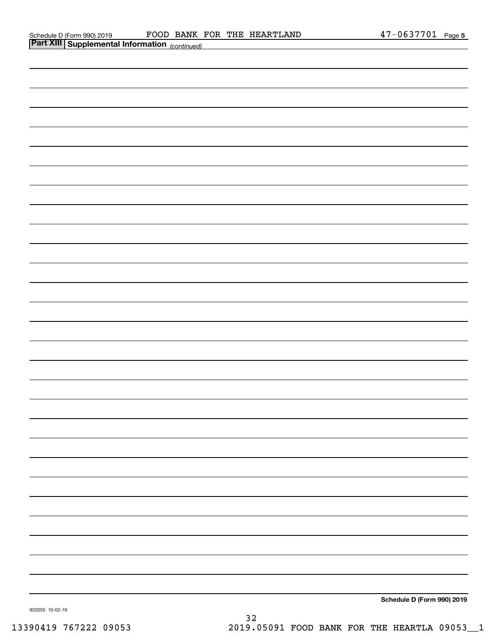| <b>Part XIII Supplemental Information</b> (continued) |                            |
|-------------------------------------------------------|----------------------------|
|                                                       |                            |
|                                                       |                            |
|                                                       |                            |
|                                                       |                            |
|                                                       |                            |
|                                                       |                            |
|                                                       |                            |
|                                                       |                            |
|                                                       |                            |
|                                                       |                            |
|                                                       |                            |
|                                                       |                            |
|                                                       |                            |
|                                                       |                            |
|                                                       |                            |
|                                                       |                            |
|                                                       |                            |
|                                                       |                            |
|                                                       |                            |
|                                                       |                            |
|                                                       |                            |
|                                                       |                            |
|                                                       |                            |
|                                                       |                            |
|                                                       |                            |
|                                                       |                            |
|                                                       |                            |
|                                                       |                            |
|                                                       |                            |
|                                                       |                            |
|                                                       | Schedule D (Form 990) 2019 |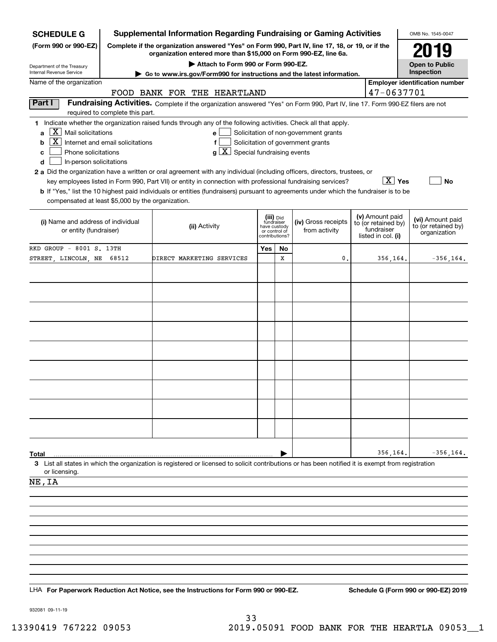| <b>Supplemental Information Regarding Fundraising or Gaming Activities</b><br><b>SCHEDULE G</b>                                                            |                                                                                                                                                                                                           |                                                                                                                                                                                                                                                                                                                                                                                                                                                                                                                                                                                     |                                                                            |    |                                                                            |  |                                                                            |                                                         |  |  |  |
|------------------------------------------------------------------------------------------------------------------------------------------------------------|-----------------------------------------------------------------------------------------------------------------------------------------------------------------------------------------------------------|-------------------------------------------------------------------------------------------------------------------------------------------------------------------------------------------------------------------------------------------------------------------------------------------------------------------------------------------------------------------------------------------------------------------------------------------------------------------------------------------------------------------------------------------------------------------------------------|----------------------------------------------------------------------------|----|----------------------------------------------------------------------------|--|----------------------------------------------------------------------------|---------------------------------------------------------|--|--|--|
| (Form 990 or 990-EZ)                                                                                                                                       | Complete if the organization answered "Yes" on Form 990, Part IV, line 17, 18, or 19, or if the<br>organization entered more than \$15,000 on Form 990-EZ, line 6a.<br>Attach to Form 990 or Form 990-EZ. |                                                                                                                                                                                                                                                                                                                                                                                                                                                                                                                                                                                     |                                                                            |    |                                                                            |  |                                                                            |                                                         |  |  |  |
| Department of the Treasury<br>Internal Revenue Service                                                                                                     |                                                                                                                                                                                                           |                                                                                                                                                                                                                                                                                                                                                                                                                                                                                                                                                                                     | <b>Open to Public</b><br>Inspection                                        |    |                                                                            |  |                                                                            |                                                         |  |  |  |
| Name of the organization                                                                                                                                   | $\blacktriangleright$ Go to www.irs.gov/Form990 for instructions and the latest information.<br><b>Employer identification number</b>                                                                     |                                                                                                                                                                                                                                                                                                                                                                                                                                                                                                                                                                                     |                                                                            |    |                                                                            |  |                                                                            |                                                         |  |  |  |
|                                                                                                                                                            | 47-0637701                                                                                                                                                                                                |                                                                                                                                                                                                                                                                                                                                                                                                                                                                                                                                                                                     |                                                                            |    |                                                                            |  |                                                                            |                                                         |  |  |  |
| Part I                                                                                                                                                     | required to complete this part.                                                                                                                                                                           | Fundraising Activities. Complete if the organization answered "Yes" on Form 990, Part IV, line 17. Form 990-EZ filers are not                                                                                                                                                                                                                                                                                                                                                                                                                                                       |                                                                            |    |                                                                            |  |                                                                            |                                                         |  |  |  |
| $X$ Mail solicitations<br>a<br>  X  <br>b<br>Phone solicitations<br>с<br>d<br>In-person solicitations<br>compensated at least \$5,000 by the organization. | Internet and email solicitations                                                                                                                                                                          | 1 Indicate whether the organization raised funds through any of the following activities. Check all that apply.<br>e l<br>f<br>$g\left[\overline{X}\right]$ Special fundraising events<br>2 a Did the organization have a written or oral agreement with any individual (including officers, directors, trustees, or<br>key employees listed in Form 990, Part VII) or entity in connection with professional fundraising services?<br><b>b</b> If "Yes," list the 10 highest paid individuals or entities (fundraisers) pursuant to agreements under which the fundraiser is to be |                                                                            |    | Solicitation of non-government grants<br>Solicitation of government grants |  | $\boxed{\text{X}}$ Yes                                                     | No                                                      |  |  |  |
| (i) Name and address of individual<br>or entity (fundraiser)                                                                                               |                                                                                                                                                                                                           | (ii) Activity                                                                                                                                                                                                                                                                                                                                                                                                                                                                                                                                                                       | (iii) Did<br>fundraiser<br>have custody<br>or control of<br>contributions? |    | (iv) Gross receipts<br>from activity                                       |  | (v) Amount paid<br>to (or retained by)<br>fundraiser<br>listed in col. (i) | (vi) Amount paid<br>to (or retained by)<br>organization |  |  |  |
| RKD GROUP - 8001 S. 13TH                                                                                                                                   |                                                                                                                                                                                                           |                                                                                                                                                                                                                                                                                                                                                                                                                                                                                                                                                                                     | Yes                                                                        | No |                                                                            |  |                                                                            |                                                         |  |  |  |
| STREET, LINCOLN, NE 68512                                                                                                                                  |                                                                                                                                                                                                           | DIRECT MARKETING SERVICES                                                                                                                                                                                                                                                                                                                                                                                                                                                                                                                                                           |                                                                            | X  | 0                                                                          |  | 356,164.                                                                   | $-356, 164.$                                            |  |  |  |
|                                                                                                                                                            |                                                                                                                                                                                                           |                                                                                                                                                                                                                                                                                                                                                                                                                                                                                                                                                                                     |                                                                            |    |                                                                            |  |                                                                            |                                                         |  |  |  |
|                                                                                                                                                            |                                                                                                                                                                                                           |                                                                                                                                                                                                                                                                                                                                                                                                                                                                                                                                                                                     |                                                                            |    |                                                                            |  |                                                                            |                                                         |  |  |  |
|                                                                                                                                                            |                                                                                                                                                                                                           |                                                                                                                                                                                                                                                                                                                                                                                                                                                                                                                                                                                     |                                                                            |    |                                                                            |  |                                                                            |                                                         |  |  |  |
|                                                                                                                                                            |                                                                                                                                                                                                           |                                                                                                                                                                                                                                                                                                                                                                                                                                                                                                                                                                                     |                                                                            |    |                                                                            |  |                                                                            |                                                         |  |  |  |
|                                                                                                                                                            |                                                                                                                                                                                                           |                                                                                                                                                                                                                                                                                                                                                                                                                                                                                                                                                                                     |                                                                            |    |                                                                            |  |                                                                            |                                                         |  |  |  |
|                                                                                                                                                            |                                                                                                                                                                                                           |                                                                                                                                                                                                                                                                                                                                                                                                                                                                                                                                                                                     |                                                                            |    |                                                                            |  |                                                                            |                                                         |  |  |  |
|                                                                                                                                                            |                                                                                                                                                                                                           |                                                                                                                                                                                                                                                                                                                                                                                                                                                                                                                                                                                     |                                                                            |    |                                                                            |  |                                                                            |                                                         |  |  |  |
|                                                                                                                                                            |                                                                                                                                                                                                           |                                                                                                                                                                                                                                                                                                                                                                                                                                                                                                                                                                                     |                                                                            |    |                                                                            |  |                                                                            |                                                         |  |  |  |
|                                                                                                                                                            |                                                                                                                                                                                                           |                                                                                                                                                                                                                                                                                                                                                                                                                                                                                                                                                                                     |                                                                            |    |                                                                            |  |                                                                            |                                                         |  |  |  |
|                                                                                                                                                            |                                                                                                                                                                                                           |                                                                                                                                                                                                                                                                                                                                                                                                                                                                                                                                                                                     |                                                                            |    |                                                                            |  |                                                                            |                                                         |  |  |  |
|                                                                                                                                                            |                                                                                                                                                                                                           |                                                                                                                                                                                                                                                                                                                                                                                                                                                                                                                                                                                     |                                                                            |    |                                                                            |  |                                                                            |                                                         |  |  |  |
|                                                                                                                                                            |                                                                                                                                                                                                           |                                                                                                                                                                                                                                                                                                                                                                                                                                                                                                                                                                                     |                                                                            |    |                                                                            |  |                                                                            |                                                         |  |  |  |
| Total                                                                                                                                                      |                                                                                                                                                                                                           | 3 List all states in which the organization is registered or licensed to solicit contributions or has been notified it is exempt from registration                                                                                                                                                                                                                                                                                                                                                                                                                                  |                                                                            |    |                                                                            |  | 356,164.                                                                   | $-356, 164.$                                            |  |  |  |
| or licensing.                                                                                                                                              |                                                                                                                                                                                                           |                                                                                                                                                                                                                                                                                                                                                                                                                                                                                                                                                                                     |                                                                            |    |                                                                            |  |                                                                            |                                                         |  |  |  |
| NE, IA                                                                                                                                                     |                                                                                                                                                                                                           |                                                                                                                                                                                                                                                                                                                                                                                                                                                                                                                                                                                     |                                                                            |    |                                                                            |  |                                                                            |                                                         |  |  |  |
|                                                                                                                                                            |                                                                                                                                                                                                           |                                                                                                                                                                                                                                                                                                                                                                                                                                                                                                                                                                                     |                                                                            |    |                                                                            |  |                                                                            |                                                         |  |  |  |
|                                                                                                                                                            |                                                                                                                                                                                                           |                                                                                                                                                                                                                                                                                                                                                                                                                                                                                                                                                                                     |                                                                            |    |                                                                            |  |                                                                            |                                                         |  |  |  |
|                                                                                                                                                            |                                                                                                                                                                                                           |                                                                                                                                                                                                                                                                                                                                                                                                                                                                                                                                                                                     |                                                                            |    |                                                                            |  |                                                                            |                                                         |  |  |  |
|                                                                                                                                                            |                                                                                                                                                                                                           |                                                                                                                                                                                                                                                                                                                                                                                                                                                                                                                                                                                     |                                                                            |    |                                                                            |  |                                                                            |                                                         |  |  |  |
|                                                                                                                                                            |                                                                                                                                                                                                           |                                                                                                                                                                                                                                                                                                                                                                                                                                                                                                                                                                                     |                                                                            |    |                                                                            |  |                                                                            |                                                         |  |  |  |
|                                                                                                                                                            |                                                                                                                                                                                                           |                                                                                                                                                                                                                                                                                                                                                                                                                                                                                                                                                                                     |                                                                            |    |                                                                            |  |                                                                            |                                                         |  |  |  |
|                                                                                                                                                            |                                                                                                                                                                                                           |                                                                                                                                                                                                                                                                                                                                                                                                                                                                                                                                                                                     |                                                                            |    |                                                                            |  |                                                                            |                                                         |  |  |  |
|                                                                                                                                                            |                                                                                                                                                                                                           | LHA For Paperwork Reduction Act Notice, see the Instructions for Form 990 or 990-EZ.                                                                                                                                                                                                                                                                                                                                                                                                                                                                                                |                                                                            |    |                                                                            |  |                                                                            | Schedule G (Form 990 or 990-EZ) 2019                    |  |  |  |

932081 09-11-19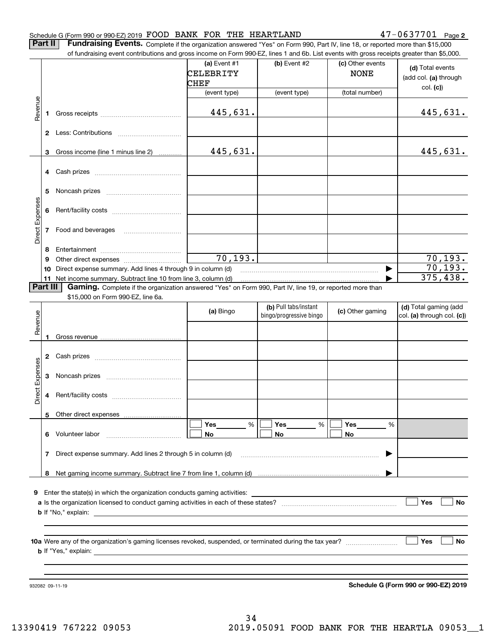## Schedule G (Form 990 or 990-EZ) 2019 Page FOOD BANK FOR THE HEARTLAND 47-0637701

**2**

**Part II** | Fundraising Events. Complete if the organization answered "Yes" on Form 990, Part IV, line 18, or reported more than \$15,000

|                 |          | of fundraising event contributions and gross income on Form 990-EZ, lines 1 and 6b. List events with gross receipts greater than \$5,000. |              |                                                  |                  |                                                     |
|-----------------|----------|-------------------------------------------------------------------------------------------------------------------------------------------|--------------|--------------------------------------------------|------------------|-----------------------------------------------------|
|                 |          |                                                                                                                                           | (a) Event #1 | (b) Event #2                                     | (c) Other events | (d) Total events                                    |
|                 |          |                                                                                                                                           | CELEBRITY    |                                                  | <b>NONE</b>      | (add col. (a) through                               |
|                 |          |                                                                                                                                           | CHEF         |                                                  |                  | col. (c)                                            |
|                 |          |                                                                                                                                           | (event type) | (event type)                                     | (total number)   |                                                     |
| Revenue         | 1        |                                                                                                                                           | 445,631.     |                                                  |                  | 445,631.                                            |
|                 |          |                                                                                                                                           |              |                                                  |                  |                                                     |
|                 | 3        | Gross income (line 1 minus line 2)                                                                                                        | 445,631.     |                                                  |                  | 445,631.                                            |
|                 |          |                                                                                                                                           |              |                                                  |                  |                                                     |
|                 | 4        |                                                                                                                                           |              |                                                  |                  |                                                     |
|                 | 5        |                                                                                                                                           |              |                                                  |                  |                                                     |
|                 |          |                                                                                                                                           |              |                                                  |                  |                                                     |
| Direct Expenses | 6        |                                                                                                                                           |              |                                                  |                  |                                                     |
|                 | 7        | Food and beverages                                                                                                                        |              |                                                  |                  |                                                     |
|                 |          |                                                                                                                                           |              |                                                  |                  |                                                     |
|                 | 8        |                                                                                                                                           |              |                                                  |                  |                                                     |
|                 | 9        |                                                                                                                                           | 70, 193.     |                                                  |                  | $\frac{70,193.}{70,193.}$                           |
|                 | 10       | Direct expense summary. Add lines 4 through 9 in column (d)                                                                               |              |                                                  |                  |                                                     |
|                 |          | 11 Net income summary. Subtract line 10 from line 3, column (d)                                                                           |              |                                                  |                  | 375,438.                                            |
|                 | Part III | Gaming. Complete if the organization answered "Yes" on Form 990, Part IV, line 19, or reported more than                                  |              |                                                  |                  |                                                     |
|                 |          | \$15,000 on Form 990-EZ, line 6a.                                                                                                         |              |                                                  |                  |                                                     |
|                 |          |                                                                                                                                           | (a) Bingo    | (b) Pull tabs/instant<br>bingo/progressive bingo | (c) Other gaming | (d) Total gaming (add<br>col. (a) through col. (c)) |
| Revenue         |          |                                                                                                                                           |              |                                                  |                  |                                                     |
|                 |          |                                                                                                                                           |              |                                                  |                  |                                                     |
|                 | 1        |                                                                                                                                           |              |                                                  |                  |                                                     |
|                 | 2        |                                                                                                                                           |              |                                                  |                  |                                                     |
|                 |          |                                                                                                                                           |              |                                                  |                  |                                                     |
| Expenses        | 3        |                                                                                                                                           |              |                                                  |                  |                                                     |
|                 |          |                                                                                                                                           |              |                                                  |                  |                                                     |
| Direct          | 4        |                                                                                                                                           |              |                                                  |                  |                                                     |
|                 |          |                                                                                                                                           |              |                                                  |                  |                                                     |
|                 |          | 5 Other direct expenses                                                                                                                   |              |                                                  |                  |                                                     |
|                 |          |                                                                                                                                           | %<br>Yes     | %<br>Yes                                         | Yes<br>%         |                                                     |
|                 | 6.       | Volunteer labor                                                                                                                           | No           | No                                               | No               |                                                     |
|                 | 7        | Direct expense summary. Add lines 2 through 5 in column (d)                                                                               |              |                                                  |                  |                                                     |
|                 |          |                                                                                                                                           |              |                                                  |                  |                                                     |
|                 |          |                                                                                                                                           |              |                                                  |                  |                                                     |
|                 |          |                                                                                                                                           |              |                                                  |                  |                                                     |
| 9.              |          | Enter the state(s) in which the organization conducts gaming activities:                                                                  |              |                                                  |                  |                                                     |
|                 |          |                                                                                                                                           |              |                                                  |                  | Yes<br>No                                           |
|                 |          |                                                                                                                                           |              |                                                  |                  |                                                     |
|                 |          |                                                                                                                                           |              |                                                  |                  |                                                     |
|                 |          |                                                                                                                                           |              |                                                  |                  |                                                     |
|                 |          |                                                                                                                                           |              |                                                  |                  | Yes<br>No                                           |
|                 |          |                                                                                                                                           |              |                                                  |                  |                                                     |
|                 |          |                                                                                                                                           |              |                                                  |                  |                                                     |
|                 |          |                                                                                                                                           |              |                                                  |                  |                                                     |
|                 |          | 932082 09-11-19                                                                                                                           |              |                                                  |                  | Schedule G (Form 990 or 990-EZ) 2019                |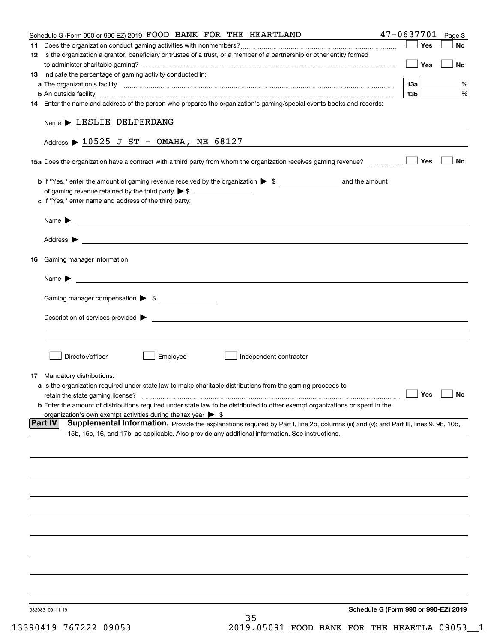| Schedule G (Form 990 or 990-EZ) 2019 FOOD BANK FOR THE HEARTLAND                                                                                                                                                                               |                 | $47 - 0637701$ Page 3 |
|------------------------------------------------------------------------------------------------------------------------------------------------------------------------------------------------------------------------------------------------|-----------------|-----------------------|
|                                                                                                                                                                                                                                                | Yes             | No                    |
| 12 Is the organization a grantor, beneficiary or trustee of a trust, or a member of a partnership or other entity formed                                                                                                                       |                 |                       |
|                                                                                                                                                                                                                                                | Yes             | No                    |
| 13 Indicate the percentage of gaming activity conducted in:                                                                                                                                                                                    |                 |                       |
|                                                                                                                                                                                                                                                | 13a             | %                     |
| <b>b</b> An outside facility <i>[11]</i> [20] [20] <b>https://www.frace.com/interest in the contract of the contract of the contract of the contract of the contract of the contract of the contract of the contract of the contract of th</b> | 13 <sub>b</sub> | %                     |
| 14 Enter the name and address of the person who prepares the organization's gaming/special events books and records:                                                                                                                           |                 |                       |
|                                                                                                                                                                                                                                                |                 |                       |
| $Name$ LESLIE DELPERDANG                                                                                                                                                                                                                       |                 |                       |
|                                                                                                                                                                                                                                                |                 |                       |
| Address $\triangleright$ 10525 J ST - OMAHA, NE 68127                                                                                                                                                                                          |                 |                       |
| 15a Does the organization have a contract with a third party from whom the organization receives gaming revenue?                                                                                                                               | Yes             | No                    |
|                                                                                                                                                                                                                                                |                 |                       |
|                                                                                                                                                                                                                                                |                 |                       |
|                                                                                                                                                                                                                                                |                 |                       |
| c If "Yes," enter name and address of the third party:                                                                                                                                                                                         |                 |                       |
| Name $\blacktriangleright$ $\bot$                                                                                                                                                                                                              |                 |                       |
|                                                                                                                                                                                                                                                |                 |                       |
| Address <b>Department of the Contract Contract Contract Contract Contract Contract Contract Contract Contract Contract Contract Contract Contract Contract Contract Contract Contract Contract Contract Contract Contract Contra</b>           |                 |                       |
|                                                                                                                                                                                                                                                |                 |                       |
| 16 Gaming manager information:                                                                                                                                                                                                                 |                 |                       |
|                                                                                                                                                                                                                                                |                 |                       |
| <u> 1989 - Johann Barbara, martin amerikan basal dan berasal dan berasal dalam basal dan berasal dan berasal dan</u><br>Name $\blacktriangleright$                                                                                             |                 |                       |
|                                                                                                                                                                                                                                                |                 |                       |
| Gaming manager compensation > \$                                                                                                                                                                                                               |                 |                       |
|                                                                                                                                                                                                                                                |                 |                       |
|                                                                                                                                                                                                                                                |                 |                       |
|                                                                                                                                                                                                                                                |                 |                       |
|                                                                                                                                                                                                                                                |                 |                       |
|                                                                                                                                                                                                                                                |                 |                       |
| Employee<br>Director/officer<br>Independent contractor                                                                                                                                                                                         |                 |                       |
|                                                                                                                                                                                                                                                |                 |                       |
| 17 Mandatory distributions:                                                                                                                                                                                                                    |                 |                       |
| <b>a</b> Is the organization required under state law to make charitable distributions from the gaming proceeds to                                                                                                                             |                 |                       |
| retain the state gaming license?                                                                                                                                                                                                               | $\Box$ Yes      | $\Box$ No             |
| <b>b</b> Enter the amount of distributions required under state law to be distributed to other exempt organizations or spent in the                                                                                                            |                 |                       |
| organization's own exempt activities during the tax year $\triangleright$ \$<br>Supplemental Information. Provide the explanations required by Part I, line 2b, columns (iii) and (v); and Part III, lines 9, 9b, 10b,<br> Part IV             |                 |                       |
| 15b, 15c, 16, and 17b, as applicable. Also provide any additional information. See instructions.                                                                                                                                               |                 |                       |
|                                                                                                                                                                                                                                                |                 |                       |
|                                                                                                                                                                                                                                                |                 |                       |
|                                                                                                                                                                                                                                                |                 |                       |
|                                                                                                                                                                                                                                                |                 |                       |
|                                                                                                                                                                                                                                                |                 |                       |
|                                                                                                                                                                                                                                                |                 |                       |
|                                                                                                                                                                                                                                                |                 |                       |
|                                                                                                                                                                                                                                                |                 |                       |
|                                                                                                                                                                                                                                                |                 |                       |
|                                                                                                                                                                                                                                                |                 |                       |
|                                                                                                                                                                                                                                                |                 |                       |
|                                                                                                                                                                                                                                                |                 |                       |
|                                                                                                                                                                                                                                                |                 |                       |
|                                                                                                                                                                                                                                                |                 |                       |
|                                                                                                                                                                                                                                                |                 |                       |
|                                                                                                                                                                                                                                                |                 |                       |
|                                                                                                                                                                                                                                                |                 |                       |
| Schedule G (Form 990 or 990-EZ) 2019<br>932083 09-11-19<br>35                                                                                                                                                                                  |                 |                       |
|                                                                                                                                                                                                                                                |                 |                       |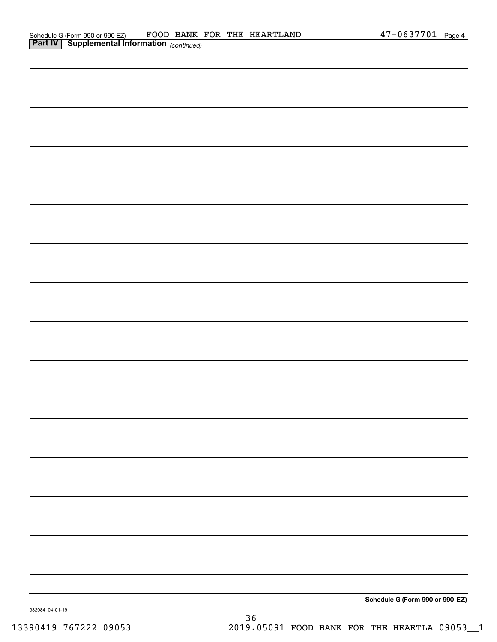| <b>Part IV   Supplemental Information</b> (continued) |  |
|-------------------------------------------------------|--|
|                                                       |  |
|                                                       |  |
|                                                       |  |
|                                                       |  |
|                                                       |  |
|                                                       |  |
|                                                       |  |
|                                                       |  |
|                                                       |  |
|                                                       |  |
|                                                       |  |
|                                                       |  |
|                                                       |  |
|                                                       |  |
|                                                       |  |
|                                                       |  |
|                                                       |  |
|                                                       |  |
|                                                       |  |
|                                                       |  |
|                                                       |  |
|                                                       |  |
|                                                       |  |
|                                                       |  |
|                                                       |  |
|                                                       |  |
|                                                       |  |
|                                                       |  |

**Schedule G (Form 990 or 990-EZ)**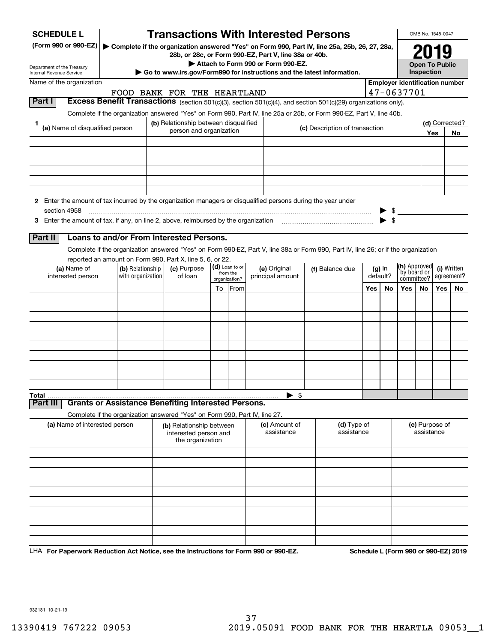| <b>SCHEDULE L</b>                                                                                                                       |                   |  | <b>Transactions With Interested Persons</b>                                |                           |                |  |                                    |  |                                                                                                                                    |  |          |                                       | OMB No. 1545-0047     |     |                |
|-----------------------------------------------------------------------------------------------------------------------------------------|-------------------|--|----------------------------------------------------------------------------|---------------------------|----------------|--|------------------------------------|--|------------------------------------------------------------------------------------------------------------------------------------|--|----------|---------------------------------------|-----------------------|-----|----------------|
| (Form 990 or 990-EZ)                                                                                                                    |                   |  | 28b, or 28c, or Form 990-EZ, Part V, line 38a or 40b.                      |                           |                |  |                                    |  | Complete if the organization answered "Yes" on Form 990, Part IV, line 25a, 25b, 26, 27, 28a,                                      |  |          |                                       | 2019                  |     |                |
|                                                                                                                                         |                   |  |                                                                            |                           |                |  | Attach to Form 990 or Form 990-EZ. |  |                                                                                                                                    |  |          |                                       | <b>Open To Public</b> |     |                |
| Department of the Treasury<br>Go to www.irs.gov/Form990 for instructions and the latest information.<br><b>Internal Revenue Service</b> |                   |  |                                                                            |                           |                |  |                                    |  | Inspection                                                                                                                         |  |          |                                       |                       |     |                |
| Name of the organization                                                                                                                |                   |  |                                                                            |                           |                |  |                                    |  |                                                                                                                                    |  |          | <b>Employer identification number</b> |                       |     |                |
| Part I                                                                                                                                  |                   |  | FOOD BANK FOR THE HEARTLAND                                                |                           |                |  |                                    |  |                                                                                                                                    |  |          | 47-0637701                            |                       |     |                |
|                                                                                                                                         |                   |  |                                                                            |                           |                |  |                                    |  | <b>Excess Benefit Transactions</b> (section 501(c)(3), section 501(c)(4), and section 501(c)(29) organizations only).              |  |          |                                       |                       |     |                |
| 1                                                                                                                                       |                   |  | (b) Relationship between disqualified                                      |                           |                |  |                                    |  | Complete if the organization answered "Yes" on Form 990, Part IV, line 25a or 25b, or Form 990-EZ, Part V, line 40b.               |  |          |                                       |                       |     | (d) Corrected? |
| (a) Name of disqualified person                                                                                                         |                   |  | person and organization                                                    |                           |                |  |                                    |  | (c) Description of transaction                                                                                                     |  |          |                                       |                       | Yes | No             |
|                                                                                                                                         |                   |  |                                                                            |                           |                |  |                                    |  |                                                                                                                                    |  |          |                                       |                       |     |                |
|                                                                                                                                         |                   |  |                                                                            |                           |                |  |                                    |  |                                                                                                                                    |  |          |                                       |                       |     |                |
|                                                                                                                                         |                   |  |                                                                            |                           |                |  |                                    |  |                                                                                                                                    |  |          |                                       |                       |     |                |
|                                                                                                                                         |                   |  |                                                                            |                           |                |  |                                    |  |                                                                                                                                    |  |          |                                       |                       |     |                |
|                                                                                                                                         |                   |  |                                                                            |                           |                |  |                                    |  |                                                                                                                                    |  |          |                                       |                       |     |                |
| 2 Enter the amount of tax incurred by the organization managers or disqualified persons during the year under                           |                   |  |                                                                            |                           |                |  |                                    |  |                                                                                                                                    |  |          |                                       |                       |     |                |
| section 4958                                                                                                                            |                   |  |                                                                            |                           |                |  |                                    |  |                                                                                                                                    |  |          | $\frac{1}{2}$                         |                       |     |                |
|                                                                                                                                         |                   |  |                                                                            |                           |                |  |                                    |  |                                                                                                                                    |  |          |                                       |                       |     |                |
| Part II                                                                                                                                 |                   |  | Loans to and/or From Interested Persons.                                   |                           |                |  |                                    |  |                                                                                                                                    |  |          |                                       |                       |     |                |
|                                                                                                                                         |                   |  |                                                                            |                           |                |  |                                    |  |                                                                                                                                    |  |          |                                       |                       |     |                |
|                                                                                                                                         |                   |  | reported an amount on Form 990, Part X, line 5, 6, or 22.                  |                           |                |  |                                    |  | Complete if the organization answered "Yes" on Form 990-EZ, Part V, line 38a or Form 990, Part IV, line 26; or if the organization |  |          |                                       |                       |     |                |
| (a) Name of                                                                                                                             | (b) Relationship  |  | (c) Purpose                                                                |                           | (d) Loan to or |  | (e) Original                       |  | (f) Balance due                                                                                                                    |  | $(g)$ In | (h) Approved                          |                       |     | (i) Written    |
| interested person                                                                                                                       | with organization |  | of loan                                                                    | from the<br>organization? |                |  | principal amount                   |  |                                                                                                                                    |  | default? | by board or<br>committee?             |                       |     | agreement?     |
|                                                                                                                                         |                   |  |                                                                            |                           | To From        |  |                                    |  | Yes  <br>No.                                                                                                                       |  | Yes      | No.                                   | Yes                   | No  |                |
|                                                                                                                                         |                   |  |                                                                            |                           |                |  |                                    |  |                                                                                                                                    |  |          |                                       |                       |     |                |
|                                                                                                                                         |                   |  |                                                                            |                           |                |  |                                    |  |                                                                                                                                    |  |          |                                       |                       |     |                |
|                                                                                                                                         |                   |  |                                                                            |                           |                |  |                                    |  |                                                                                                                                    |  |          |                                       |                       |     |                |
|                                                                                                                                         |                   |  |                                                                            |                           |                |  |                                    |  |                                                                                                                                    |  |          |                                       |                       |     |                |
|                                                                                                                                         |                   |  |                                                                            |                           |                |  |                                    |  |                                                                                                                                    |  |          |                                       |                       |     |                |
|                                                                                                                                         |                   |  |                                                                            |                           |                |  |                                    |  |                                                                                                                                    |  |          |                                       |                       |     |                |
|                                                                                                                                         |                   |  |                                                                            |                           |                |  |                                    |  |                                                                                                                                    |  |          |                                       |                       |     |                |
|                                                                                                                                         |                   |  |                                                                            |                           |                |  |                                    |  |                                                                                                                                    |  |          |                                       |                       |     |                |
|                                                                                                                                         |                   |  |                                                                            |                           |                |  |                                    |  |                                                                                                                                    |  |          |                                       |                       |     |                |
| Total<br>Part III                                                                                                                       |                   |  | <b>Grants or Assistance Benefiting Interested Persons.</b>                 |                           |                |  | $\blacktriangleright$ \$           |  |                                                                                                                                    |  |          |                                       |                       |     |                |
|                                                                                                                                         |                   |  | Complete if the organization answered "Yes" on Form 990, Part IV, line 27. |                           |                |  |                                    |  |                                                                                                                                    |  |          |                                       |                       |     |                |
| (a) Name of interested person                                                                                                           |                   |  | (b) Relationship between<br>interested person and<br>the organization      |                           |                |  | (c) Amount of<br>assistance        |  | (d) Type of<br>assistance                                                                                                          |  |          | (e) Purpose of<br>assistance          |                       |     |                |
|                                                                                                                                         |                   |  |                                                                            |                           |                |  |                                    |  |                                                                                                                                    |  |          |                                       |                       |     |                |
|                                                                                                                                         |                   |  |                                                                            |                           |                |  |                                    |  |                                                                                                                                    |  |          |                                       |                       |     |                |
|                                                                                                                                         |                   |  |                                                                            |                           |                |  |                                    |  |                                                                                                                                    |  |          |                                       |                       |     |                |
|                                                                                                                                         |                   |  |                                                                            |                           |                |  |                                    |  |                                                                                                                                    |  |          |                                       |                       |     |                |
|                                                                                                                                         |                   |  |                                                                            |                           |                |  |                                    |  |                                                                                                                                    |  |          |                                       |                       |     |                |
|                                                                                                                                         |                   |  |                                                                            |                           |                |  |                                    |  |                                                                                                                                    |  |          |                                       |                       |     |                |
|                                                                                                                                         |                   |  |                                                                            |                           |                |  |                                    |  |                                                                                                                                    |  |          |                                       |                       |     |                |
|                                                                                                                                         |                   |  |                                                                            |                           |                |  |                                    |  |                                                                                                                                    |  |          |                                       |                       |     |                |
|                                                                                                                                         |                   |  |                                                                            |                           |                |  |                                    |  |                                                                                                                                    |  |          |                                       |                       |     |                |
|                                                                                                                                         |                   |  |                                                                            |                           |                |  |                                    |  |                                                                                                                                    |  |          |                                       |                       |     |                |

LHA For Paperwork Reduction Act Notice, see the Instructions for Form 990 or 990-EZ. Schedule L (Form 990 or 990-EZ) 2019

932131 10-21-19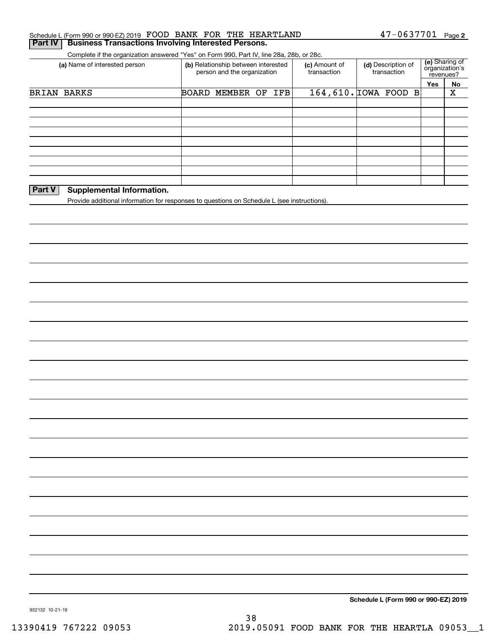|               | Complete if the organization answered "Yes" on Form 990, Part IV, line 28a, 28b, or 28c.<br>(a) Name of interested person | (b) Relationship between interested | person and the organization | (c) Amount of<br>transaction | (d) Description of<br>transaction | (e) Sharing of<br>organization's<br>revenues? |                         |
|---------------|---------------------------------------------------------------------------------------------------------------------------|-------------------------------------|-----------------------------|------------------------------|-----------------------------------|-----------------------------------------------|-------------------------|
|               |                                                                                                                           |                                     |                             |                              |                                   | Yes                                           | No                      |
|               | BRIAN BARKS                                                                                                               | <b>BOARD MEMBER OF IFB</b>          |                             |                              | 164,610. TOWA FOOD B              |                                               | $\overline{\textbf{X}}$ |
|               |                                                                                                                           |                                     |                             |                              |                                   |                                               |                         |
|               |                                                                                                                           |                                     |                             |                              |                                   |                                               |                         |
|               |                                                                                                                           |                                     |                             |                              |                                   |                                               |                         |
|               |                                                                                                                           |                                     |                             |                              |                                   |                                               |                         |
|               |                                                                                                                           |                                     |                             |                              |                                   |                                               |                         |
|               |                                                                                                                           |                                     |                             |                              |                                   |                                               |                         |
| <b>Part V</b> | <b>Supplemental Information.</b>                                                                                          |                                     |                             |                              |                                   |                                               |                         |
|               | Provide additional information for responses to questions on Schedule L (see instructions).                               |                                     |                             |                              |                                   |                                               |                         |
|               |                                                                                                                           |                                     |                             |                              |                                   |                                               |                         |
|               |                                                                                                                           |                                     |                             |                              |                                   |                                               |                         |
|               |                                                                                                                           |                                     |                             |                              |                                   |                                               |                         |
|               |                                                                                                                           |                                     |                             |                              |                                   |                                               |                         |
|               |                                                                                                                           |                                     |                             |                              |                                   |                                               |                         |
|               |                                                                                                                           |                                     |                             |                              |                                   |                                               |                         |
|               |                                                                                                                           |                                     |                             |                              |                                   |                                               |                         |
|               |                                                                                                                           |                                     |                             |                              |                                   |                                               |                         |
|               |                                                                                                                           |                                     |                             |                              |                                   |                                               |                         |
|               |                                                                                                                           |                                     |                             |                              |                                   |                                               |                         |
|               |                                                                                                                           |                                     |                             |                              |                                   |                                               |                         |
|               |                                                                                                                           |                                     |                             |                              |                                   |                                               |                         |
|               |                                                                                                                           |                                     |                             |                              |                                   |                                               |                         |
|               |                                                                                                                           |                                     |                             |                              |                                   |                                               |                         |
|               |                                                                                                                           |                                     |                             |                              |                                   |                                               |                         |
|               |                                                                                                                           |                                     |                             |                              |                                   |                                               |                         |
|               |                                                                                                                           |                                     |                             |                              |                                   |                                               |                         |
|               |                                                                                                                           |                                     |                             |                              |                                   |                                               |                         |
|               |                                                                                                                           |                                     |                             |                              |                                   |                                               |                         |
|               |                                                                                                                           |                                     |                             |                              |                                   |                                               |                         |
|               |                                                                                                                           |                                     |                             |                              |                                   |                                               |                         |
|               |                                                                                                                           |                                     |                             |                              |                                   |                                               |                         |
|               |                                                                                                                           |                                     |                             |                              |                                   |                                               |                         |
|               |                                                                                                                           |                                     |                             |                              |                                   |                                               |                         |
|               |                                                                                                                           |                                     |                             |                              |                                   |                                               |                         |
|               |                                                                                                                           |                                     |                             |                              |                                   |                                               |                         |
|               |                                                                                                                           |                                     |                             |                              |                                   |                                               |                         |
|               |                                                                                                                           |                                     |                             |                              |                                   |                                               |                         |
|               |                                                                                                                           |                                     |                             |                              |                                   |                                               |                         |
|               |                                                                                                                           |                                     |                             |                              |                                   |                                               |                         |
|               |                                                                                                                           |                                     |                             |                              |                                   |                                               |                         |
|               |                                                                                                                           |                                     |                             |                              |                                   |                                               |                         |
|               |                                                                                                                           |                                     |                             |                              |                                   |                                               |                         |

FOOD BANK FOR THE HEARTLAND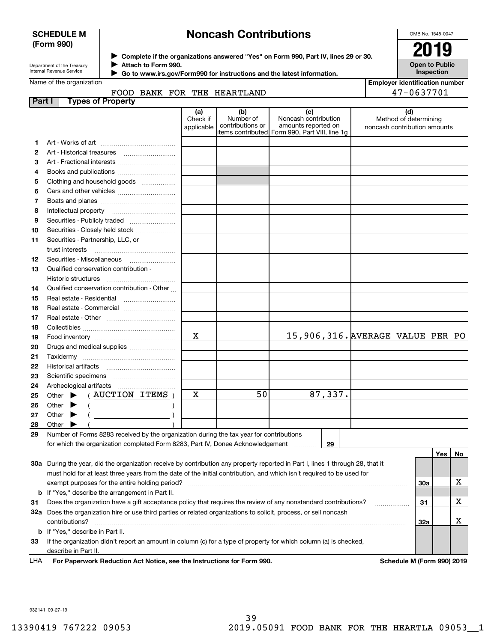# **SCHEDULE M (Form 990)**

# **Noncash Contributions**

OMB No. 1545-0047

| Department of the Treasury      |
|---------------------------------|
| <b>Internal Revenue Service</b> |

**Complete if the organizations answered "Yes" on Form 990, Part IV, lines 29 or 30.** <sup>J</sup>**2019 Attach to Form 990.** J

**Open to Public Inspection**

**Employer identification number**

47-0637701

| Internal Revenue Service | Go to www.irs.gov/Form990 for instructions and the latest information. |
|--------------------------|------------------------------------------------------------------------|
| Name of the organization |                                                                        |

# FOOD BANK FOR THE HEARTLAND

| Part I | <b>Types of Property</b>                                                                                                                                                                                                                                                                                                                                                                                                             |                               |                                      |                                                                                                       |                                                       |           |     |              |
|--------|--------------------------------------------------------------------------------------------------------------------------------------------------------------------------------------------------------------------------------------------------------------------------------------------------------------------------------------------------------------------------------------------------------------------------------------|-------------------------------|--------------------------------------|-------------------------------------------------------------------------------------------------------|-------------------------------------------------------|-----------|-----|--------------|
|        |                                                                                                                                                                                                                                                                                                                                                                                                                                      | (a)<br>Check if<br>applicable | (b)<br>Number of<br>contributions or | (c)<br>Noncash contribution<br>amounts reported on<br>items contributed  Form 990, Part VIII, line 1g | Method of determining<br>noncash contribution amounts | (d)       |     |              |
| 1      |                                                                                                                                                                                                                                                                                                                                                                                                                                      |                               |                                      |                                                                                                       |                                                       |           |     |              |
| 2      | Art - Historical treasures                                                                                                                                                                                                                                                                                                                                                                                                           |                               |                                      |                                                                                                       |                                                       |           |     |              |
| з      | Art - Fractional interests                                                                                                                                                                                                                                                                                                                                                                                                           |                               |                                      |                                                                                                       |                                                       |           |     |              |
| 4      | Books and publications                                                                                                                                                                                                                                                                                                                                                                                                               |                               |                                      |                                                                                                       |                                                       |           |     |              |
| 5      | Clothing and household goods                                                                                                                                                                                                                                                                                                                                                                                                         |                               |                                      |                                                                                                       |                                                       |           |     |              |
| 6      |                                                                                                                                                                                                                                                                                                                                                                                                                                      |                               |                                      |                                                                                                       |                                                       |           |     |              |
| 7      |                                                                                                                                                                                                                                                                                                                                                                                                                                      |                               |                                      |                                                                                                       |                                                       |           |     |              |
| 8      | Intellectual property                                                                                                                                                                                                                                                                                                                                                                                                                |                               |                                      |                                                                                                       |                                                       |           |     |              |
| 9      |                                                                                                                                                                                                                                                                                                                                                                                                                                      |                               |                                      |                                                                                                       |                                                       |           |     |              |
| 10     | Securities - Closely held stock                                                                                                                                                                                                                                                                                                                                                                                                      |                               |                                      |                                                                                                       |                                                       |           |     |              |
| 11     | Securities - Partnership, LLC, or                                                                                                                                                                                                                                                                                                                                                                                                    |                               |                                      |                                                                                                       |                                                       |           |     |              |
|        | trust interests                                                                                                                                                                                                                                                                                                                                                                                                                      |                               |                                      |                                                                                                       |                                                       |           |     |              |
| 12     |                                                                                                                                                                                                                                                                                                                                                                                                                                      |                               |                                      |                                                                                                       |                                                       |           |     |              |
| 13     | Qualified conservation contribution -                                                                                                                                                                                                                                                                                                                                                                                                |                               |                                      |                                                                                                       |                                                       |           |     |              |
|        | Historic structures                                                                                                                                                                                                                                                                                                                                                                                                                  |                               |                                      |                                                                                                       |                                                       |           |     |              |
| 14     | Qualified conservation contribution - Other                                                                                                                                                                                                                                                                                                                                                                                          |                               |                                      |                                                                                                       |                                                       |           |     |              |
| 15     | Real estate - Residential                                                                                                                                                                                                                                                                                                                                                                                                            |                               |                                      |                                                                                                       |                                                       |           |     |              |
| 16     | Real estate - Commercial                                                                                                                                                                                                                                                                                                                                                                                                             |                               |                                      |                                                                                                       |                                                       |           |     |              |
| 17     |                                                                                                                                                                                                                                                                                                                                                                                                                                      |                               |                                      |                                                                                                       |                                                       |           |     |              |
| 18     |                                                                                                                                                                                                                                                                                                                                                                                                                                      |                               |                                      |                                                                                                       |                                                       |           |     |              |
| 19     |                                                                                                                                                                                                                                                                                                                                                                                                                                      | $\mathbf X$                   |                                      | 15,906,316. AVERAGE VALUE PER PO                                                                      |                                                       |           |     |              |
| 20     | Drugs and medical supplies                                                                                                                                                                                                                                                                                                                                                                                                           |                               |                                      |                                                                                                       |                                                       |           |     |              |
| 21     |                                                                                                                                                                                                                                                                                                                                                                                                                                      |                               |                                      |                                                                                                       |                                                       |           |     |              |
| 22     |                                                                                                                                                                                                                                                                                                                                                                                                                                      |                               |                                      |                                                                                                       |                                                       |           |     |              |
| 23     |                                                                                                                                                                                                                                                                                                                                                                                                                                      |                               |                                      |                                                                                                       |                                                       |           |     |              |
| 24     |                                                                                                                                                                                                                                                                                                                                                                                                                                      |                               |                                      |                                                                                                       |                                                       |           |     |              |
| 25     | (AUCTION ITEMS)<br>Other $\blacktriangleright$                                                                                                                                                                                                                                                                                                                                                                                       | x                             | 50                                   | 87,337.                                                                                               |                                                       |           |     |              |
| 26     | $\left($ $\frac{1}{2}$ $\frac{1}{2}$ $\frac{1}{2}$ $\frac{1}{2}$ $\frac{1}{2}$ $\frac{1}{2}$ $\frac{1}{2}$ $\frac{1}{2}$ $\frac{1}{2}$ $\frac{1}{2}$ $\frac{1}{2}$ $\frac{1}{2}$ $\frac{1}{2}$ $\frac{1}{2}$ $\frac{1}{2}$ $\frac{1}{2}$ $\frac{1}{2}$ $\frac{1}{2}$ $\frac{1}{2}$ $\frac{1}{2}$ $\frac{1}{2}$ $\frac{1$<br>Other $\blacktriangleright$                                                                              |                               |                                      |                                                                                                       |                                                       |           |     |              |
| 27     | $($ $)$<br>Other $\blacktriangleright$                                                                                                                                                                                                                                                                                                                                                                                               |                               |                                      |                                                                                                       |                                                       |           |     |              |
| 28     | Other<br>▶                                                                                                                                                                                                                                                                                                                                                                                                                           |                               |                                      |                                                                                                       |                                                       |           |     |              |
| 29     | Number of Forms 8283 received by the organization during the tax year for contributions                                                                                                                                                                                                                                                                                                                                              |                               |                                      |                                                                                                       |                                                       |           |     |              |
|        | for which the organization completed Form 8283, Part IV, Donee Acknowledgement                                                                                                                                                                                                                                                                                                                                                       |                               |                                      | 29                                                                                                    |                                                       |           |     |              |
|        |                                                                                                                                                                                                                                                                                                                                                                                                                                      |                               |                                      |                                                                                                       |                                                       |           |     |              |
|        |                                                                                                                                                                                                                                                                                                                                                                                                                                      |                               |                                      |                                                                                                       |                                                       |           |     |              |
|        |                                                                                                                                                                                                                                                                                                                                                                                                                                      |                               |                                      |                                                                                                       |                                                       |           |     |              |
|        |                                                                                                                                                                                                                                                                                                                                                                                                                                      |                               |                                      |                                                                                                       |                                                       |           |     |              |
|        |                                                                                                                                                                                                                                                                                                                                                                                                                                      |                               |                                      |                                                                                                       |                                                       |           |     |              |
| 31     | 30a During the year, did the organization receive by contribution any property reported in Part I, lines 1 through 28, that it<br>must hold for at least three years from the date of the initial contribution, and which isn't required to be used for<br><b>b</b> If "Yes," describe the arrangement in Part II.<br>Does the organization have a gift acceptance policy that requires the review of any nonstandard contributions? |                               |                                      |                                                                                                       |                                                       | 30a<br>31 | Yes | No<br>x<br>x |

**32a** Does the organization hire or use third parties or related organizations to solicit, process, or sell noncash **33**If the organization didn't report an amount in column (c) for a type of property for which column (a) is checked, **b** If "Yes," describe in Part II. contributions? ~~~~~~~~~~~~~~~~~~~~~~~~~~~~~~~~~~~~~~~~~~~~~~~~~~~~~~ describe in Part II.

**For Paperwork Reduction Act Notice, see the Instructions for Form 990. Schedule M (Form 990) 2019** LHA

**32a**

X

932141 09-27-19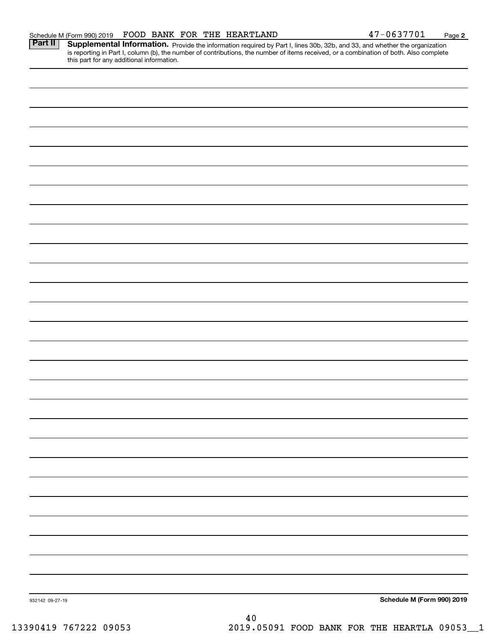| 932142 09-27-19 |    | Schedule M (Form 990) 2019 |
|-----------------|----|----------------------------|
|                 | 40 |                            |
|                 |    |                            |

Part II | Supplemental Information. Provide the information required by Part I, lines 30b, 32b, and 33, and whether the organization is reporting in Part I, column (b), the number of contributions, the number of items received, or a combination of both. Also complete this part for any additional information.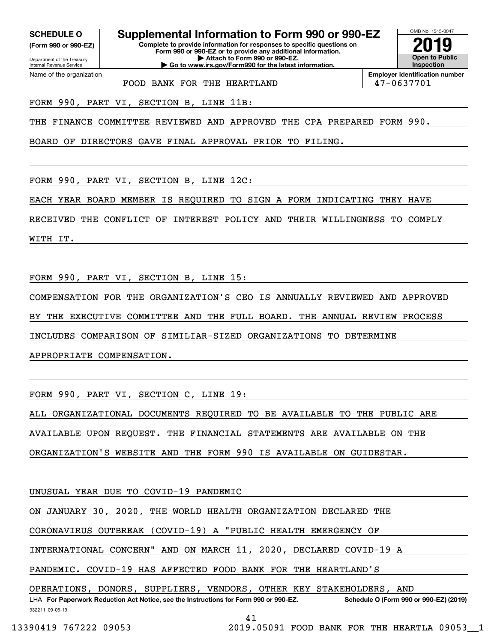**(Form 990 or 990-EZ)**

Department of the Treasury

Internal Revenue Service Name of the organization

**SCHEDULE O Supplemental Information to Form 990 or 990-EZ**

**Complete to provide information for responses to specific questions on Form 990 or 990-EZ or to provide any additional information. | Attach to Form 990 or 990-EZ. | Go to www.irs.gov/Form990 for the latest information.**



**Employer identification number**

FOOD BANK FOR THE HEARTLAND  $\vert$  47-0637701

FORM 990, PART VI, SECTION B, LINE 11B:

THE FINANCE COMMITTEE REVIEWED AND APPROVED THE CPA PREPARED FORM 990.

BOARD OF DIRECTORS GAVE FINAL APPROVAL PRIOR TO FILING.

FORM 990, PART VI, SECTION B, LINE 12C:

EACH YEAR BOARD MEMBER IS REQUIRED TO SIGN A FORM INDICATING THEY HAVE

RECEIVED THE CONFLICT OF INTEREST POLICY AND THEIR WILLINGNESS TO COMPLY

WITH IT.

FORM 990, PART VI, SECTION B, LINE 15:

COMPENSATION FOR THE ORGANIZATION'S CEO IS ANNUALLY REVIEWED AND APPROVED

BY THE EXECUTIVE COMMITTEE AND THE FULL BOARD. THE ANNUAL REVIEW PROCESS

INCLUDES COMPARISON OF SIMILIAR-SIZED ORGANIZATIONS TO DETERMINE

APPROPRIATE COMPENSATION.

FORM 990, PART VI, SECTION C, LINE 19:

ALL ORGANIZATIONAL DOCUMENTS REQUIRED TO BE AVAILABLE TO THE PUBLIC ARE

AVAILABLE UPON REQUEST. THE FINANCIAL STATEMENTS ARE AVAILABLE ON THE

ORGANIZATION'S WEBSITE AND THE FORM 990 IS AVAILABLE ON GUIDESTAR.

UNUSUAL YEAR DUE TO COVID-19 PANDEMIC

ON JANUARY 30, 2020, THE WORLD HEALTH ORGANIZATION DECLARED THE

CORONAVIRUS OUTBREAK (COVID-19) A "PUBLIC HEALTH EMERGENCY OF

INTERNATIONAL CONCERN" AND ON MARCH 11, 2020, DECLARED COVID-19 A

PANDEMIC. COVID-19 HAS AFFECTED FOOD BANK FOR THE HEARTLAND'S

OPERATIONS, DONORS, SUPPLIERS, VENDORS, OTHER KEY STAKEHOLDERS, AND

932211 09-06-19 LHA For Paperwork Reduction Act Notice, see the Instructions for Form 990 or 990-EZ. Schedule O (Form 990 or 990-EZ) (2019) 41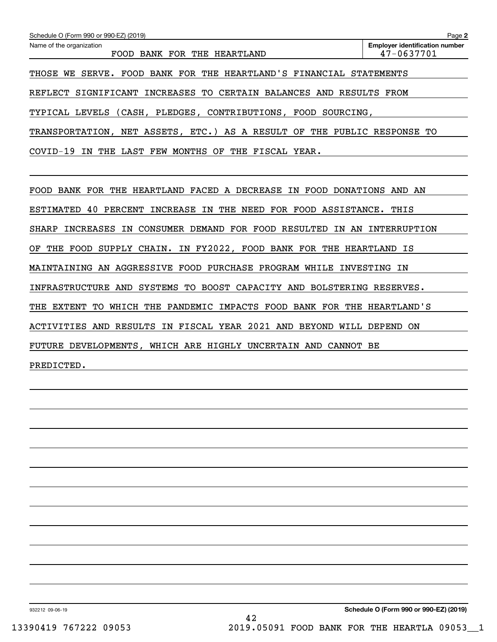| Schedule O (Form 990 or 990-EZ) (2019)                                     | Page 2                                              |  |  |  |  |  |  |  |
|----------------------------------------------------------------------------|-----------------------------------------------------|--|--|--|--|--|--|--|
| Name of the organization<br>FOOD BANK FOR THE HEARTLAND                    | <b>Employer identification number</b><br>47-0637701 |  |  |  |  |  |  |  |
| THOSE WE SERVE. FOOD BANK FOR THE HEARTLAND'S FINANCIAL STATEMENTS         |                                                     |  |  |  |  |  |  |  |
| REFLECT SIGNIFICANT INCREASES TO CERTAIN BALANCES AND RESULTS FROM         |                                                     |  |  |  |  |  |  |  |
| TYPICAL LEVELS (CASH, PLEDGES, CONTRIBUTIONS, FOOD SOURCING,               |                                                     |  |  |  |  |  |  |  |
| TRANSPORTATION, NET ASSETS, ETC.) AS A RESULT OF THE PUBLIC RESPONSE TO    |                                                     |  |  |  |  |  |  |  |
| COVID-19 IN THE LAST FEW MONTHS OF THE FISCAL YEAR.                        |                                                     |  |  |  |  |  |  |  |
|                                                                            |                                                     |  |  |  |  |  |  |  |
| FOOD BANK FOR THE HEARTLAND FACED A DECREASE IN FOOD DONATIONS AND AN      |                                                     |  |  |  |  |  |  |  |
| ESTIMATED 40 PERCENT INCREASE IN THE NEED FOR FOOD ASSISTANCE. THIS        |                                                     |  |  |  |  |  |  |  |
| INCREASES IN CONSUMER DEMAND FOR FOOD RESULTED IN AN INTERRUPTION<br>SHARP |                                                     |  |  |  |  |  |  |  |
| THE FOOD SUPPLY CHAIN. IN FY2022, FOOD BANK FOR THE HEARTLAND IS<br>OF     |                                                     |  |  |  |  |  |  |  |
| MAINTAINING AN AGGRESSIVE FOOD PURCHASE PROGRAM WHILE INVESTING IN         |                                                     |  |  |  |  |  |  |  |
| INFRASTRUCTURE AND SYSTEMS TO BOOST CAPACITY AND BOLSTERING RESERVES.      |                                                     |  |  |  |  |  |  |  |
| THE EXTENT TO WHICH THE PANDEMIC IMPACTS FOOD BANK FOR THE HEARTLAND'S     |                                                     |  |  |  |  |  |  |  |
| ACTIVITIES AND RESULTS IN FISCAL YEAR 2021 AND BEYOND WILL DEPEND ON       |                                                     |  |  |  |  |  |  |  |
| FUTURE DEVELOPMENTS, WHICH ARE HIGHLY UNCERTAIN AND CANNOT BE              |                                                     |  |  |  |  |  |  |  |
| PREDICTED.                                                                 |                                                     |  |  |  |  |  |  |  |
|                                                                            |                                                     |  |  |  |  |  |  |  |

932212 09-06-19